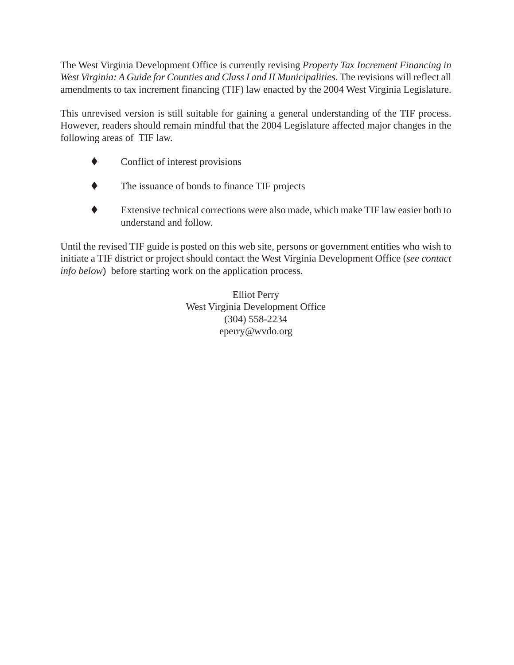The West Virginia Development Office is currently revising *Property Tax Increment Financing in West Virginia: A Guide for Counties and Class I and II Municipalities.* The revisions will reflect all amendments to tax increment financing (TIF) law enacted by the 2004 West Virginia Legislature.

This unrevised version is still suitable for gaining a general understanding of the TIF process. However, readers should remain mindful that the 2004 Legislature affected major changes in the following areas of TIF law.

- $\bullet$  Conflict of interest provisions
- $\blacklozenge$  The issuance of bonds to finance TIF projects
- ! Extensive technical corrections were also made, which make TIF law easier both to understand and follow.

Until the revised TIF guide is posted on this web site, persons or government entities who wish to initiate a TIF district or project should contact the West Virginia Development Office (*see contact info below*) before starting work on the application process.

> Elliot Perry West Virginia Development Office (304) 558-2234 eperry@wvdo.org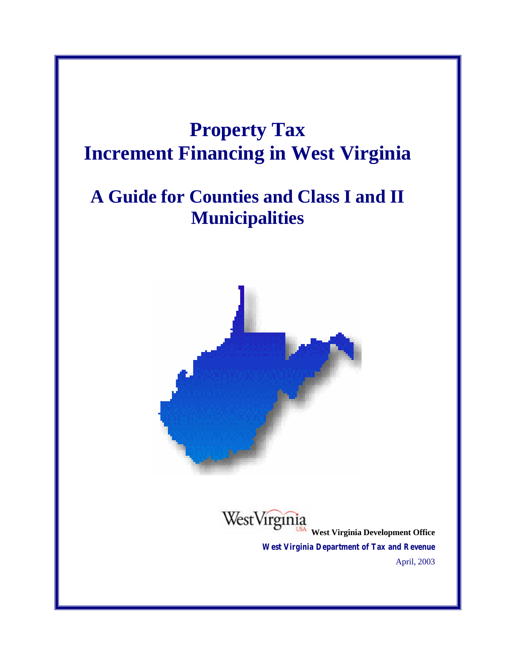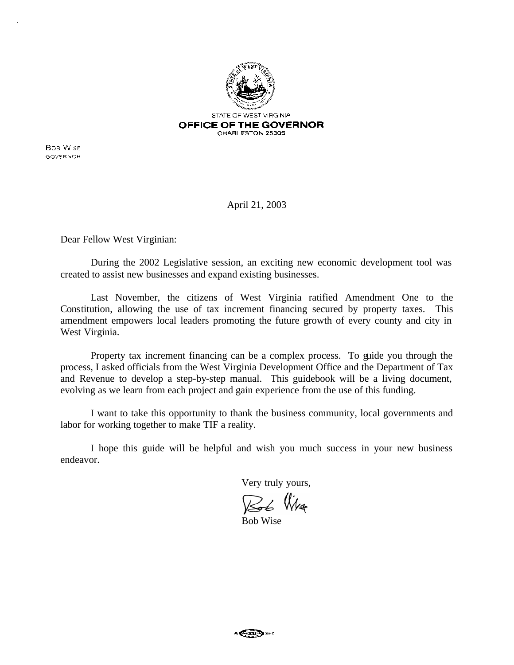

**Bos Wise** GOVERNOR

April 21, 2003

Dear Fellow West Virginian:

During the 2002 Legislative session, an exciting new economic development tool was created to assist new businesses and expand existing businesses.

Last November, the citizens of West Virginia ratified Amendment One to the Constitution, allowing the use of tax increment financing secured by property taxes. This amendment empowers local leaders promoting the future growth of every county and city in West Virginia.

Property tax increment financing can be a complex process. To guide you through the process, I asked officials from the West Virginia Development Office and the Department of Tax and Revenue to develop a step-by-step manual. This guidebook will be a living document, evolving as we learn from each project and gain experience from the use of this funding.

I want to take this opportunity to thank the business community, local governments and labor for working together to make TIF a reality.

I hope this guide will be helpful and wish you much success in your new business endeavor.

Very truly yours,

Rob Wig

Bob Wise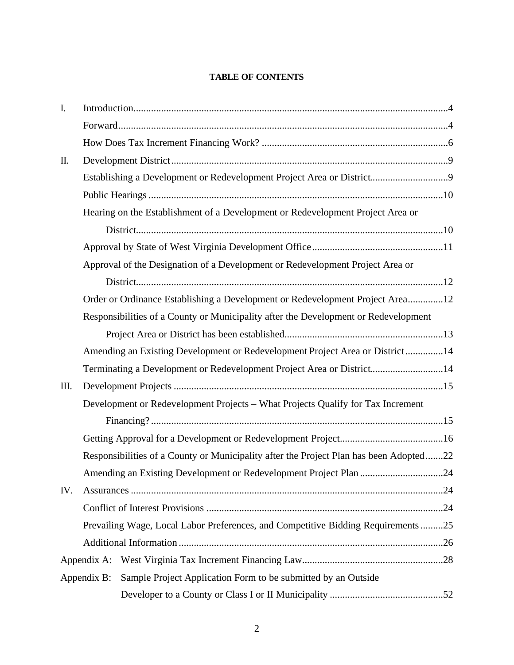#### **TABLE OF CONTENTS**

| I.          |                                                                                        |                                                                       |  |  |  |
|-------------|----------------------------------------------------------------------------------------|-----------------------------------------------------------------------|--|--|--|
|             |                                                                                        |                                                                       |  |  |  |
|             |                                                                                        |                                                                       |  |  |  |
| $\prod$ .   |                                                                                        |                                                                       |  |  |  |
|             |                                                                                        | Establishing a Development or Redevelopment Project Area or District9 |  |  |  |
|             |                                                                                        |                                                                       |  |  |  |
|             | Hearing on the Establishment of a Development or Redevelopment Project Area or         |                                                                       |  |  |  |
|             |                                                                                        |                                                                       |  |  |  |
|             |                                                                                        |                                                                       |  |  |  |
|             | Approval of the Designation of a Development or Redevelopment Project Area or          |                                                                       |  |  |  |
|             |                                                                                        |                                                                       |  |  |  |
|             | Order or Ordinance Establishing a Development or Redevelopment Project Area12          |                                                                       |  |  |  |
|             | Responsibilities of a County or Municipality after the Development or Redevelopment    |                                                                       |  |  |  |
|             |                                                                                        |                                                                       |  |  |  |
|             | Amending an Existing Development or Redevelopment Project Area or District14           |                                                                       |  |  |  |
|             | Terminating a Development or Redevelopment Project Area or District14                  |                                                                       |  |  |  |
| Ш.          |                                                                                        |                                                                       |  |  |  |
|             | Development or Redevelopment Projects - What Projects Qualify for Tax Increment        |                                                                       |  |  |  |
|             |                                                                                        |                                                                       |  |  |  |
|             |                                                                                        |                                                                       |  |  |  |
|             | Responsibilities of a County or Municipality after the Project Plan has been Adopted22 |                                                                       |  |  |  |
|             | Amending an Existing Development or Redevelopment Project Plan 24                      |                                                                       |  |  |  |
| IV.         |                                                                                        |                                                                       |  |  |  |
|             |                                                                                        |                                                                       |  |  |  |
|             | Prevailing Wage, Local Labor Preferences, and Competitive Bidding Requirements 25      |                                                                       |  |  |  |
|             |                                                                                        |                                                                       |  |  |  |
| Appendix A: |                                                                                        |                                                                       |  |  |  |
|             | Appendix B:                                                                            | Sample Project Application Form to be submitted by an Outside         |  |  |  |
|             |                                                                                        |                                                                       |  |  |  |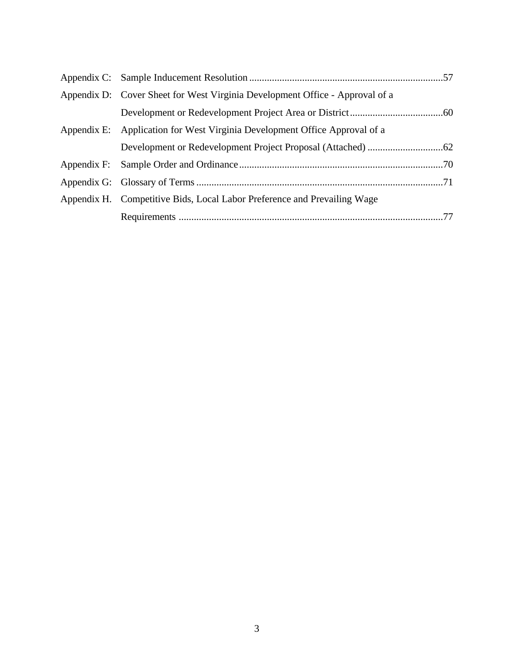| Appendix D: Cover Sheet for West Virginia Development Office - Approval of a |  |
|------------------------------------------------------------------------------|--|
|                                                                              |  |
| Appendix E: Application for West Virginia Development Office Approval of a   |  |
|                                                                              |  |
|                                                                              |  |
|                                                                              |  |
| Appendix H. Competitive Bids, Local Labor Preference and Prevailing Wage     |  |
|                                                                              |  |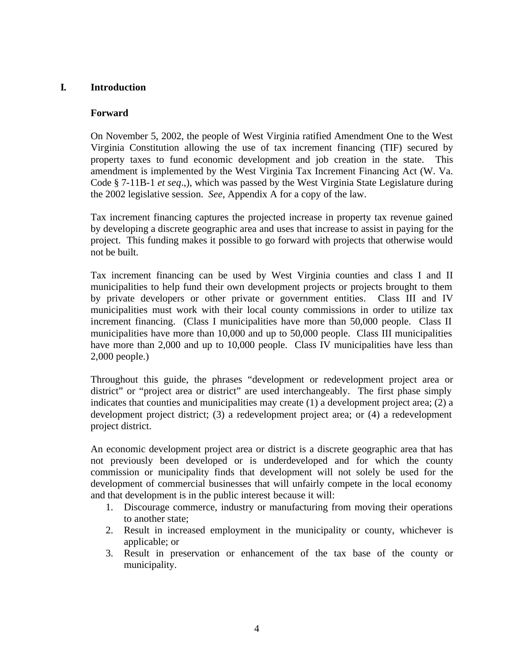## **I. Introduction**

#### **Forward**

On November 5, 2002, the people of West Virginia ratified Amendment One to the West Virginia Constitution allowing the use of tax increment financing (TIF) secured by property taxes to fund economic development and job creation in the state. This amendment is implemented by the West Virginia Tax Increment Financing Act (W. Va. Code § 7-11B-1 *et seq*.,), which was passed by the West Virginia State Legislature during the 2002 legislative session. *See*, Appendix A for a copy of the law.

Tax increment financing captures the projected increase in property tax revenue gained by developing a discrete geographic area and uses that increase to assist in paying for the project. This funding makes it possible to go forward with projects that otherwise would not be built.

Tax increment financing can be used by West Virginia counties and class I and II municipalities to help fund their own development projects or projects brought to them by private developers or other private or government entities. Class III and IV municipalities must work with their local county commissions in order to utilize tax increment financing. (Class I municipalities have more than 50,000 people. Class II municipalities have more than 10,000 and up to 50,000 people. Class III municipalities have more than 2,000 and up to 10,000 people. Class IV municipalities have less than 2,000 people.)

Throughout this guide, the phrases "development or redevelopment project area or district" or "project area or district" are used interchangeably. The first phase simply indicates that counties and municipalities may create (1) a development project area; (2) a development project district; (3) a redevelopment project area; or (4) a redevelopment project district.

An economic development project area or district is a discrete geographic area that has not previously been developed or is underdeveloped and for which the county commission or municipality finds that development will not solely be used for the development of commercial businesses that will unfairly compete in the local economy and that development is in the public interest because it will:

- 1. Discourage commerce, industry or manufacturing from moving their operations to another state;
- 2. Result in increased employment in the municipality or county, whichever is applicable; or
- 3. Result in preservation or enhancement of the tax base of the county or municipality.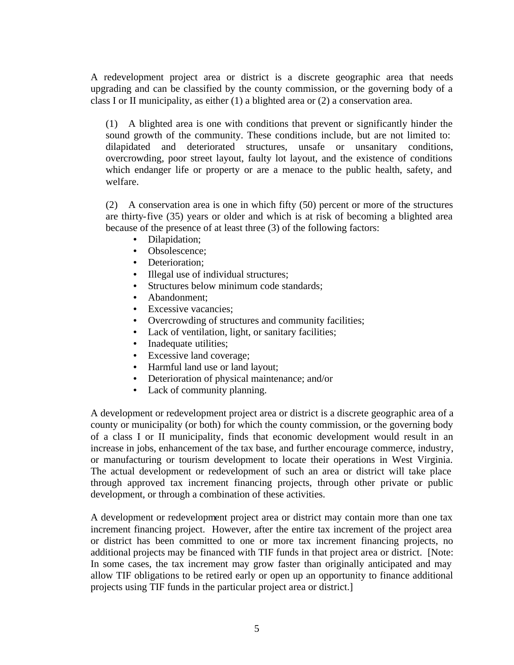A redevelopment project area or district is a discrete geographic area that needs upgrading and can be classified by the county commission, or the governing body of a class I or II municipality, as either (1) a blighted area or (2) a conservation area.

(1) A blighted area is one with conditions that prevent or significantly hinder the sound growth of the community. These conditions include, but are not limited to: dilapidated and deteriorated structures, unsafe or unsanitary conditions, overcrowding, poor street layout, faulty lot layout, and the existence of conditions which endanger life or property or are a menace to the public health, safety, and welfare.

(2) A conservation area is one in which fifty (50) percent or more of the structures are thirty-five (35) years or older and which is at risk of becoming a blighted area because of the presence of at least three (3) of the following factors:

- Dilapidation;
- Obsolescence:
- Deterioration:
- Illegal use of individual structures;
- Structures below minimum code standards;
- Abandonment:
- Excessive vacancies:
- Overcrowding of structures and community facilities;
- Lack of ventilation, light, or sanitary facilities;
- Inadequate utilities;
- Excessive land coverage;
- Harmful land use or land layout;
- Deterioration of physical maintenance; and/or
- Lack of community planning.

A development or redevelopment project area or district is a discrete geographic area of a county or municipality (or both) for which the county commission, or the governing body of a class I or II municipality, finds that economic development would result in an increase in jobs, enhancement of the tax base, and further encourage commerce, industry, or manufacturing or tourism development to locate their operations in West Virginia. The actual development or redevelopment of such an area or district will take place through approved tax increment financing projects, through other private or public development, or through a combination of these activities.

A development or redevelopment project area or district may contain more than one tax increment financing project. However, after the entire tax increment of the project area or district has been committed to one or more tax increment financing projects, no additional projects may be financed with TIF funds in that project area or district. [Note: In some cases, the tax increment may grow faster than originally anticipated and may allow TIF obligations to be retired early or open up an opportunity to finance additional projects using TIF funds in the particular project area or district.]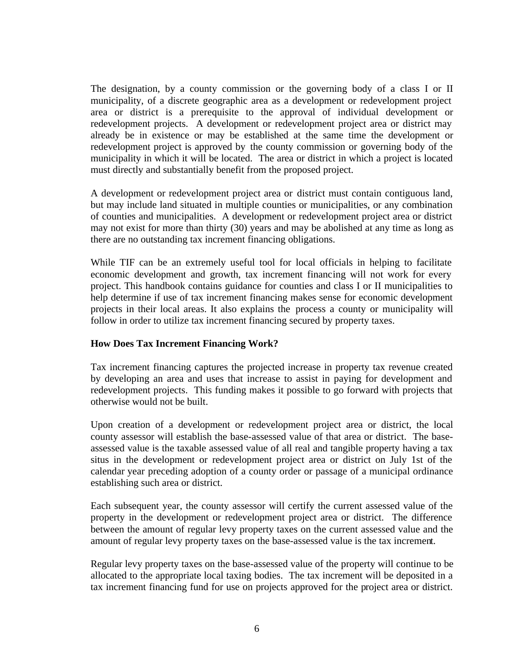The designation, by a county commission or the governing body of a class I or II municipality, of a discrete geographic area as a development or redevelopment project area or district is a prerequisite to the approval of individual development or redevelopment projects. A development or redevelopment project area or district may already be in existence or may be established at the same time the development or redevelopment project is approved by the county commission or governing body of the municipality in which it will be located. The area or district in which a project is located must directly and substantially benefit from the proposed project.

A development or redevelopment project area or district must contain contiguous land, but may include land situated in multiple counties or municipalities, or any combination of counties and municipalities. A development or redevelopment project area or district may not exist for more than thirty (30) years and may be abolished at any time as long as there are no outstanding tax increment financing obligations.

While TIF can be an extremely useful tool for local officials in helping to facilitate economic development and growth, tax increment financing will not work for every project. This handbook contains guidance for counties and class I or II municipalities to help determine if use of tax increment financing makes sense for economic development projects in their local areas. It also explains the process a county or municipality will follow in order to utilize tax increment financing secured by property taxes.

#### **How Does Tax Increment Financing Work?**

Tax increment financing captures the projected increase in property tax revenue created by developing an area and uses that increase to assist in paying for development and redevelopment projects. This funding makes it possible to go forward with projects that otherwise would not be built.

Upon creation of a development or redevelopment project area or district, the local county assessor will establish the base-assessed value of that area or district. The baseassessed value is the taxable assessed value of all real and tangible property having a tax situs in the development or redevelopment project area or district on July 1st of the calendar year preceding adoption of a county order or passage of a municipal ordinance establishing such area or district.

Each subsequent year, the county assessor will certify the current assessed value of the property in the development or redevelopment project area or district. The difference between the amount of regular levy property taxes on the current assessed value and the amount of regular levy property taxes on the base-assessed value is the tax increment.

Regular levy property taxes on the base-assessed value of the property will continue to be allocated to the appropriate local taxing bodies. The tax increment will be deposited in a tax increment financing fund for use on projects approved for the project area or district.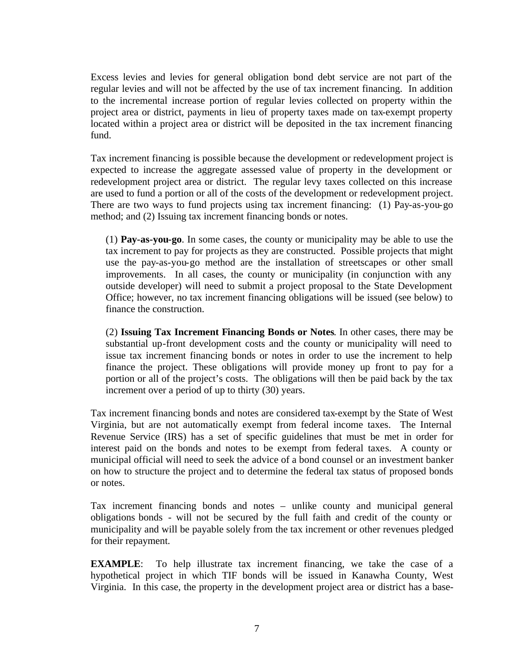Excess levies and levies for general obligation bond debt service are not part of the regular levies and will not be affected by the use of tax increment financing. In addition to the incremental increase portion of regular levies collected on property within the project area or district, payments in lieu of property taxes made on tax-exempt property located within a project area or district will be deposited in the tax increment financing fund.

Tax increment financing is possible because the development or redevelopment project is expected to increase the aggregate assessed value of property in the development or redevelopment project area or district. The regular levy taxes collected on this increase are used to fund a portion or all of the costs of the development or redevelopment project. There are two ways to fund projects using tax increment financing: (1) Pay-as-you-go method; and (2) Issuing tax increment financing bonds or notes.

(1) **Pay-as-you-go**. In some cases, the county or municipality may be able to use the tax increment to pay for projects as they are constructed. Possible projects that might use the pay-as-you-go method are the installation of streetscapes or other small improvements. In all cases, the county or municipality (in conjunction with any outside developer) will need to submit a project proposal to the State Development Office; however, no tax increment financing obligations will be issued (see below) to finance the construction.

(2) **Issuing Tax Increment Financing Bonds or Notes**. In other cases, there may be substantial up-front development costs and the county or municipality will need to issue tax increment financing bonds or notes in order to use the increment to help finance the project. These obligations will provide money up front to pay for a portion or all of the project's costs. The obligations will then be paid back by the tax increment over a period of up to thirty (30) years.

Tax increment financing bonds and notes are considered tax-exempt by the State of West Virginia, but are not automatically exempt from federal income taxes. The Internal Revenue Service (IRS) has a set of specific guidelines that must be met in order for interest paid on the bonds and notes to be exempt from federal taxes. A county or municipal official will need to seek the advice of a bond counsel or an investment banker on how to structure the project and to determine the federal tax status of proposed bonds or notes.

Tax increment financing bonds and notes – unlike county and municipal general obligations bonds - will not be secured by the full faith and credit of the county or municipality and will be payable solely from the tax increment or other revenues pledged for their repayment.

**EXAMPLE**: To help illustrate tax increment financing, we take the case of a hypothetical project in which TIF bonds will be issued in Kanawha County, West Virginia. In this case, the property in the development project area or district has a base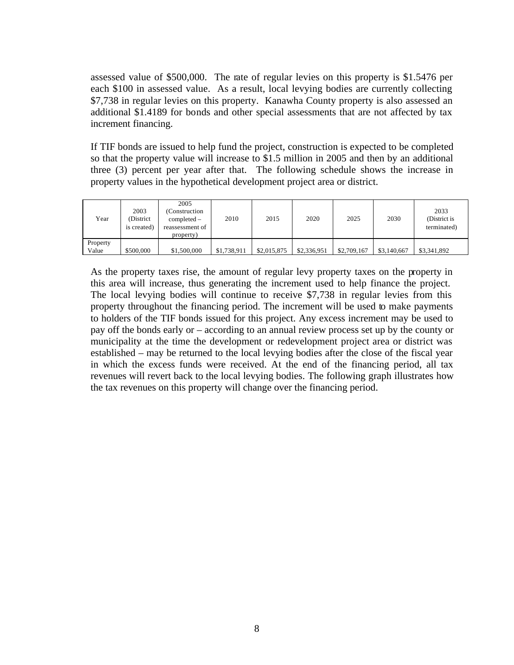assessed value of \$500,000. The rate of regular levies on this property is \$1.5476 per each \$100 in assessed value. As a result, local levying bodies are currently collecting \$7,738 in regular levies on this property. Kanawha County property is also assessed an additional \$1.4189 for bonds and other special assessments that are not affected by tax increment financing.

If TIF bonds are issued to help fund the project, construction is expected to be completed so that the property value will increase to \$1.5 million in 2005 and then by an additional three (3) percent per year after that. The following schedule shows the increase in property values in the hypothetical development project area or district.

| Year     | 2003<br>(District)<br>is created) | 2005<br>(Construction<br>$\text{completed}$ –<br>reassessment of<br>property) | 2010        | 2015        | 2020        | 2025        | 2030        | 2033<br>(District is<br>terminated) |
|----------|-----------------------------------|-------------------------------------------------------------------------------|-------------|-------------|-------------|-------------|-------------|-------------------------------------|
| Property |                                   |                                                                               |             |             |             |             |             |                                     |
| Value    | \$500,000                         | \$1,500,000                                                                   | \$1,738,911 | \$2,015,875 | \$2,336,951 | \$2,709,167 | \$3,140,667 | \$3,341,892                         |

As the property taxes rise, the amount of regular levy property taxes on the property in this area will increase, thus generating the increment used to help finance the project. The local levying bodies will continue to receive \$7,738 in regular levies from this property throughout the financing period. The increment will be used to make payments to holders of the TIF bonds issued for this project. Any excess increment may be used to pay off the bonds early or – according to an annual review process set up by the county or municipality at the time the development or redevelopment project area or district was established – may be returned to the local levying bodies after the close of the fiscal year in which the excess funds were received. At the end of the financing period, all tax revenues will revert back to the local levying bodies. The following graph illustrates how the tax revenues on this property will change over the financing period.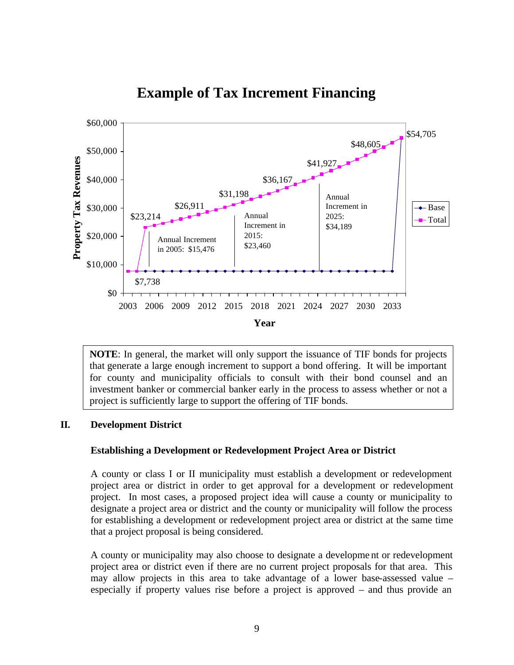

# **Example of Tax Increment Financing**

**NOTE**: In general, the market will only support the issuance of TIF bonds for projects that generate a large enough increment to support a bond offering. It will be important for county and municipality officials to consult with their bond counsel and an investment banker or commercial banker early in the process to assess whether or not a project is sufficiently large to support the offering of TIF bonds.

#### **II. Development District**

#### **Establishing a Development or Redevelopment Project Area or District**

A county or class I or II municipality must establish a development or redevelopment project area or district in order to get approval for a development or redevelopment project. In most cases, a proposed project idea will cause a county or municipality to designate a project area or district and the county or municipality will follow the process for establishing a development or redevelopment project area or district at the same time that a project proposal is being considered.

A county or municipality may also choose to designate a developme nt or redevelopment project area or district even if there are no current project proposals for that area. This may allow projects in this area to take advantage of a lower base-assessed value – especially if property values rise before a project is approved – and thus provide an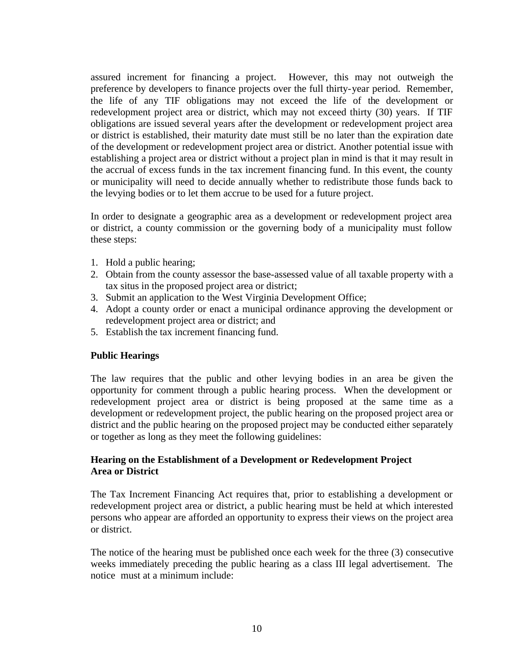assured increment for financing a project. However, this may not outweigh the preference by developers to finance projects over the full thirty-year period. Remember, the life of any TIF obligations may not exceed the life of the development or redevelopment project area or district, which may not exceed thirty (30) years. If TIF obligations are issued several years after the development or redevelopment project area or district is established, their maturity date must still be no later than the expiration date of the development or redevelopment project area or district. Another potential issue with establishing a project area or district without a project plan in mind is that it may result in the accrual of excess funds in the tax increment financing fund. In this event, the county or municipality will need to decide annually whether to redistribute those funds back to the levying bodies or to let them accrue to be used for a future project.

In order to designate a geographic area as a development or redevelopment project area or district, a county commission or the governing body of a municipality must follow these steps:

- 1. Hold a public hearing;
- 2. Obtain from the county assessor the base-assessed value of all taxable property with a tax situs in the proposed project area or district;
- 3. Submit an application to the West Virginia Development Office;
- 4. Adopt a county order or enact a municipal ordinance approving the development or redevelopment project area or district; and
- 5. Establish the tax increment financing fund.

## **Public Hearings**

The law requires that the public and other levying bodies in an area be given the opportunity for comment through a public hearing process. When the development or redevelopment project area or district is being proposed at the same time as a development or redevelopment project, the public hearing on the proposed project area or district and the public hearing on the proposed project may be conducted either separately or together as long as they meet the following guidelines:

## **Hearing on the Establishment of a Development or Redevelopment Project Area or District**

The Tax Increment Financing Act requires that, prior to establishing a development or redevelopment project area or district, a public hearing must be held at which interested persons who appear are afforded an opportunity to express their views on the project area or district.

The notice of the hearing must be published once each week for the three (3) consecutive weeks immediately preceding the public hearing as a class III legal advertisement. The notice must at a minimum include: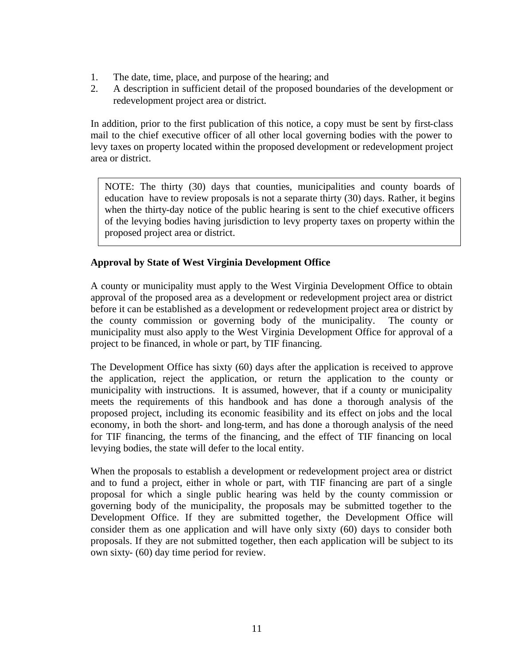- 1. The date, time, place, and purpose of the hearing; and
- 2. A description in sufficient detail of the proposed boundaries of the development or redevelopment project area or district.

In addition, prior to the first publication of this notice, a copy must be sent by first-class mail to the chief executive officer of all other local governing bodies with the power to levy taxes on property located within the proposed development or redevelopment project area or district.

NOTE: The thirty (30) days that counties, municipalities and county boards of education have to review proposals is not a separate thirty (30) days. Rather, it begins when the thirty-day notice of the public hearing is sent to the chief executive officers of the levying bodies having jurisdiction to levy property taxes on property within the proposed project area or district.

## **Approval by State of West Virginia Development Office**

A county or municipality must apply to the West Virginia Development Office to obtain approval of the proposed area as a development or redevelopment project area or district before it can be established as a development or redevelopment project area or district by the county commission or governing body of the municipality. The county or municipality must also apply to the West Virginia Development Office for approval of a project to be financed, in whole or part, by TIF financing.

The Development Office has sixty (60) days after the application is received to approve the application, reject the application, or return the application to the county or municipality with instructions. It is assumed, however, that if a county or municipality meets the requirements of this handbook and has done a thorough analysis of the proposed project, including its economic feasibility and its effect on jobs and the local economy, in both the short- and long-term, and has done a thorough analysis of the need for TIF financing, the terms of the financing, and the effect of TIF financing on local levying bodies, the state will defer to the local entity.

When the proposals to establish a development or redevelopment project area or district and to fund a project, either in whole or part, with TIF financing are part of a single proposal for which a single public hearing was held by the county commission or governing body of the municipality, the proposals may be submitted together to the Development Office. If they are submitted together, the Development Office will consider them as one application and will have only sixty (60) days to consider both proposals. If they are not submitted together, then each application will be subject to its own sixty- (60) day time period for review.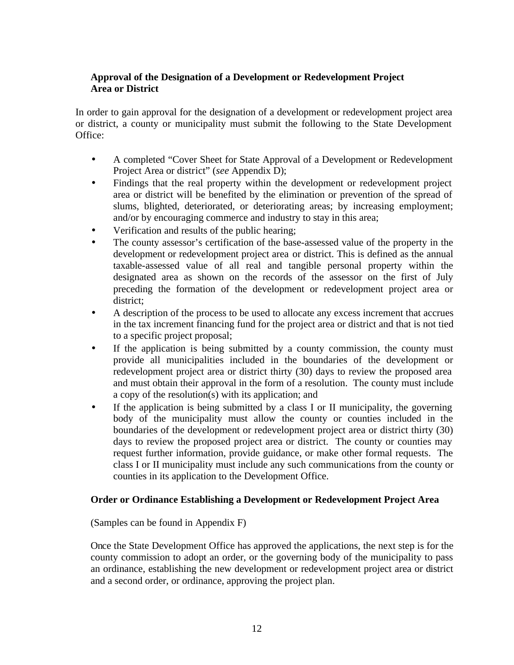## **Approval of the Designation of a Development or Redevelopment Project Area or District**

In order to gain approval for the designation of a development or redevelopment project area or district, a county or municipality must submit the following to the State Development Office:

- A completed "Cover Sheet for State Approval of a Development or Redevelopment Project Area or district" (*see* Appendix D);
- Findings that the real property within the development or redevelopment project area or district will be benefited by the elimination or prevention of the spread of slums, blighted, deteriorated, or deteriorating areas; by increasing employment; and/or by encouraging commerce and industry to stay in this area;
- Verification and results of the public hearing;
- The county assessor's certification of the base-assessed value of the property in the development or redevelopment project area or district. This is defined as the annual taxable-assessed value of all real and tangible personal property within the designated area as shown on the records of the assessor on the first of July preceding the formation of the development or redevelopment project area or district;
- A description of the process to be used to allocate any excess increment that accrues in the tax increment financing fund for the project area or district and that is not tied to a specific project proposal;
- If the application is being submitted by a county commission, the county must provide all municipalities included in the boundaries of the development or redevelopment project area or district thirty (30) days to review the proposed area and must obtain their approval in the form of a resolution. The county must include a copy of the resolution(s) with its application; and
- If the application is being submitted by a class I or II municipality, the governing body of the municipality must allow the county or counties included in the boundaries of the development or redevelopment project area or district thirty (30) days to review the proposed project area or district. The county or counties may request further information, provide guidance, or make other formal requests. The class I or II municipality must include any such communications from the county or counties in its application to the Development Office.

## **Order or Ordinance Establishing a Development or Redevelopment Project Area**

(Samples can be found in Appendix F)

Once the State Development Office has approved the applications, the next step is for the county commission to adopt an order, or the governing body of the municipality to pass an ordinance, establishing the new development or redevelopment project area or district and a second order, or ordinance, approving the project plan.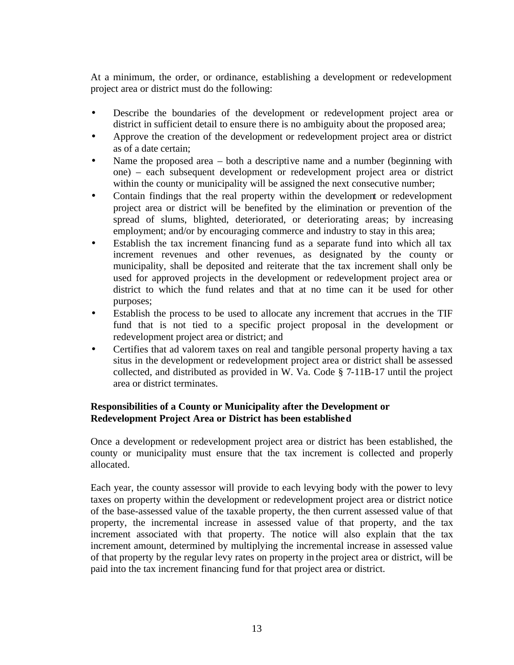At a minimum, the order, or ordinance, establishing a development or redevelopment project area or district must do the following:

- Describe the boundaries of the development or redevelopment project area or district in sufficient detail to ensure there is no ambiguity about the proposed area;
- Approve the creation of the development or redevelopment project area or district as of a date certain;
- Name the proposed area  $-$  both a descriptive name and a number (beginning with one) – each subsequent development or redevelopment project area or district within the county or municipality will be assigned the next consecutive number;
- Contain findings that the real property within the development or redevelopment project area or district will be benefited by the elimination or prevention of the spread of slums, blighted, deteriorated, or deteriorating areas; by increasing employment; and/or by encouraging commerce and industry to stay in this area;
- Establish the tax increment financing fund as a separate fund into which all tax increment revenues and other revenues, as designated by the county or municipality, shall be deposited and reiterate that the tax increment shall only be used for approved projects in the development or redevelopment project area or district to which the fund relates and that at no time can it be used for other purposes;
- Establish the process to be used to allocate any increment that accrues in the TIF fund that is not tied to a specific project proposal in the development or redevelopment project area or district; and
- Certifies that ad valorem taxes on real and tangible personal property having a tax situs in the development or redevelopment project area or district shall be assessed collected, and distributed as provided in W. Va. Code § 7-11B-17 until the project area or district terminates.

## **Responsibilities of a County or Municipality after the Development or Redevelopment Project Area or District has been established**

Once a development or redevelopment project area or district has been established, the county or municipality must ensure that the tax increment is collected and properly allocated.

Each year, the county assessor will provide to each levying body with the power to levy taxes on property within the development or redevelopment project area or district notice of the base-assessed value of the taxable property, the then current assessed value of that property, the incremental increase in assessed value of that property, and the tax increment associated with that property. The notice will also explain that the tax increment amount, determined by multiplying the incremental increase in assessed value of that property by the regular levy rates on property in the project area or district, will be paid into the tax increment financing fund for that project area or district.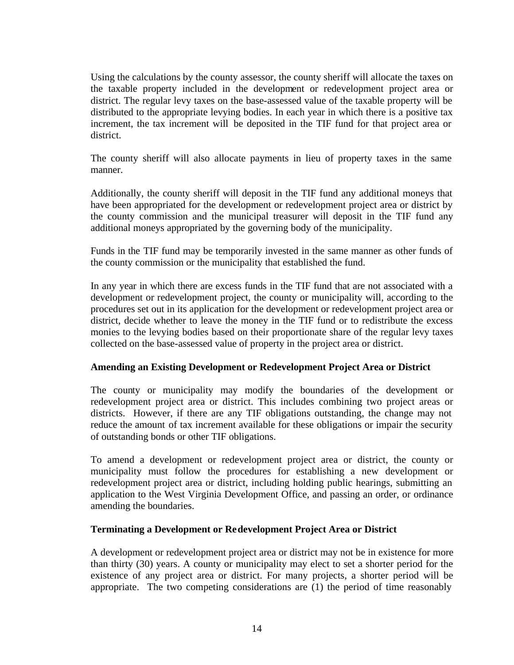Using the calculations by the county assessor, the county sheriff will allocate the taxes on the taxable property included in the development or redevelopment project area or district. The regular levy taxes on the base-assessed value of the taxable property will be distributed to the appropriate levying bodies. In each year in which there is a positive tax increment, the tax increment will be deposited in the TIF fund for that project area or district.

The county sheriff will also allocate payments in lieu of property taxes in the same manner.

Additionally, the county sheriff will deposit in the TIF fund any additional moneys that have been appropriated for the development or redevelopment project area or district by the county commission and the municipal treasurer will deposit in the TIF fund any additional moneys appropriated by the governing body of the municipality.

Funds in the TIF fund may be temporarily invested in the same manner as other funds of the county commission or the municipality that established the fund.

In any year in which there are excess funds in the TIF fund that are not associated with a development or redevelopment project, the county or municipality will, according to the procedures set out in its application for the development or redevelopment project area or district, decide whether to leave the money in the TIF fund or to redistribute the excess monies to the levying bodies based on their proportionate share of the regular levy taxes collected on the base-assessed value of property in the project area or district.

#### **Amending an Existing Development or Redevelopment Project Area or District**

The county or municipality may modify the boundaries of the development or redevelopment project area or district. This includes combining two project areas or districts. However, if there are any TIF obligations outstanding, the change may not reduce the amount of tax increment available for these obligations or impair the security of outstanding bonds or other TIF obligations.

To amend a development or redevelopment project area or district, the county or municipality must follow the procedures for establishing a new development or redevelopment project area or district, including holding public hearings, submitting an application to the West Virginia Development Office, and passing an order, or ordinance amending the boundaries.

#### **Terminating a Development or Redevelopment Project Area or District**

A development or redevelopment project area or district may not be in existence for more than thirty (30) years. A county or municipality may elect to set a shorter period for the existence of any project area or district. For many projects, a shorter period will be appropriate. The two competing considerations are (1) the period of time reasonably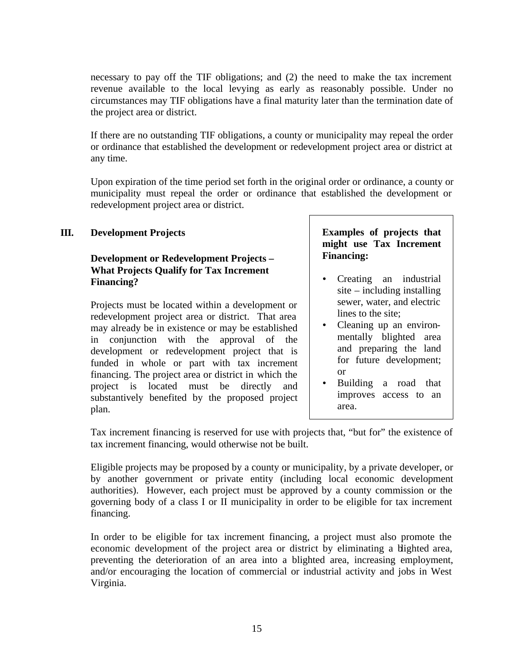necessary to pay off the TIF obligations; and (2) the need to make the tax increment revenue available to the local levying as early as reasonably possible. Under no circumstances may TIF obligations have a final maturity later than the termination date of the project area or district.

If there are no outstanding TIF obligations, a county or municipality may repeal the order or ordinance that established the development or redevelopment project area or district at any time.

Upon expiration of the time period set forth in the original order or ordinance, a county or municipality must repeal the order or ordinance that established the development or redevelopment project area or district.

## **III. Development Projects**

## **Development or Redevelopment Projects – What Projects Qualify for Tax Increment Financing?**

Projects must be located within a development or redevelopment project area or district. That area may already be in existence or may be established in conjunction with the approval of the development or redevelopment project that is funded in whole or part with tax increment financing. The project area or district in which the project is located must be directly and substantively benefited by the proposed project plan.

## **Examples of projects that might use Tax Increment Financing:**

- Creating an industrial site – including installing sewer, water, and electric lines to the site;
- Cleaning up an environmentally blighted area and preparing the land for future development; or
- Building a road that improves access to an area.

Tax increment financing is reserved for use with projects that, "but for" the existence of tax increment financing, would otherwise not be built.

Eligible projects may be proposed by a county or municipality, by a private developer, or by another government or private entity (including local economic development authorities). However, each project must be approved by a county commission or the governing body of a class I or II municipality in order to be eligible for tax increment financing.

In order to be eligible for tax increment financing, a project must also promote the economic development of the project area or district by eliminating a blighted area, preventing the deterioration of an area into a blighted area, increasing employment, and/or encouraging the location of commercial or industrial activity and jobs in West Virginia.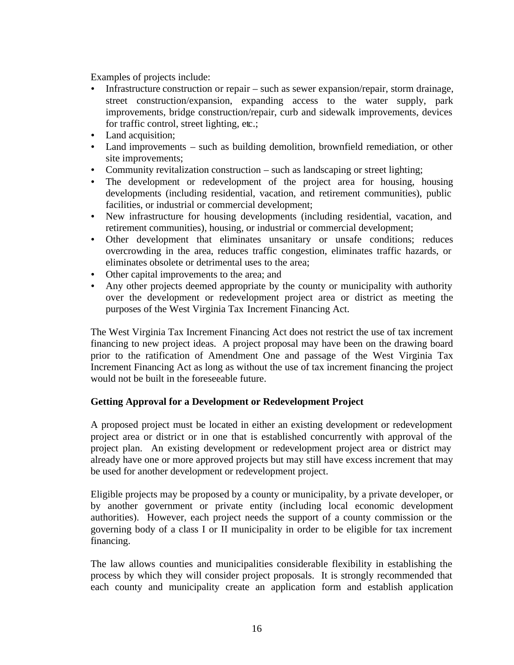Examples of projects include:

- ü Infrastructure construction or repair such as sewer expansion/repair, storm drainage, street construction/expansion, expanding access to the water supply, park improvements, bridge construction/repair, curb and sidewalk improvements, devices for traffic control, street lighting, etc.;
- Land acquisition:
- Land improvements such as building demolition, brownfield remediation, or other site improvements;
- Community revitalization construction such as landscaping or street lighting;
- The development or redevelopment of the project area for housing, housing developments (including residential, vacation, and retirement communities), public facilities, or industrial or commercial development;
- ü New infrastructure for housing developments (including residential, vacation, and retirement communities), housing, or industrial or commercial development;
- ü Other development that eliminates unsanitary or unsafe conditions; reduces overcrowding in the area, reduces traffic congestion, eliminates traffic hazards, or eliminates obsolete or detrimental uses to the area;
- Other capital improvements to the area; and
- Any other projects deemed appropriate by the county or municipality with authority over the development or redevelopment project area or district as meeting the purposes of the West Virginia Tax Increment Financing Act.

The West Virginia Tax Increment Financing Act does not restrict the use of tax increment financing to new project ideas. A project proposal may have been on the drawing board prior to the ratification of Amendment One and passage of the West Virginia Tax Increment Financing Act as long as without the use of tax increment financing the project would not be built in the foreseeable future.

## **Getting Approval for a Development or Redevelopment Project**

A proposed project must be located in either an existing development or redevelopment project area or district or in one that is established concurrently with approval of the project plan. An existing development or redevelopment project area or district may already have one or more approved projects but may still have excess increment that may be used for another development or redevelopment project.

Eligible projects may be proposed by a county or municipality, by a private developer, or by another government or private entity (including local economic development authorities). However, each project needs the support of a county commission or the governing body of a class I or II municipality in order to be eligible for tax increment financing.

The law allows counties and municipalities considerable flexibility in establishing the process by which they will consider project proposals. It is strongly recommended that each county and municipality create an application form and establish application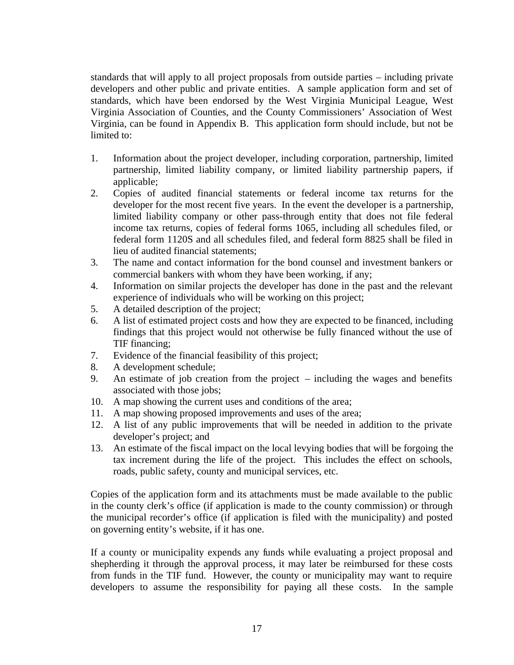standards that will apply to all project proposals from outside parties – including private developers and other public and private entities. A sample application form and set of standards, which have been endorsed by the West Virginia Municipal League, West Virginia Association of Counties, and the County Commissioners' Association of West Virginia, can be found in Appendix B. This application form should include, but not be limited to:

- 1. Information about the project developer, including corporation, partnership, limited partnership, limited liability company, or limited liability partnership papers, if applicable;
- 2. Copies of audited financial statements or federal income tax returns for the developer for the most recent five years. In the event the developer is a partnership, limited liability company or other pass-through entity that does not file federal income tax returns, copies of federal forms 1065, including all schedules filed, or federal form 1120S and all schedules filed, and federal form 8825 shall be filed in lieu of audited financial statements;
- 3. The name and contact information for the bond counsel and investment bankers or commercial bankers with whom they have been working, if any;
- 4. Information on similar projects the developer has done in the past and the relevant experience of individuals who will be working on this project;
- 5. A detailed description of the project;
- 6. A list of estimated project costs and how they are expected to be financed, including findings that this project would not otherwise be fully financed without the use of TIF financing;
- 7. Evidence of the financial feasibility of this project;
- 8. A development schedule;
- 9. An estimate of job creation from the project including the wages and benefits associated with those jobs;
- 10. A map showing the current uses and conditions of the area;
- 11. A map showing proposed improvements and uses of the area;
- 12. A list of any public improvements that will be needed in addition to the private developer's project; and
- 13. An estimate of the fiscal impact on the local levying bodies that will be forgoing the tax increment during the life of the project. This includes the effect on schools, roads, public safety, county and municipal services, etc.

Copies of the application form and its attachments must be made available to the public in the county clerk's office (if application is made to the county commission) or through the municipal recorder's office (if application is filed with the municipality) and posted on governing entity's website, if it has one.

If a county or municipality expends any funds while evaluating a project proposal and shepherding it through the approval process, it may later be reimbursed for these costs from funds in the TIF fund. However, the county or municipality may want to require developers to assume the responsibility for paying all these costs. In the sample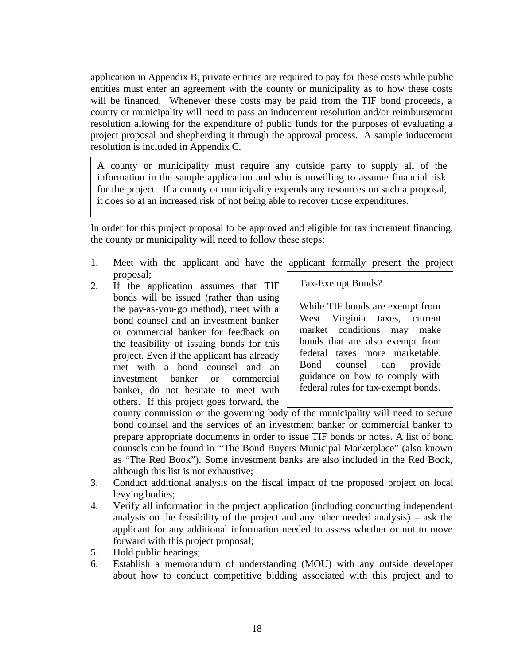application in Appendix B, private entities are required to pay for these costs while public entities must enter an agreement with the county or municipality as to how these costs will be financed. Whenever these costs may be paid from the TIF bond proceeds, a county or municipality will need to pass an inducement resolution and/or reimbursement resolution allowing for the expenditure of public funds for the purposes of evaluating a project proposal and shepherding it through the approval process. A sample inducement resolution is included in Appendix C.

A county or municipality must require any outside party to supply all of the information in the sample application and who is unwilling to assume financial risk for the project. If a county or municipality expends any resources on such a proposal, it does so at an increased risk of not being able to recover those expenditures.

In order for this project proposal to be approved and eligible for tax increment financing, the county or municipality will need to follow these steps:

- 1. Meet with the applicant and have the applicant formally present the project proposal;
- 2. If the application assumes that TIF bonds will be issued (rather than using the pay-as-you-go method), meet with a bond counsel and an investment banker or commercial banker for feedback on the feasibility of issuing bonds for this project. Even if the applicant has already met with a bond counsel and an investment banker or commercial banker, do not hesitate to meet with others. If this project goes forward, the

Tax-Exempt Bonds?

While TIF bonds are exempt from West Virginia taxes, current market conditions may make bonds that are also exempt from federal taxes more marketable. Bond counsel can provide guidance on how to comply with federal rules for tax-exempt bonds.

county commission or the governing body of the municipality will need to secure bond counsel and the services of an investment banker or commercial banker to prepare appropriate documents in order to issue TIF bonds or notes. A list of bond counsels can be found in "The Bond Buyers Municipal Marketplace" (also known as "The Red Book"). Some investment banks are also included in the Red Book, although this list is not exhaustive;

- 3. Conduct additional analysis on the fiscal impact of the proposed project on local levying bodies;
- 4. Verify all information in the project application (including conducting independent analysis on the feasibility of the project and any other needed analysis) – ask the applicant for any additional information needed to assess whether or not to move forward with this project proposal;
- 5. Hold public hearings;
- 6. Establish a memorandum of understanding (MOU) with any outside developer about how to conduct competitive bidding associated with this project and to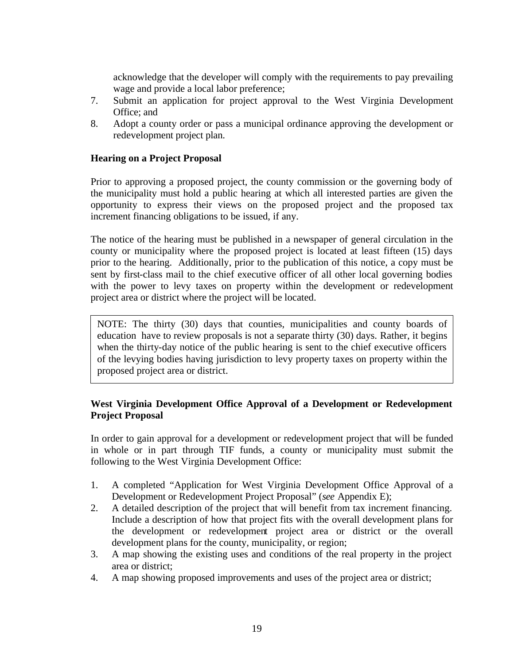acknowledge that the developer will comply with the requirements to pay prevailing wage and provide a local labor preference;

- 7. Submit an application for project approval to the West Virginia Development Office; and
- 8. Adopt a county order or pass a municipal ordinance approving the development or redevelopment project plan.

## **Hearing on a Project Proposal**

Prior to approving a proposed project, the county commission or the governing body of the municipality must hold a public hearing at which all interested parties are given the opportunity to express their views on the proposed project and the proposed tax increment financing obligations to be issued, if any.

The notice of the hearing must be published in a newspaper of general circulation in the county or municipality where the proposed project is located at least fifteen (15) days prior to the hearing. Additionally, prior to the publication of this notice, a copy must be sent by first-class mail to the chief executive officer of all other local governing bodies with the power to levy taxes on property within the development or redevelopment project area or district where the project will be located.

NOTE: The thirty (30) days that counties, municipalities and county boards of education have to review proposals is not a separate thirty (30) days. Rather, it begins when the thirty-day notice of the public hearing is sent to the chief executive officers of the levying bodies having jurisdiction to levy property taxes on property within the proposed project area or district.

## **West Virginia Development Office Approval of a Development or Redevelopment Project Proposal**

In order to gain approval for a development or redevelopment project that will be funded in whole or in part through TIF funds, a county or municipality must submit the following to the West Virginia Development Office:

- 1. A completed "Application for West Virginia Development Office Approval of a Development or Redevelopment Project Proposal" (*see* Appendix E);
- 2. A detailed description of the project that will benefit from tax increment financing. Include a description of how that project fits with the overall development plans for the development or redevelopment project area or district or the overall development plans for the county, municipality, or region;
- 3. A map showing the existing uses and conditions of the real property in the project area or district;
- 4. A map showing proposed improvements and uses of the project area or district;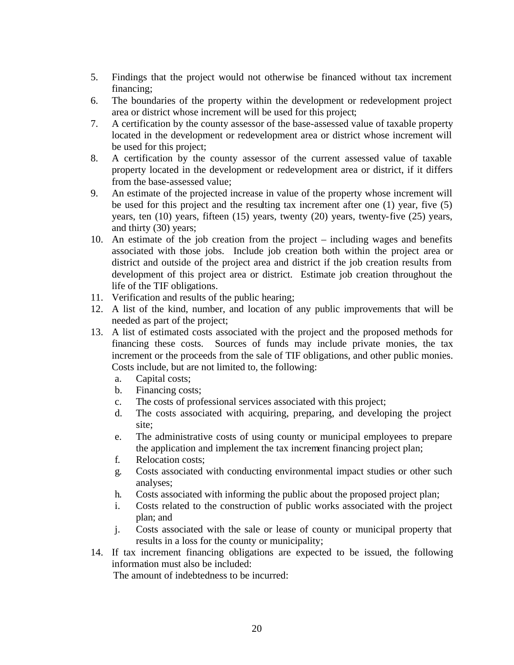- 5. Findings that the project would not otherwise be financed without tax increment financing;
- 6. The boundaries of the property within the development or redevelopment project area or district whose increment will be used for this project;
- 7. A certification by the county assessor of the base-assessed value of taxable property located in the development or redevelopment area or district whose increment will be used for this project;
- 8. A certification by the county assessor of the current assessed value of taxable property located in the development or redevelopment area or district, if it differs from the base-assessed value;
- 9. An estimate of the projected increase in value of the property whose increment will be used for this project and the resulting tax increment after one (1) year, five (5) years, ten (10) years, fifteen (15) years, twenty (20) years, twenty-five (25) years, and thirty (30) years;
- 10. An estimate of the job creation from the project including wages and benefits associated with those jobs. Include job creation both within the project area or district and outside of the project area and district if the job creation results from development of this project area or district. Estimate job creation throughout the life of the TIF obligations.
- 11. Verification and results of the public hearing;
- 12. A list of the kind, number, and location of any public improvements that will be needed as part of the project;
- 13. A list of estimated costs associated with the project and the proposed methods for financing these costs. Sources of funds may include private monies, the tax increment or the proceeds from the sale of TIF obligations, and other public monies. Costs include, but are not limited to, the following:
	- a. Capital costs;
	- b. Financing costs;
	- c. The costs of professional services associated with this project;
	- d. The costs associated with acquiring, preparing, and developing the project site;
	- e. The administrative costs of using county or municipal employees to prepare the application and implement the tax increment financing project plan;
	- f. Relocation costs;
	- g. Costs associated with conducting environmental impact studies or other such analyses;
	- h. Costs associated with informing the public about the proposed project plan;
	- i. Costs related to the construction of public works associated with the project plan; and
	- j. Costs associated with the sale or lease of county or municipal property that results in a loss for the county or municipality;
- 14. If tax increment financing obligations are expected to be issued, the following information must also be included:

The amount of indebtedness to be incurred: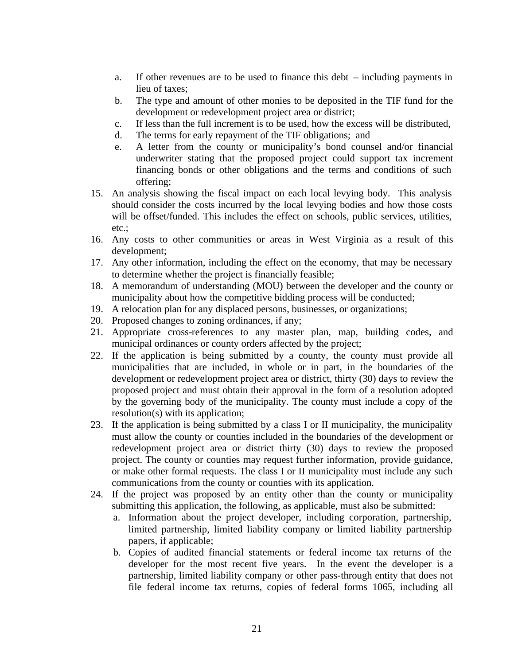- a. If other revenues are to be used to finance this debt including payments in lieu of taxes;
- b. The type and amount of other monies to be deposited in the TIF fund for the development or redevelopment project area or district;
- c. If less than the full increment is to be used, how the excess will be distributed,
- d. The terms for early repayment of the TIF obligations; and
- e. A letter from the county or municipality's bond counsel and/or financial underwriter stating that the proposed project could support tax increment financing bonds or other obligations and the terms and conditions of such offering;
- 15. An analysis showing the fiscal impact on each local levying body. This analysis should consider the costs incurred by the local levying bodies and how those costs will be offset/funded. This includes the effect on schools, public services, utilities, etc.;
- 16. Any costs to other communities or areas in West Virginia as a result of this development;
- 17. Any other information, including the effect on the economy, that may be necessary to determine whether the project is financially feasible;
- 18. A memorandum of understanding (MOU) between the developer and the county or municipality about how the competitive bidding process will be conducted;
- 19. A relocation plan for any displaced persons, businesses, or organizations;
- 20. Proposed changes to zoning ordinances, if any;
- 21. Appropriate cross-references to any master plan, map, building codes, and municipal ordinances or county orders affected by the project;
- 22. If the application is being submitted by a county, the county must provide all municipalities that are included, in whole or in part, in the boundaries of the development or redevelopment project area or district, thirty (30) days to review the proposed project and must obtain their approval in the form of a resolution adopted by the governing body of the municipality. The county must include a copy of the resolution(s) with its application;
- 23. If the application is being submitted by a class I or II municipality, the municipality must allow the county or counties included in the boundaries of the development or redevelopment project area or district thirty (30) days to review the proposed project. The county or counties may request further information, provide guidance, or make other formal requests. The class I or II municipality must include any such communications from the county or counties with its application.
- 24. If the project was proposed by an entity other than the county or municipality submitting this application, the following, as applicable, must also be submitted:
	- a. Information about the project developer, including corporation, partnership, limited partnership, limited liability company or limited liability partnership papers, if applicable;
	- b. Copies of audited financial statements or federal income tax returns of the developer for the most recent five years. In the event the developer is a partnership, limited liability company or other pass-through entity that does not file federal income tax returns, copies of federal forms 1065, including all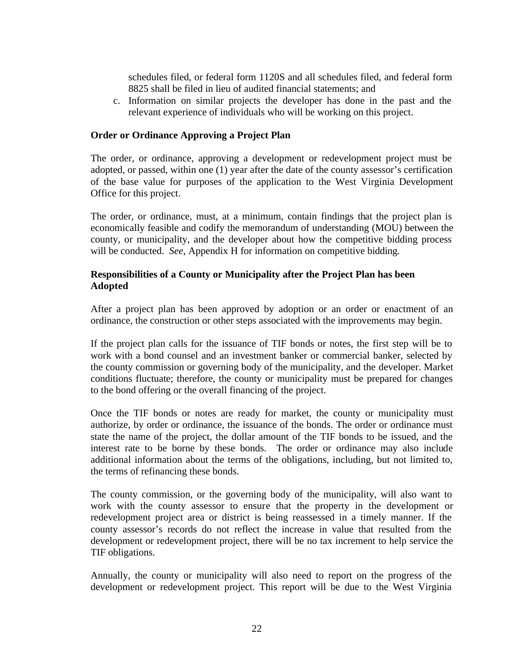schedules filed, or federal form 1120S and all schedules filed, and federal form 8825 shall be filed in lieu of audited financial statements; and

c. Information on similar projects the developer has done in the past and the relevant experience of individuals who will be working on this project.

#### **Order or Ordinance Approving a Project Plan**

The order, or ordinance, approving a development or redevelopment project must be adopted, or passed, within one (1) year after the date of the county assessor's certification of the base value for purposes of the application to the West Virginia Development Office for this project.

The order, or ordinance, must, at a minimum, contain findings that the project plan is economically feasible and codify the memorandum of understanding (MOU) between the county, or municipality, and the developer about how the competitive bidding process will be conducted. *See*, Appendix H for information on competitive bidding.

## **Responsibilities of a County or Municipality after the Project Plan has been Adopted**

After a project plan has been approved by adoption or an order or enactment of an ordinance, the construction or other steps associated with the improvements may begin.

If the project plan calls for the issuance of TIF bonds or notes, the first step will be to work with a bond counsel and an investment banker or commercial banker, selected by the county commission or governing body of the municipality, and the developer. Market conditions fluctuate; therefore, the county or municipality must be prepared for changes to the bond offering or the overall financing of the project.

Once the TIF bonds or notes are ready for market, the county or municipality must authorize, by order or ordinance, the issuance of the bonds. The order or ordinance must state the name of the project, the dollar amount of the TIF bonds to be issued, and the interest rate to be borne by these bonds. The order or ordinance may also include additional information about the terms of the obligations, including, but not limited to, the terms of refinancing these bonds.

The county commission, or the governing body of the municipality, will also want to work with the county assessor to ensure that the property in the development or redevelopment project area or district is being reassessed in a timely manner. If the county assessor's records do not reflect the increase in value that resulted from the development or redevelopment project, there will be no tax increment to help service the TIF obligations.

Annually, the county or municipality will also need to report on the progress of the development or redevelopment project. This report will be due to the West Virginia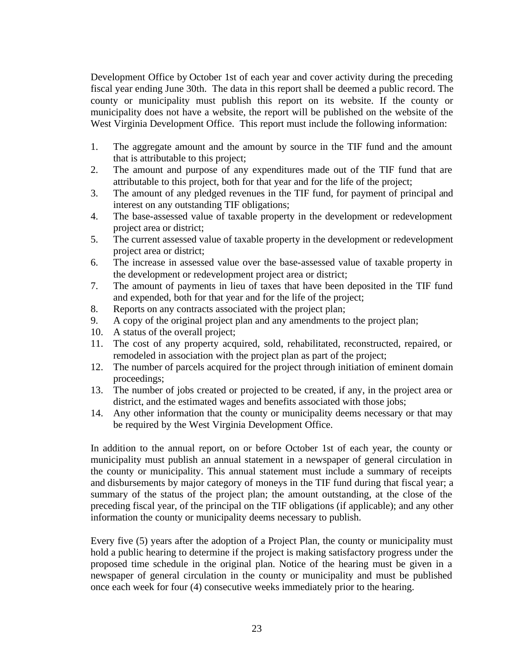Development Office by October 1st of each year and cover activity during the preceding fiscal year ending June 30th. The data in this report shall be deemed a public record. The county or municipality must publish this report on its website. If the county or municipality does not have a website, the report will be published on the website of the West Virginia Development Office. This report must include the following information:

- 1. The aggregate amount and the amount by source in the TIF fund and the amount that is attributable to this project;
- 2. The amount and purpose of any expenditures made out of the TIF fund that are attributable to this project, both for that year and for the life of the project;
- 3. The amount of any pledged revenues in the TIF fund, for payment of principal and interest on any outstanding TIF obligations;
- 4. The base-assessed value of taxable property in the development or redevelopment project area or district;
- 5. The current assessed value of taxable property in the development or redevelopment project area or district;
- 6. The increase in assessed value over the base-assessed value of taxable property in the development or redevelopment project area or district;
- 7. The amount of payments in lieu of taxes that have been deposited in the TIF fund and expended, both for that year and for the life of the project;
- 8. Reports on any contracts associated with the project plan;
- 9. A copy of the original project plan and any amendments to the project plan;
- 10. A status of the overall project;
- 11. The cost of any property acquired, sold, rehabilitated, reconstructed, repaired, or remodeled in association with the project plan as part of the project;
- 12. The number of parcels acquired for the project through initiation of eminent domain proceedings;
- 13. The number of jobs created or projected to be created, if any, in the project area or district, and the estimated wages and benefits associated with those jobs;
- 14. Any other information that the county or municipality deems necessary or that may be required by the West Virginia Development Office.

In addition to the annual report, on or before October 1st of each year, the county or municipality must publish an annual statement in a newspaper of general circulation in the county or municipality. This annual statement must include a summary of receipts and disbursements by major category of moneys in the TIF fund during that fiscal year; a summary of the status of the project plan; the amount outstanding, at the close of the preceding fiscal year, of the principal on the TIF obligations (if applicable); and any other information the county or municipality deems necessary to publish.

Every five (5) years after the adoption of a Project Plan, the county or municipality must hold a public hearing to determine if the project is making satisfactory progress under the proposed time schedule in the original plan. Notice of the hearing must be given in a newspaper of general circulation in the county or municipality and must be published once each week for four (4) consecutive weeks immediately prior to the hearing.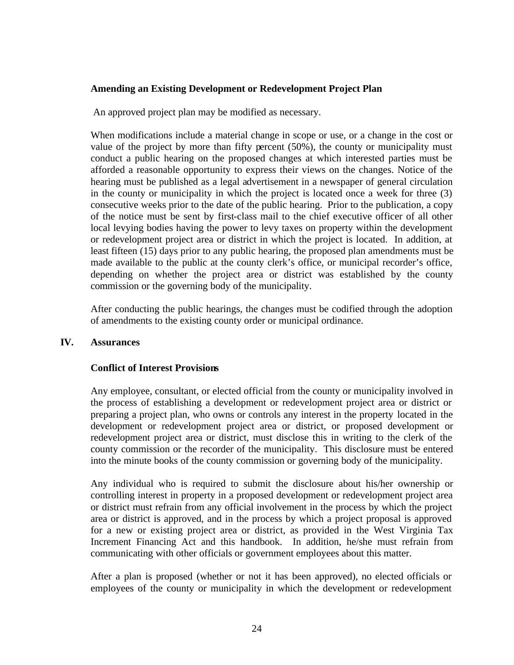#### **Amending an Existing Development or Redevelopment Project Plan**

An approved project plan may be modified as necessary.

When modifications include a material change in scope or use, or a change in the cost or value of the project by more than fifty percent (50%), the county or municipality must conduct a public hearing on the proposed changes at which interested parties must be afforded a reasonable opportunity to express their views on the changes. Notice of the hearing must be published as a legal advertisement in a newspaper of general circulation in the county or municipality in which the project is located once a week for three (3) consecutive weeks prior to the date of the public hearing. Prior to the publication, a copy of the notice must be sent by first-class mail to the chief executive officer of all other local levying bodies having the power to levy taxes on property within the development or redevelopment project area or district in which the project is located. In addition, at least fifteen (15) days prior to any public hearing, the proposed plan amendments must be made available to the public at the county clerk's office, or municipal recorder's office, depending on whether the project area or district was established by the county commission or the governing body of the municipality.

After conducting the public hearings, the changes must be codified through the adoption of amendments to the existing county order or municipal ordinance.

#### **IV. Assurances**

#### **Conflict of Interest Provisions**

Any employee, consultant, or elected official from the county or municipality involved in the process of establishing a development or redevelopment project area or district or preparing a project plan, who owns or controls any interest in the property located in the development or redevelopment project area or district, or proposed development or redevelopment project area or district, must disclose this in writing to the clerk of the county commission or the recorder of the municipality. This disclosure must be entered into the minute books of the county commission or governing body of the municipality.

Any individual who is required to submit the disclosure about his/her ownership or controlling interest in property in a proposed development or redevelopment project area or district must refrain from any official involvement in the process by which the project area or district is approved, and in the process by which a project proposal is approved for a new or existing project area or district, as provided in the West Virginia Tax Increment Financing Act and this handbook. In addition, he/she must refrain from communicating with other officials or government employees about this matter.

After a plan is proposed (whether or not it has been approved), no elected officials or employees of the county or municipality in which the development or redevelopment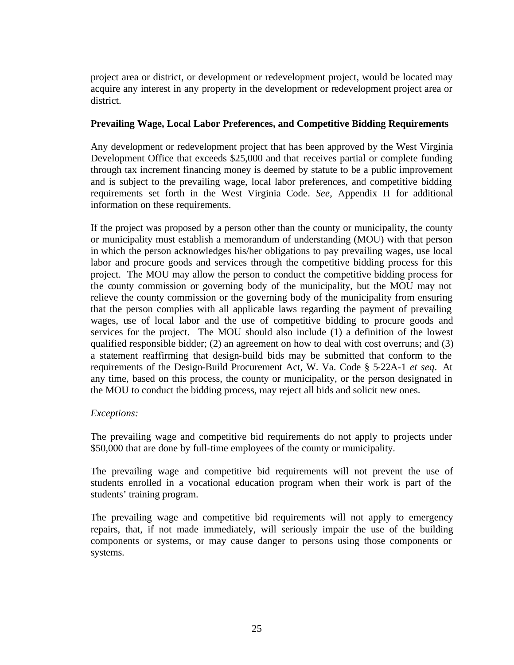project area or district, or development or redevelopment project, would be located may acquire any interest in any property in the development or redevelopment project area or district.

#### **Prevailing Wage, Local Labor Preferences, and Competitive Bidding Requirements**

Any development or redevelopment project that has been approved by the West Virginia Development Office that exceeds \$25,000 and that receives partial or complete funding through tax increment financing money is deemed by statute to be a public improvement and is subject to the prevailing wage, local labor preferences, and competitive bidding requirements set forth in the West Virginia Code. *See*, Appendix H for additional information on these requirements.

If the project was proposed by a person other than the county or municipality, the county or municipality must establish a memorandum of understanding (MOU) with that person in which the person acknowledges his/her obligations to pay prevailing wages, use local labor and procure goods and services through the competitive bidding process for this project. The MOU may allow the person to conduct the competitive bidding process for the county commission or governing body of the municipality, but the MOU may not relieve the county commission or the governing body of the municipality from ensuring that the person complies with all applicable laws regarding the payment of prevailing wages, use of local labor and the use of competitive bidding to procure goods and services for the project. The MOU should also include (1) a definition of the lowest qualified responsible bidder; (2) an agreement on how to deal with cost overruns; and (3) a statement reaffirming that design-build bids may be submitted that conform to the requirements of the Design-Build Procurement Act, W. Va. Code § 5-22A-1 *et seq*. At any time, based on this process, the county or municipality, or the person designated in the MOU to conduct the bidding process, may reject all bids and solicit new ones.

## *Exceptions:*

The prevailing wage and competitive bid requirements do not apply to projects under \$50,000 that are done by full-time employees of the county or municipality.

The prevailing wage and competitive bid requirements will not prevent the use of students enrolled in a vocational education program when their work is part of the students' training program.

The prevailing wage and competitive bid requirements will not apply to emergency repairs, that, if not made immediately, will seriously impair the use of the building components or systems, or may cause danger to persons using those components or systems.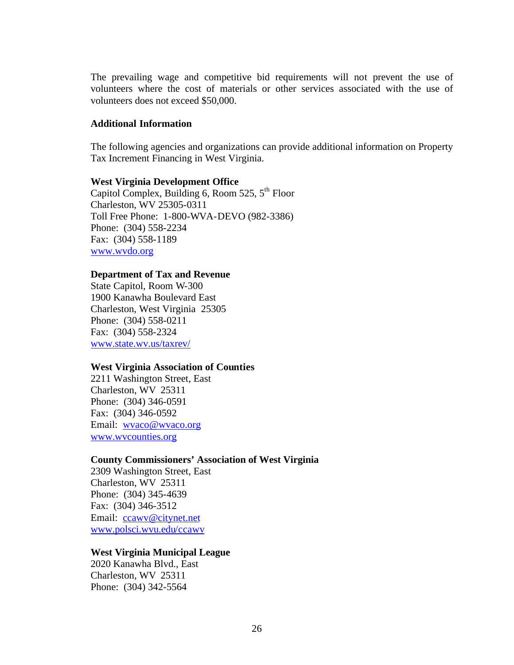The prevailing wage and competitive bid requirements will not prevent the use of volunteers where the cost of materials or other services associated with the use of volunteers does not exceed \$50,000.

#### **Additional Information**

The following agencies and organizations can provide additional information on Property Tax Increment Financing in West Virginia.

#### **West Virginia Development Office**

Capitol Complex, Building 6, Room 525, 5<sup>th</sup> Floor Charleston, WV 25305-0311 Toll Free Phone: 1-800-WVA-DEVO (982-3386) Phone: (304) 558-2234 Fax: (304) 558-1189 www.wvdo.org

#### **Department of Tax and Revenue**

State Capitol, Room W-300 1900 Kanawha Boulevard East Charleston, West Virginia 25305 Phone: (304) 558-0211 Fax: (304) 558-2324 www.state.wv.us/taxrev/

#### **West Virginia Association of Counties**

2211 Washington Street, East Charleston, WV 25311 Phone: (304) 346-0591 Fax: (304) 346-0592 Email: wvaco@wvaco.org www.wvcounties.org

#### **County Commissioners' Association of West Virginia**

2309 Washington Street, East Charleston, WV 25311 Phone: (304) 345-4639 Fax: (304) 346-3512 Email: ccawv@citynet.net www.polsci.wvu.edu/ccawv

#### **West Virginia Municipal League**

2020 Kanawha Blvd., East Charleston, WV 25311 Phone: (304) 342-5564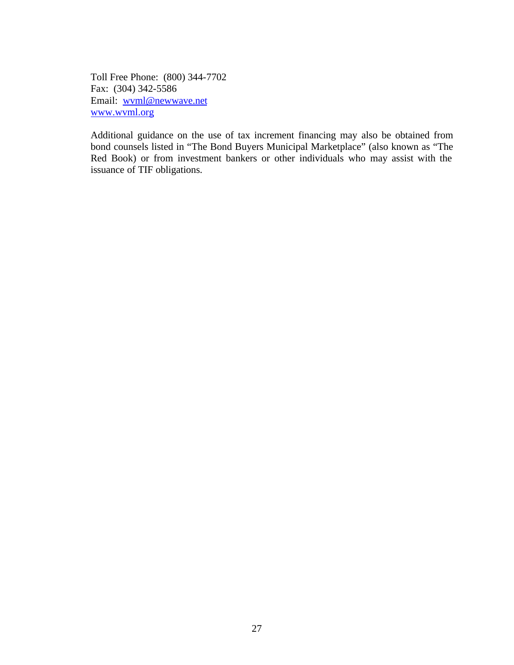Toll Free Phone: (800) 344-7702 Fax: (304) 342-5586 Email: wvml@newwave.net www.wvml.org

Additional guidance on the use of tax increment financing may also be obtained from bond counsels listed in "The Bond Buyers Municipal Marketplace" (also known as "The Red Book) or from investment bankers or other individuals who may assist with the issuance of TIF obligations.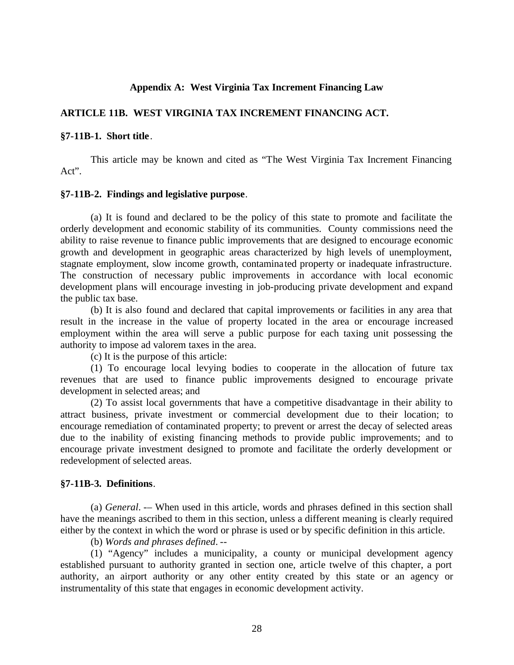#### **Appendix A: West Virginia Tax Increment Financing Law**

#### **ARTICLE 11B. WEST VIRGINIA TAX INCREMENT FINANCING ACT.**

#### **§7-11B-1. Short title**.

This article may be known and cited as "The West Virginia Tax Increment Financing Act".

#### **§7-11B-2. Findings and legislative purpose**.

(a) It is found and declared to be the policy of this state to promote and facilitate the orderly development and economic stability of its communities. County commissions need the ability to raise revenue to finance public improvements that are designed to encourage economic growth and development in geographic areas characterized by high levels of unemployment, stagnate employment, slow income growth, contaminated property or inadequate infrastructure. The construction of necessary public improvements in accordance with local economic development plans will encourage investing in job-producing private development and expand the public tax base.

(b) It is also found and declared that capital improvements or facilities in any area that result in the increase in the value of property located in the area or encourage increased employment within the area will serve a public purpose for each taxing unit possessing the authority to impose ad valorem taxes in the area.

(c) It is the purpose of this article:

(1) To encourage local levying bodies to cooperate in the allocation of future tax revenues that are used to finance public improvements designed to encourage private development in selected areas; and

(2) To assist local governments that have a competitive disadvantage in their ability to attract business, private investment or commercial development due to their location; to encourage remediation of contaminated property; to prevent or arrest the decay of selected areas due to the inability of existing financing methods to provide public improvements; and to encourage private investment designed to promote and facilitate the orderly development or redevelopment of selected areas.

#### **§7-11B-3. Definitions**.

(a) *General*. -– When used in this article, words and phrases defined in this section shall have the meanings ascribed to them in this section, unless a different meaning is clearly required either by the context in which the word or phrase is used or by specific definition in this article.

(b) *Words and phrases defined*. --

(1) "Agency" includes a municipality, a county or municipal development agency established pursuant to authority granted in section one, article twelve of this chapter, a port authority, an airport authority or any other entity created by this state or an agency or instrumentality of this state that engages in economic development activity.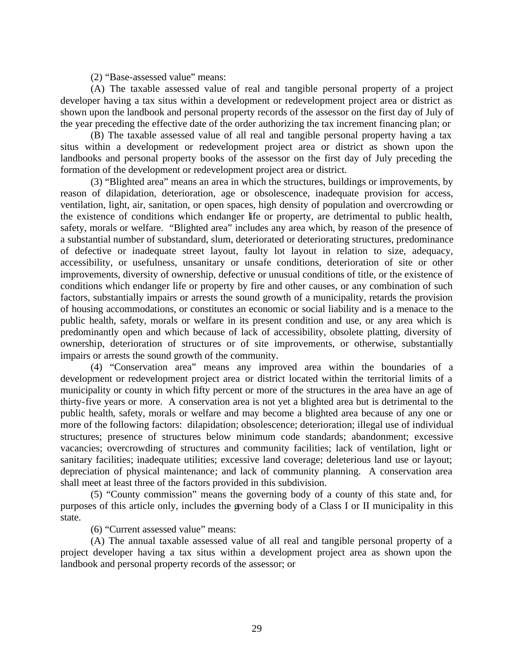(2) "Base-assessed value" means:

(A) The taxable assessed value of real and tangible personal property of a project developer having a tax situs within a development or redevelopment project area or district as shown upon the landbook and personal property records of the assessor on the first day of July of the year preceding the effective date of the order authorizing the tax increment financing plan; or

(B) The taxable assessed value of all real and tangible personal property having a tax situs within a development or redevelopment project area or district as shown upon the landbooks and personal property books of the assessor on the first day of July preceding the formation of the development or redevelopment project area or district.

(3) "Blighted area" means an area in which the structures, buildings or improvements, by reason of dilapidation, deterioration, age or obsolescence, inadequate provision for access, ventilation, light, air, sanitation, or open spaces, high density of population and overcrowding or the existence of conditions which endanger life or property, are detrimental to public health, safety, morals or welfare. "Blighted area" includes any area which, by reason of the presence of a substantial number of substandard, slum, deteriorated or deteriorating structures, predominance of defective or inadequate street layout, faulty lot layout in relation to size, adequacy, accessibility, or usefulness, unsanitary or unsafe conditions, deterioration of site or other improvements, diversity of ownership, defective or unusual conditions of title, or the existence of conditions which endanger life or property by fire and other causes, or any combination of such factors, substantially impairs or arrests the sound growth of a municipality, retards the provision of housing accommodations, or constitutes an economic or social liability and is a menace to the public health, safety, morals or welfare in its present condition and use, or any area which is predominantly open and which because of lack of accessibility, obsolete platting, diversity of ownership, deterioration of structures or of site improvements, or otherwise, substantially impairs or arrests the sound growth of the community.

(4) "Conservation area" means any improved area within the boundaries of a development or redevelopment project area or district located within the territorial limits of a municipality or county in which fifty percent or more of the structures in the area have an age of thirty-five years or more. A conservation area is not yet a blighted area but is detrimental to the public health, safety, morals or welfare and may become a blighted area because of any one or more of the following factors: dilapidation; obsolescence; deterioration; illegal use of individual structures; presence of structures below minimum code standards; abandonment; excessive vacancies; overcrowding of structures and community facilities; lack of ventilation, light or sanitary facilities; inadequate utilities; excessive land coverage; deleterious land use or layout; depreciation of physical maintenance; and lack of community planning. A conservation area shall meet at least three of the factors provided in this subdivision.

(5) "County commission" means the governing body of a county of this state and, for purposes of this article only, includes the governing body of a Class I or II municipality in this state.

(6) "Current assessed value" means:

(A) The annual taxable assessed value of all real and tangible personal property of a project developer having a tax situs within a development project area as shown upon the landbook and personal property records of the assessor; or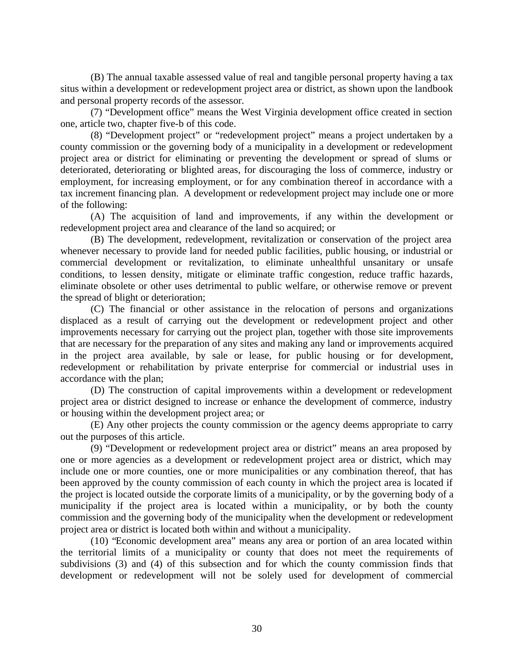(B) The annual taxable assessed value of real and tangible personal property having a tax situs within a development or redevelopment project area or district, as shown upon the landbook and personal property records of the assessor.

(7) "Development office" means the West Virginia development office created in section one, article two, chapter five-b of this code.

(8) "Development project" or "redevelopment project" means a project undertaken by a county commission or the governing body of a municipality in a development or redevelopment project area or district for eliminating or preventing the development or spread of slums or deteriorated, deteriorating or blighted areas, for discouraging the loss of commerce, industry or employment, for increasing employment, or for any combination thereof in accordance with a tax increment financing plan. A development or redevelopment project may include one or more of the following:

(A) The acquisition of land and improvements, if any within the development or redevelopment project area and clearance of the land so acquired; or

(B) The development, redevelopment, revitalization or conservation of the project area whenever necessary to provide land for needed public facilities, public housing, or industrial or commercial development or revitalization, to eliminate unhealthful unsanitary or unsafe conditions, to lessen density, mitigate or eliminate traffic congestion, reduce traffic hazards, eliminate obsolete or other uses detrimental to public welfare, or otherwise remove or prevent the spread of blight or deterioration;

(C) The financial or other assistance in the relocation of persons and organizations displaced as a result of carrying out the development or redevelopment project and other improvements necessary for carrying out the project plan, together with those site improvements that are necessary for the preparation of any sites and making any land or improvements acquired in the project area available, by sale or lease, for public housing or for development, redevelopment or rehabilitation by private enterprise for commercial or industrial uses in accordance with the plan;

(D) The construction of capital improvements within a development or redevelopment project area or district designed to increase or enhance the development of commerce, industry or housing within the development project area; or

(E) Any other projects the county commission or the agency deems appropriate to carry out the purposes of this article.

(9) "Development or redevelopment project area or district" means an area proposed by one or more agencies as a development or redevelopment project area or district, which may include one or more counties, one or more municipalities or any combination thereof, that has been approved by the county commission of each county in which the project area is located if the project is located outside the corporate limits of a municipality, or by the governing body of a municipality if the project area is located within a municipality, or by both the county commission and the governing body of the municipality when the development or redevelopment project area or district is located both within and without a municipality.

(10) "Economic development area" means any area or portion of an area located within the territorial limits of a municipality or county that does not meet the requirements of subdivisions (3) and (4) of this subsection and for which the county commission finds that development or redevelopment will not be solely used for development of commercial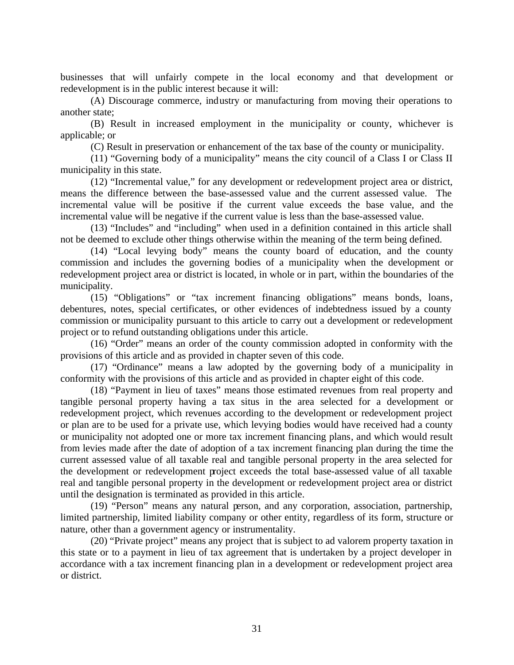businesses that will unfairly compete in the local economy and that development or redevelopment is in the public interest because it will:

(A) Discourage commerce, industry or manufacturing from moving their operations to another state;

(B) Result in increased employment in the municipality or county, whichever is applicable; or

(C) Result in preservation or enhancement of the tax base of the county or municipality.

(11) "Governing body of a municipality" means the city council of a Class I or Class II municipality in this state.

(12) "Incremental value," for any development or redevelopment project area or district, means the difference between the base-assessed value and the current assessed value. The incremental value will be positive if the current value exceeds the base value, and the incremental value will be negative if the current value is less than the base-assessed value.

(13) "Includes" and "including" when used in a definition contained in this article shall not be deemed to exclude other things otherwise within the meaning of the term being defined.

(14) "Local levying body" means the county board of education, and the county commission and includes the governing bodies of a municipality when the development or redevelopment project area or district is located, in whole or in part, within the boundaries of the municipality.

(15) "Obligations" or "tax increment financing obligations" means bonds, loans, debentures, notes, special certificates, or other evidences of indebtedness issued by a county commission or municipality pursuant to this article to carry out a development or redevelopment project or to refund outstanding obligations under this article.

(16) "Order" means an order of the county commission adopted in conformity with the provisions of this article and as provided in chapter seven of this code.

(17) "Ordinance" means a law adopted by the governing body of a municipality in conformity with the provisions of this article and as provided in chapter eight of this code.

(18) "Payment in lieu of taxes" means those estimated revenues from real property and tangible personal property having a tax situs in the area selected for a development or redevelopment project, which revenues according to the development or redevelopment project or plan are to be used for a private use, which levying bodies would have received had a county or municipality not adopted one or more tax increment financing plans, and which would result from levies made after the date of adoption of a tax increment financing plan during the time the current assessed value of all taxable real and tangible personal property in the area selected for the development or redevelopment project exceeds the total base-assessed value of all taxable real and tangible personal property in the development or redevelopment project area or district until the designation is terminated as provided in this article.

(19) "Person" means any natural person, and any corporation, association, partnership, limited partnership, limited liability company or other entity, regardless of its form, structure or nature, other than a government agency or instrumentality.

(20) "Private project" means any project that is subject to ad valorem property taxation in this state or to a payment in lieu of tax agreement that is undertaken by a project developer in accordance with a tax increment financing plan in a development or redevelopment project area or district.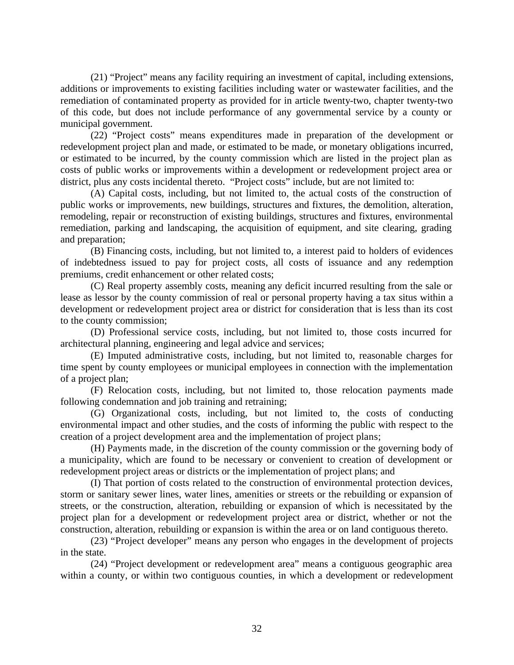(21) "Project" means any facility requiring an investment of capital, including extensions, additions or improvements to existing facilities including water or wastewater facilities, and the remediation of contaminated property as provided for in article twenty-two, chapter twenty-two of this code, but does not include performance of any governmental service by a county or municipal government.

(22) "Project costs" means expenditures made in preparation of the development or redevelopment project plan and made, or estimated to be made, or monetary obligations incurred, or estimated to be incurred, by the county commission which are listed in the project plan as costs of public works or improvements within a development or redevelopment project area or district, plus any costs incidental thereto. "Project costs" include, but are not limited to:

(A) Capital costs, including, but not limited to, the actual costs of the construction of public works or improvements, new buildings, structures and fixtures, the demolition, alteration, remodeling, repair or reconstruction of existing buildings, structures and fixtures, environmental remediation, parking and landscaping, the acquisition of equipment, and site clearing, grading and preparation;

(B) Financing costs, including, but not limited to, a interest paid to holders of evidences of indebtedness issued to pay for project costs, all costs of issuance and any redemption premiums, credit enhancement or other related costs;

(C) Real property assembly costs, meaning any deficit incurred resulting from the sale or lease as lessor by the county commission of real or personal property having a tax situs within a development or redevelopment project area or district for consideration that is less than its cost to the county commission;

(D) Professional service costs, including, but not limited to, those costs incurred for architectural planning, engineering and legal advice and services;

(E) Imputed administrative costs, including, but not limited to, reasonable charges for time spent by county employees or municipal employees in connection with the implementation of a project plan;

(F) Relocation costs, including, but not limited to, those relocation payments made following condemnation and job training and retraining;

(G) Organizational costs, including, but not limited to, the costs of conducting environmental impact and other studies, and the costs of informing the public with respect to the creation of a project development area and the implementation of project plans;

(H) Payments made, in the discretion of the county commission or the governing body of a municipality, which are found to be necessary or convenient to creation of development or redevelopment project areas or districts or the implementation of project plans; and

(I) That portion of costs related to the construction of environmental protection devices, storm or sanitary sewer lines, water lines, amenities or streets or the rebuilding or expansion of streets, or the construction, alteration, rebuilding or expansion of which is necessitated by the project plan for a development or redevelopment project area or district, whether or not the construction, alteration, rebuilding or expansion is within the area or on land contiguous thereto.

(23) "Project developer" means any person who engages in the development of projects in the state.

(24) "Project development or redevelopment area" means a contiguous geographic area within a county, or within two contiguous counties, in which a development or redevelopment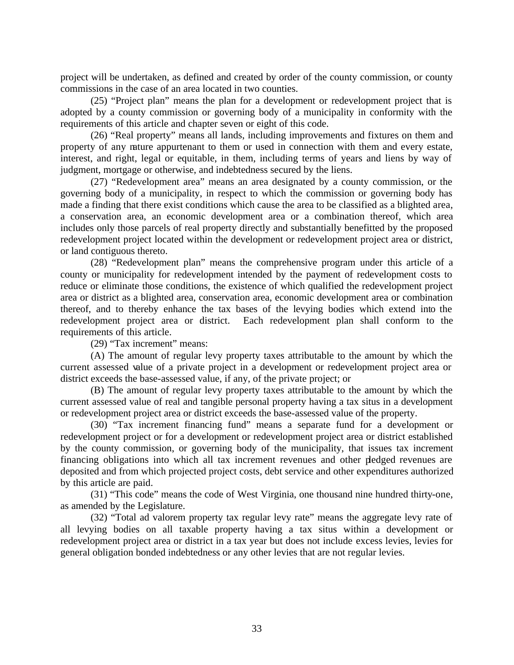project will be undertaken, as defined and created by order of the county commission, or county commissions in the case of an area located in two counties.

(25) "Project plan" means the plan for a development or redevelopment project that is adopted by a county commission or governing body of a municipality in conformity with the requirements of this article and chapter seven or eight of this code.

(26) "Real property" means all lands, including improvements and fixtures on them and property of any nature appurtenant to them or used in connection with them and every estate, interest, and right, legal or equitable, in them, including terms of years and liens by way of judgment, mortgage or otherwise, and indebtedness secured by the liens.

(27) "Redevelopment area" means an area designated by a county commission, or the governing body of a municipality, in respect to which the commission or governing body has made a finding that there exist conditions which cause the area to be classified as a blighted area, a conservation area, an economic development area or a combination thereof, which area includes only those parcels of real property directly and substantially benefitted by the proposed redevelopment project located within the development or redevelopment project area or district, or land contiguous thereto.

(28) "Redevelopment plan" means the comprehensive program under this article of a county or municipality for redevelopment intended by the payment of redevelopment costs to reduce or eliminate those conditions, the existence of which qualified the redevelopment project area or district as a blighted area, conservation area, economic development area or combination thereof, and to thereby enhance the tax bases of the levying bodies which extend into the redevelopment project area or district. Each redevelopment plan shall conform to the requirements of this article.

(29) "Tax increment" means:

(A) The amount of regular levy property taxes attributable to the amount by which the current assessed value of a private project in a development or redevelopment project area or district exceeds the base-assessed value, if any, of the private project; or

(B) The amount of regular levy property taxes attributable to the amount by which the current assessed value of real and tangible personal property having a tax situs in a development or redevelopment project area or district exceeds the base-assessed value of the property.

(30) "Tax increment financing fund" means a separate fund for a development or redevelopment project or for a development or redevelopment project area or district established by the county commission, or governing body of the municipality, that issues tax increment financing obligations into which all tax increment revenues and other pledged revenues are deposited and from which projected project costs, debt service and other expenditures authorized by this article are paid.

(31) "This code" means the code of West Virginia, one thousand nine hundred thirty-one, as amended by the Legislature.

(32) "Total ad valorem property tax regular levy rate" means the aggregate levy rate of all levying bodies on all taxable property having a tax situs within a development or redevelopment project area or district in a tax year but does not include excess levies, levies for general obligation bonded indebtedness or any other levies that are not regular levies.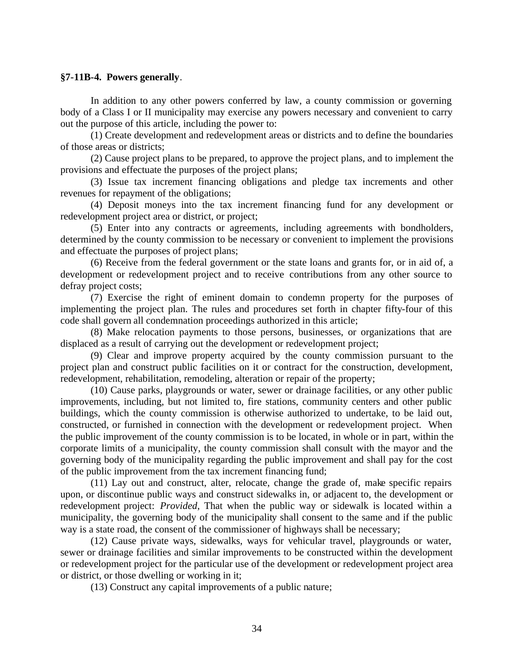#### **§7-11B-4. Powers generally**.

In addition to any other powers conferred by law, a county commission or governing body of a Class I or II municipality may exercise any powers necessary and convenient to carry out the purpose of this article, including the power to:

(1) Create development and redevelopment areas or districts and to define the boundaries of those areas or districts;

(2) Cause project plans to be prepared, to approve the project plans, and to implement the provisions and effectuate the purposes of the project plans;

(3) Issue tax increment financing obligations and pledge tax increments and other revenues for repayment of the obligations;

(4) Deposit moneys into the tax increment financing fund for any development or redevelopment project area or district, or project;

(5) Enter into any contracts or agreements, including agreements with bondholders, determined by the county commission to be necessary or convenient to implement the provisions and effectuate the purposes of project plans;

(6) Receive from the federal government or the state loans and grants for, or in aid of, a development or redevelopment project and to receive contributions from any other source to defray project costs;

(7) Exercise the right of eminent domain to condemn property for the purposes of implementing the project plan. The rules and procedures set forth in chapter fifty-four of this code shall govern all condemnation proceedings authorized in this article;

(8) Make relocation payments to those persons, businesses, or organizations that are displaced as a result of carrying out the development or redevelopment project;

(9) Clear and improve property acquired by the county commission pursuant to the project plan and construct public facilities on it or contract for the construction, development, redevelopment, rehabilitation, remodeling, alteration or repair of the property;

(10) Cause parks, playgrounds or water, sewer or drainage facilities, or any other public improvements, including, but not limited to, fire stations, community centers and other public buildings, which the county commission is otherwise authorized to undertake, to be laid out, constructed, or furnished in connection with the development or redevelopment project. When the public improvement of the county commission is to be located, in whole or in part, within the corporate limits of a municipality, the county commission shall consult with the mayor and the governing body of the municipality regarding the public improvement and shall pay for the cost of the public improvement from the tax increment financing fund;

(11) Lay out and construct, alter, relocate, change the grade of, make specific repairs upon, or discontinue public ways and construct sidewalks in, or adjacent to, the development or redevelopment project: *Provided*, That when the public way or sidewalk is located within a municipality, the governing body of the municipality shall consent to the same and if the public way is a state road, the consent of the commissioner of highways shall be necessary;

(12) Cause private ways, sidewalks, ways for vehicular travel, playgrounds or water, sewer or drainage facilities and similar improvements to be constructed within the development or redevelopment project for the particular use of the development or redevelopment project area or district, or those dwelling or working in it;

(13) Construct any capital improvements of a public nature;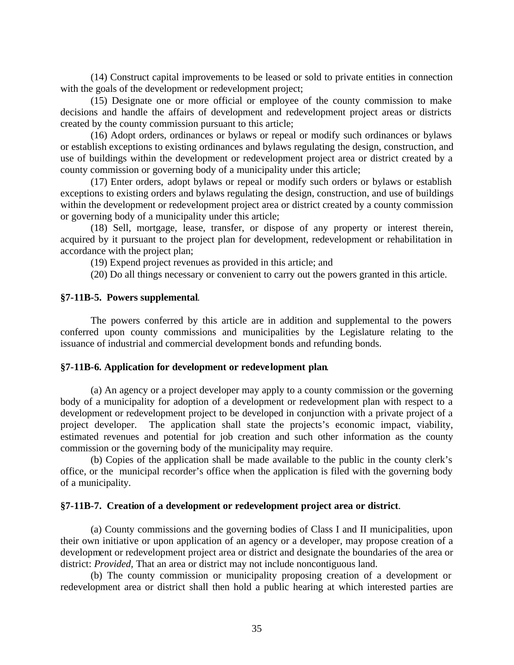(14) Construct capital improvements to be leased or sold to private entities in connection with the goals of the development or redevelopment project;

(15) Designate one or more official or employee of the county commission to make decisions and handle the affairs of development and redevelopment project areas or districts created by the county commission pursuant to this article;

(16) Adopt orders, ordinances or bylaws or repeal or modify such ordinances or bylaws or establish exceptions to existing ordinances and bylaws regulating the design, construction, and use of buildings within the development or redevelopment project area or district created by a county commission or governing body of a municipality under this article;

(17) Enter orders, adopt bylaws or repeal or modify such orders or bylaws or establish exceptions to existing orders and bylaws regulating the design, construction, and use of buildings within the development or redevelopment project area or district created by a county commission or governing body of a municipality under this article;

(18) Sell, mortgage, lease, transfer, or dispose of any property or interest therein, acquired by it pursuant to the project plan for development, redevelopment or rehabilitation in accordance with the project plan;

(19) Expend project revenues as provided in this article; and

(20) Do all things necessary or convenient to carry out the powers granted in this article.

#### **§7-11B-5. Powers supplemental**.

The powers conferred by this article are in addition and supplemental to the powers conferred upon county commissions and municipalities by the Legislature relating to the issuance of industrial and commercial development bonds and refunding bonds.

#### **§7-11B-6. Application for development or redevelopment plan**.

(a) An agency or a project developer may apply to a county commission or the governing body of a municipality for adoption of a development or redevelopment plan with respect to a development or redevelopment project to be developed in conjunction with a private project of a project developer. The application shall state the projects's economic impact, viability, estimated revenues and potential for job creation and such other information as the county commission or the governing body of the municipality may require.

(b) Copies of the application shall be made available to the public in the county clerk's office, or the municipal recorder's office when the application is filed with the governing body of a municipality.

#### **§7-11B-7. Creation of a development or redevelopment project area or district**.

(a) County commissions and the governing bodies of Class I and II municipalities, upon their own initiative or upon application of an agency or a developer, may propose creation of a development or redevelopment project area or district and designate the boundaries of the area or district: *Provided,* That an area or district may not include noncontiguous land.

(b) The county commission or municipality proposing creation of a development or redevelopment area or district shall then hold a public hearing at which interested parties are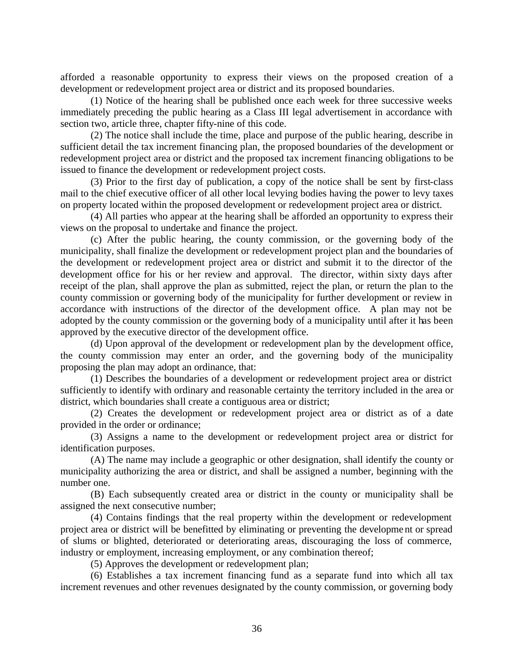afforded a reasonable opportunity to express their views on the proposed creation of a development or redevelopment project area or district and its proposed boundaries.

(1) Notice of the hearing shall be published once each week for three successive weeks immediately preceding the public hearing as a Class III legal advertisement in accordance with section two, article three, chapter fifty-nine of this code.

(2) The notice shall include the time, place and purpose of the public hearing, describe in sufficient detail the tax increment financing plan, the proposed boundaries of the development or redevelopment project area or district and the proposed tax increment financing obligations to be issued to finance the development or redevelopment project costs.

(3) Prior to the first day of publication, a copy of the notice shall be sent by first-class mail to the chief executive officer of all other local levying bodies having the power to levy taxes on property located within the proposed development or redevelopment project area or district.

(4) All parties who appear at the hearing shall be afforded an opportunity to express their views on the proposal to undertake and finance the project.

(c) After the public hearing, the county commission, or the governing body of the municipality, shall finalize the development or redevelopment project plan and the boundaries of the development or redevelopment project area or district and submit it to the director of the development office for his or her review and approval. The director, within sixty days after receipt of the plan, shall approve the plan as submitted, reject the plan, or return the plan to the county commission or governing body of the municipality for further development or review in accordance with instructions of the director of the development office. A plan may not be adopted by the county commission or the governing body of a municipality until after it has been approved by the executive director of the development office.

(d) Upon approval of the development or redevelopment plan by the development office, the county commission may enter an order, and the governing body of the municipality proposing the plan may adopt an ordinance, that:

(1) Describes the boundaries of a development or redevelopment project area or district sufficiently to identify with ordinary and reasonable certainty the territory included in the area or district, which boundaries shall create a contiguous area or district;

(2) Creates the development or redevelopment project area or district as of a date provided in the order or ordinance;

(3) Assigns a name to the development or redevelopment project area or district for identification purposes.

(A) The name may include a geographic or other designation, shall identify the county or municipality authorizing the area or district, and shall be assigned a number, beginning with the number one.

(B) Each subsequently created area or district in the county or municipality shall be assigned the next consecutive number;

(4) Contains findings that the real property within the development or redevelopment project area or district will be benefitted by eliminating or preventing the developme nt or spread of slums or blighted, deteriorated or deteriorating areas, discouraging the loss of commerce, industry or employment, increasing employment, or any combination thereof;

(5) Approves the development or redevelopment plan;

(6) Establishes a tax increment financing fund as a separate fund into which all tax increment revenues and other revenues designated by the county commission, or governing body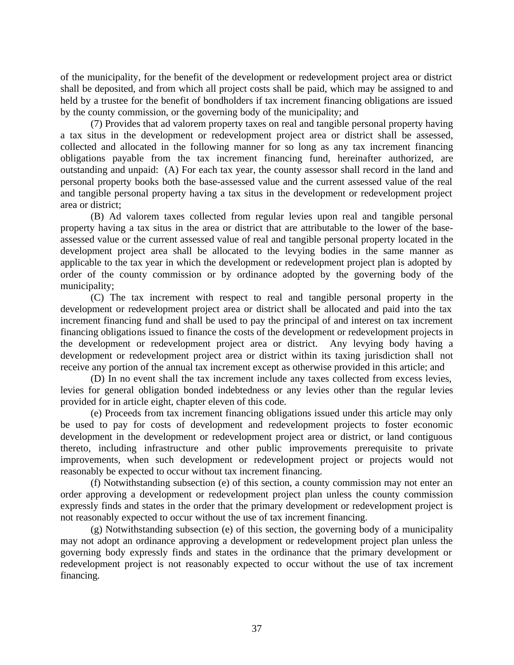of the municipality, for the benefit of the development or redevelopment project area or district shall be deposited, and from which all project costs shall be paid, which may be assigned to and held by a trustee for the benefit of bondholders if tax increment financing obligations are issued by the county commission, or the governing body of the municipality; and

(7) Provides that ad valorem property taxes on real and tangible personal property having a tax situs in the development or redevelopment project area or district shall be assessed, collected and allocated in the following manner for so long as any tax increment financing obligations payable from the tax increment financing fund, hereinafter authorized, are outstanding and unpaid: (A) For each tax year, the county assessor shall record in the land and personal property books both the base-assessed value and the current assessed value of the real and tangible personal property having a tax situs in the development or redevelopment project area or district;

(B) Ad valorem taxes collected from regular levies upon real and tangible personal property having a tax situs in the area or district that are attributable to the lower of the baseassessed value or the current assessed value of real and tangible personal property located in the development project area shall be allocated to the levying bodies in the same manner as applicable to the tax year in which the development or redevelopment project plan is adopted by order of the county commission or by ordinance adopted by the governing body of the municipality;

(C) The tax increment with respect to real and tangible personal property in the development or redevelopment project area or district shall be allocated and paid into the tax increment financing fund and shall be used to pay the principal of and interest on tax increment financing obligations issued to finance the costs of the development or redevelopment projects in the development or redevelopment project area or district. Any levying body having a development or redevelopment project area or district within its taxing jurisdiction shall not receive any portion of the annual tax increment except as otherwise provided in this article; and

(D) In no event shall the tax increment include any taxes collected from excess levies, levies for general obligation bonded indebtedness or any levies other than the regular levies provided for in article eight, chapter eleven of this code.

(e) Proceeds from tax increment financing obligations issued under this article may only be used to pay for costs of development and redevelopment projects to foster economic development in the development or redevelopment project area or district, or land contiguous thereto, including infrastructure and other public improvements prerequisite to private improvements, when such development or redevelopment project or projects would not reasonably be expected to occur without tax increment financing.

(f) Notwithstanding subsection (e) of this section, a county commission may not enter an order approving a development or redevelopment project plan unless the county commission expressly finds and states in the order that the primary development or redevelopment project is not reasonably expected to occur without the use of tax increment financing.

(g) Notwithstanding subsection (e) of this section, the governing body of a municipality may not adopt an ordinance approving a development or redevelopment project plan unless the governing body expressly finds and states in the ordinance that the primary development or redevelopment project is not reasonably expected to occur without the use of tax increment financing.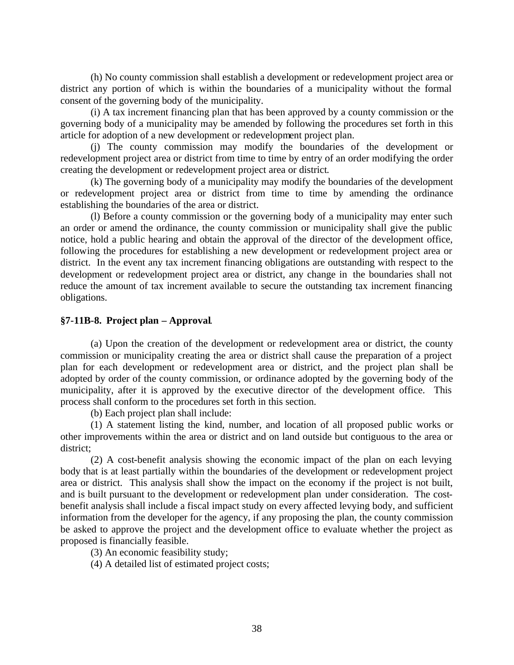(h) No county commission shall establish a development or redevelopment project area or district any portion of which is within the boundaries of a municipality without the formal consent of the governing body of the municipality.

(i) A tax increment financing plan that has been approved by a county commission or the governing body of a municipality may be amended by following the procedures set forth in this article for adoption of a new development or redevelopment project plan.

(j) The county commission may modify the boundaries of the development or redevelopment project area or district from time to time by entry of an order modifying the order creating the development or redevelopment project area or district.

(k) The governing body of a municipality may modify the boundaries of the development or redevelopment project area or district from time to time by amending the ordinance establishing the boundaries of the area or district.

(l) Before a county commission or the governing body of a municipality may enter such an order or amend the ordinance, the county commission or municipality shall give the public notice, hold a public hearing and obtain the approval of the director of the development office, following the procedures for establishing a new development or redevelopment project area or district. In the event any tax increment financing obligations are outstanding with respect to the development or redevelopment project area or district, any change in the boundaries shall not reduce the amount of tax increment available to secure the outstanding tax increment financing obligations.

#### **§7-11B-8. Project plan – Approval**.

(a) Upon the creation of the development or redevelopment area or district, the county commission or municipality creating the area or district shall cause the preparation of a project plan for each development or redevelopment area or district, and the project plan shall be adopted by order of the county commission, or ordinance adopted by the governing body of the municipality, after it is approved by the executive director of the development office. This process shall conform to the procedures set forth in this section.

(b) Each project plan shall include:

(1) A statement listing the kind, number, and location of all proposed public works or other improvements within the area or district and on land outside but contiguous to the area or district;

(2) A cost-benefit analysis showing the economic impact of the plan on each levying body that is at least partially within the boundaries of the development or redevelopment project area or district. This analysis shall show the impact on the economy if the project is not built, and is built pursuant to the development or redevelopment plan under consideration. The costbenefit analysis shall include a fiscal impact study on every affected levying body, and sufficient information from the developer for the agency, if any proposing the plan, the county commission be asked to approve the project and the development office to evaluate whether the project as proposed is financially feasible.

(3) An economic feasibility study;

(4) A detailed list of estimated project costs;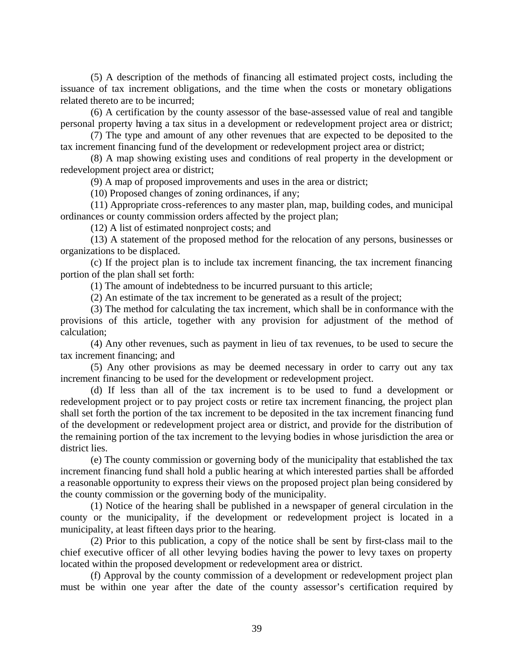(5) A description of the methods of financing all estimated project costs, including the issuance of tax increment obligations, and the time when the costs or monetary obligations related thereto are to be incurred;

(6) A certification by the county assessor of the base-assessed value of real and tangible personal property having a tax situs in a development or redevelopment project area or district;

(7) The type and amount of any other revenues that are expected to be deposited to the tax increment financing fund of the development or redevelopment project area or district;

(8) A map showing existing uses and conditions of real property in the development or redevelopment project area or district;

(9) A map of proposed improvements and uses in the area or district;

(10) Proposed changes of zoning ordinances, if any;

(11) Appropriate cross-references to any master plan, map, building codes, and municipal ordinances or county commission orders affected by the project plan;

(12) A list of estimated nonproject costs; and

(13) A statement of the proposed method for the relocation of any persons, businesses or organizations to be displaced.

(c) If the project plan is to include tax increment financing, the tax increment financing portion of the plan shall set forth:

(1) The amount of indebtedness to be incurred pursuant to this article;

(2) An estimate of the tax increment to be generated as a result of the project;

(3) The method for calculating the tax increment, which shall be in conformance with the provisions of this article, together with any provision for adjustment of the method of calculation;

(4) Any other revenues, such as payment in lieu of tax revenues, to be used to secure the tax increment financing; and

(5) Any other provisions as may be deemed necessary in order to carry out any tax increment financing to be used for the development or redevelopment project.

(d) If less than all of the tax increment is to be used to fund a development or redevelopment project or to pay project costs or retire tax increment financing, the project plan shall set forth the portion of the tax increment to be deposited in the tax increment financing fund of the development or redevelopment project area or district, and provide for the distribution of the remaining portion of the tax increment to the levying bodies in whose jurisdiction the area or district lies.

(e) The county commission or governing body of the municipality that established the tax increment financing fund shall hold a public hearing at which interested parties shall be afforded a reasonable opportunity to express their views on the proposed project plan being considered by the county commission or the governing body of the municipality.

(1) Notice of the hearing shall be published in a newspaper of general circulation in the county or the municipality, if the development or redevelopment project is located in a municipality, at least fifteen days prior to the hearing.

(2) Prior to this publication, a copy of the notice shall be sent by first-class mail to the chief executive officer of all other levying bodies having the power to levy taxes on property located within the proposed development or redevelopment area or district.

(f) Approval by the county commission of a development or redevelopment project plan must be within one year after the date of the county assessor's certification required by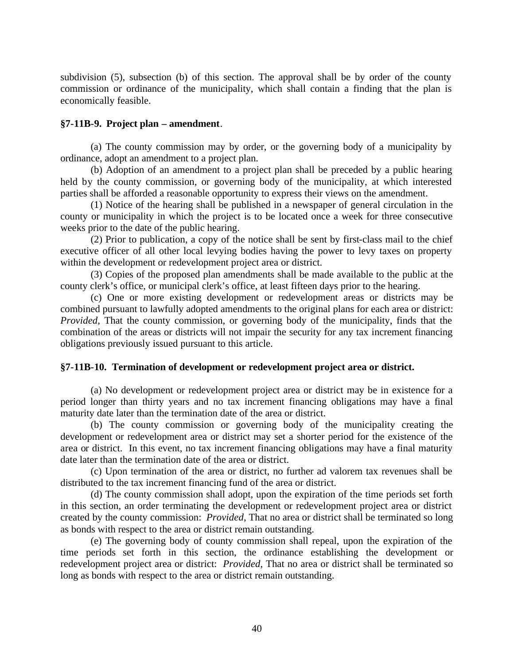subdivision (5), subsection (b) of this section. The approval shall be by order of the county commission or ordinance of the municipality, which shall contain a finding that the plan is economically feasible.

#### **§7-11B-9. Project plan – amendment**.

(a) The county commission may by order, or the governing body of a municipality by ordinance, adopt an amendment to a project plan.

(b) Adoption of an amendment to a project plan shall be preceded by a public hearing held by the county commission, or governing body of the municipality, at which interested parties shall be afforded a reasonable opportunity to express their views on the amendment.

(1) Notice of the hearing shall be published in a newspaper of general circulation in the county or municipality in which the project is to be located once a week for three consecutive weeks prior to the date of the public hearing.

(2) Prior to publication, a copy of the notice shall be sent by first-class mail to the chief executive officer of all other local levying bodies having the power to levy taxes on property within the development or redevelopment project area or district.

(3) Copies of the proposed plan amendments shall be made available to the public at the county clerk's office, or municipal clerk's office, at least fifteen days prior to the hearing.

(c) One or more existing development or redevelopment areas or districts may be combined pursuant to lawfully adopted amendments to the original plans for each area or district: *Provided*, That the county commission, or governing body of the municipality, finds that the combination of the areas or districts will not impair the security for any tax increment financing obligations previously issued pursuant to this article.

#### **§7-11B-10. Termination of development or redevelopment project area or district.**

(a) No development or redevelopment project area or district may be in existence for a period longer than thirty years and no tax increment financing obligations may have a final maturity date later than the termination date of the area or district.

(b) The county commission or governing body of the municipality creating the development or redevelopment area or district may set a shorter period for the existence of the area or district. In this event, no tax increment financing obligations may have a final maturity date later than the termination date of the area or district.

(c) Upon termination of the area or district, no further ad valorem tax revenues shall be distributed to the tax increment financing fund of the area or district.

(d) The county commission shall adopt, upon the expiration of the time periods set forth in this section, an order terminating the development or redevelopment project area or district created by the county commission: *Provided*, That no area or district shall be terminated so long as bonds with respect to the area or district remain outstanding.

(e) The governing body of county commission shall repeal, upon the expiration of the time periods set forth in this section, the ordinance establishing the development or redevelopment project area or district: *Provided*, That no area or district shall be terminated so long as bonds with respect to the area or district remain outstanding.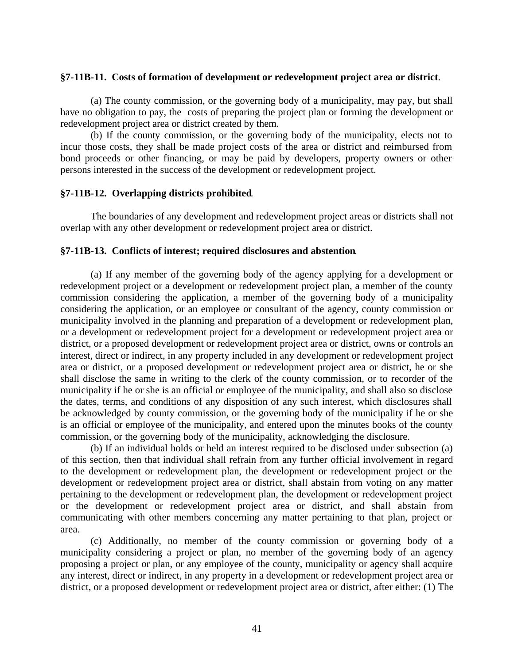#### **§7-11B-11. Costs of formation of development or redevelopment project area or district**.

(a) The county commission, or the governing body of a municipality, may pay, but shall have no obligation to pay, the costs of preparing the project plan or forming the development or redevelopment project area or district created by them.

(b) If the county commission, or the governing body of the municipality, elects not to incur those costs, they shall be made project costs of the area or district and reimbursed from bond proceeds or other financing, or may be paid by developers, property owners or other persons interested in the success of the development or redevelopment project.

#### **§7-11B-12. Overlapping districts prohibited**.

The boundaries of any development and redevelopment project areas or districts shall not overlap with any other development or redevelopment project area or district.

#### **§7-11B-13. Conflicts of interest; required disclosures and abstention**.

(a) If any member of the governing body of the agency applying for a development or redevelopment project or a development or redevelopment project plan, a member of the county commission considering the application, a member of the governing body of a municipality considering the application, or an employee or consultant of the agency, county commission or municipality involved in the planning and preparation of a development or redevelopment plan, or a development or redevelopment project for a development or redevelopment project area or district, or a proposed development or redevelopment project area or district, owns or controls an interest, direct or indirect, in any property included in any development or redevelopment project area or district, or a proposed development or redevelopment project area or district, he or she shall disclose the same in writing to the clerk of the county commission, or to recorder of the municipality if he or she is an official or employee of the municipality, and shall also so disclose the dates, terms, and conditions of any disposition of any such interest, which disclosures shall be acknowledged by county commission, or the governing body of the municipality if he or she is an official or employee of the municipality, and entered upon the minutes books of the county commission, or the governing body of the municipality, acknowledging the disclosure.

(b) If an individual holds or held an interest required to be disclosed under subsection (a) of this section, then that individual shall refrain from any further official involvement in regard to the development or redevelopment plan, the development or redevelopment project or the development or redevelopment project area or district, shall abstain from voting on any matter pertaining to the development or redevelopment plan, the development or redevelopment project or the development or redevelopment project area or district, and shall abstain from communicating with other members concerning any matter pertaining to that plan, project or area.

(c) Additionally, no member of the county commission or governing body of a municipality considering a project or plan, no member of the governing body of an agency proposing a project or plan, or any employee of the county, municipality or agency shall acquire any interest, direct or indirect, in any property in a development or redevelopment project area or district, or a proposed development or redevelopment project area or district, after either: (1) The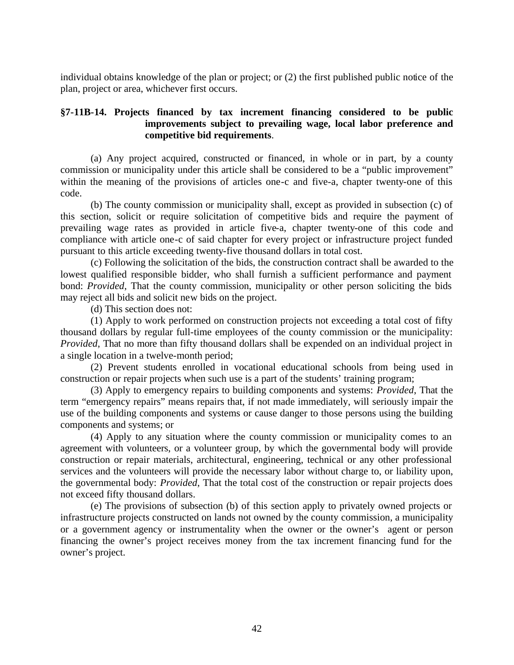individual obtains knowledge of the plan or project; or (2) the first published public notice of the plan, project or area, whichever first occurs.

#### **§7-11B-14. Projects financed by tax increment financing considered to be public improvements subject to prevailing wage, local labor preference and competitive bid requirements**.

(a) Any project acquired, constructed or financed, in whole or in part, by a county commission or municipality under this article shall be considered to be a "public improvement" within the meaning of the provisions of articles one-c and five-a, chapter twenty-one of this code.

(b) The county commission or municipality shall, except as provided in subsection (c) of this section, solicit or require solicitation of competitive bids and require the payment of prevailing wage rates as provided in article five-a, chapter twenty-one of this code and compliance with article one-c of said chapter for every project or infrastructure project funded pursuant to this article exceeding twenty-five thousand dollars in total cost.

(c) Following the solicitation of the bids, the construction contract shall be awarded to the lowest qualified responsible bidder, who shall furnish a sufficient performance and payment bond: *Provided*, That the county commission, municipality or other person soliciting the bids may reject all bids and solicit new bids on the project.

(d) This section does not:

(1) Apply to work performed on construction projects not exceeding a total cost of fifty thousand dollars by regular full-time employees of the county commission or the municipality: *Provided*, That no more than fifty thousand dollars shall be expended on an individual project in a single location in a twelve-month period;

(2) Prevent students enrolled in vocational educational schools from being used in construction or repair projects when such use is a part of the students' training program;

(3) Apply to emergency repairs to building components and systems: *Provided*, That the term "emergency repairs" means repairs that, if not made immediately, will seriously impair the use of the building components and systems or cause danger to those persons using the building components and systems; or

(4) Apply to any situation where the county commission or municipality comes to an agreement with volunteers, or a volunteer group, by which the governmental body will provide construction or repair materials, architectural, engineering, technical or any other professional services and the volunteers will provide the necessary labor without charge to, or liability upon, the governmental body: *Provided*, That the total cost of the construction or repair projects does not exceed fifty thousand dollars.

(e) The provisions of subsection (b) of this section apply to privately owned projects or infrastructure projects constructed on lands not owned by the county commission, a municipality or a government agency or instrumentality when the owner or the owner's agent or person financing the owner's project receives money from the tax increment financing fund for the owner's project.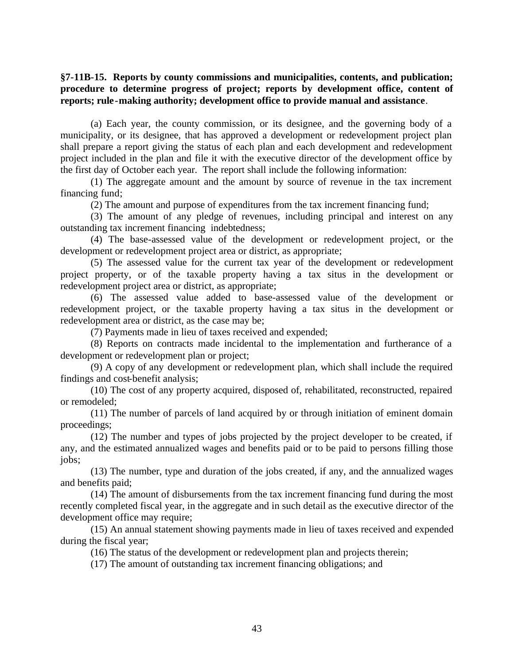#### **§7-11B-15. Reports by county commissions and municipalities, contents, and publication; procedure to determine progress of project; reports by development office, content of reports; rule-making authority; development office to provide manual and assistance**.

(a) Each year, the county commission, or its designee, and the governing body of a municipality, or its designee, that has approved a development or redevelopment project plan shall prepare a report giving the status of each plan and each development and redevelopment project included in the plan and file it with the executive director of the development office by the first day of October each year. The report shall include the following information:

(1) The aggregate amount and the amount by source of revenue in the tax increment financing fund;

(2) The amount and purpose of expenditures from the tax increment financing fund;

(3) The amount of any pledge of revenues, including principal and interest on any outstanding tax increment financing indebtedness;

(4) The base-assessed value of the development or redevelopment project, or the development or redevelopment project area or district, as appropriate;

(5) The assessed value for the current tax year of the development or redevelopment project property, or of the taxable property having a tax situs in the development or redevelopment project area or district, as appropriate;

(6) The assessed value added to base-assessed value of the development or redevelopment project, or the taxable property having a tax situs in the development or redevelopment area or district, as the case may be;

(7) Payments made in lieu of taxes received and expended;

(8) Reports on contracts made incidental to the implementation and furtherance of a development or redevelopment plan or project;

(9) A copy of any development or redevelopment plan, which shall include the required findings and cost-benefit analysis;

(10) The cost of any property acquired, disposed of, rehabilitated, reconstructed, repaired or remodeled;

(11) The number of parcels of land acquired by or through initiation of eminent domain proceedings;

(12) The number and types of jobs projected by the project developer to be created, if any, and the estimated annualized wages and benefits paid or to be paid to persons filling those jobs;

(13) The number, type and duration of the jobs created, if any, and the annualized wages and benefits paid;

(14) The amount of disbursements from the tax increment financing fund during the most recently completed fiscal year, in the aggregate and in such detail as the executive director of the development office may require;

(15) An annual statement showing payments made in lieu of taxes received and expended during the fiscal year;

(16) The status of the development or redevelopment plan and projects therein;

(17) The amount of outstanding tax increment financing obligations; and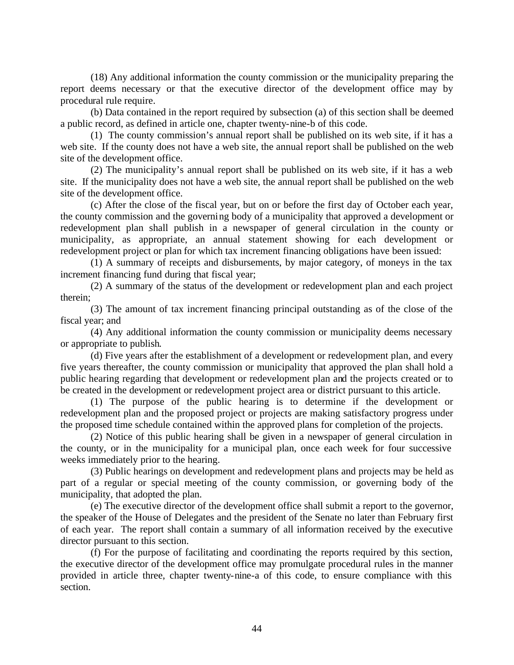(18) Any additional information the county commission or the municipality preparing the report deems necessary or that the executive director of the development office may by procedural rule require.

(b) Data contained in the report required by subsection (a) of this section shall be deemed a public record, as defined in article one, chapter twenty-nine-b of this code.

(1) The county commission's annual report shall be published on its web site, if it has a web site. If the county does not have a web site, the annual report shall be published on the web site of the development office.

(2) The municipality's annual report shall be published on its web site, if it has a web site. If the municipality does not have a web site, the annual report shall be published on the web site of the development office.

(c) After the close of the fiscal year, but on or before the first day of October each year, the county commission and the governing body of a municipality that approved a development or redevelopment plan shall publish in a newspaper of general circulation in the county or municipality, as appropriate, an annual statement showing for each development or redevelopment project or plan for which tax increment financing obligations have been issued:

(1) A summary of receipts and disbursements, by major category, of moneys in the tax increment financing fund during that fiscal year;

(2) A summary of the status of the development or redevelopment plan and each project therein;

(3) The amount of tax increment financing principal outstanding as of the close of the fiscal year; and

(4) Any additional information the county commission or municipality deems necessary or appropriate to publish.

(d) Five years after the establishment of a development or redevelopment plan, and every five years thereafter, the county commission or municipality that approved the plan shall hold a public hearing regarding that development or redevelopment plan and the projects created or to be created in the development or redevelopment project area or district pursuant to this article.

(1) The purpose of the public hearing is to determine if the development or redevelopment plan and the proposed project or projects are making satisfactory progress under the proposed time schedule contained within the approved plans for completion of the projects.

(2) Notice of this public hearing shall be given in a newspaper of general circulation in the county, or in the municipality for a municipal plan, once each week for four successive weeks immediately prior to the hearing.

(3) Public hearings on development and redevelopment plans and projects may be held as part of a regular or special meeting of the county commission, or governing body of the municipality, that adopted the plan.

(e) The executive director of the development office shall submit a report to the governor, the speaker of the House of Delegates and the president of the Senate no later than February first of each year. The report shall contain a summary of all information received by the executive director pursuant to this section.

(f) For the purpose of facilitating and coordinating the reports required by this section, the executive director of the development office may promulgate procedural rules in the manner provided in article three, chapter twenty-nine-a of this code, to ensure compliance with this section.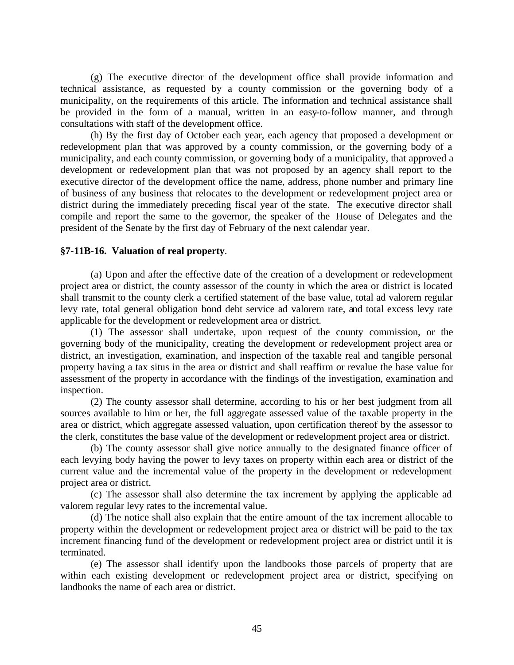(g) The executive director of the development office shall provide information and technical assistance, as requested by a county commission or the governing body of a municipality, on the requirements of this article. The information and technical assistance shall be provided in the form of a manual, written in an easy-to-follow manner, and through consultations with staff of the development office.

(h) By the first day of October each year, each agency that proposed a development or redevelopment plan that was approved by a county commission, or the governing body of a municipality, and each county commission, or governing body of a municipality, that approved a development or redevelopment plan that was not proposed by an agency shall report to the executive director of the development office the name, address, phone number and primary line of business of any business that relocates to the development or redevelopment project area or district during the immediately preceding fiscal year of the state. The executive director shall compile and report the same to the governor, the speaker of the House of Delegates and the president of the Senate by the first day of February of the next calendar year.

#### **§7-11B-16. Valuation of real property**.

(a) Upon and after the effective date of the creation of a development or redevelopment project area or district, the county assessor of the county in which the area or district is located shall transmit to the county clerk a certified statement of the base value, total ad valorem regular levy rate, total general obligation bond debt service ad valorem rate, and total excess levy rate applicable for the development or redevelopment area or district.

(1) The assessor shall undertake, upon request of the county commission, or the governing body of the municipality, creating the development or redevelopment project area or district, an investigation, examination, and inspection of the taxable real and tangible personal property having a tax situs in the area or district and shall reaffirm or revalue the base value for assessment of the property in accordance with the findings of the investigation, examination and inspection.

(2) The county assessor shall determine, according to his or her best judgment from all sources available to him or her, the full aggregate assessed value of the taxable property in the area or district, which aggregate assessed valuation, upon certification thereof by the assessor to the clerk, constitutes the base value of the development or redevelopment project area or district.

(b) The county assessor shall give notice annually to the designated finance officer of each levying body having the power to levy taxes on property within each area or district of the current value and the incremental value of the property in the development or redevelopment project area or district.

(c) The assessor shall also determine the tax increment by applying the applicable ad valorem regular levy rates to the incremental value.

(d) The notice shall also explain that the entire amount of the tax increment allocable to property within the development or redevelopment project area or district will be paid to the tax increment financing fund of the development or redevelopment project area or district until it is terminated.

(e) The assessor shall identify upon the landbooks those parcels of property that are within each existing development or redevelopment project area or district, specifying on landbooks the name of each area or district.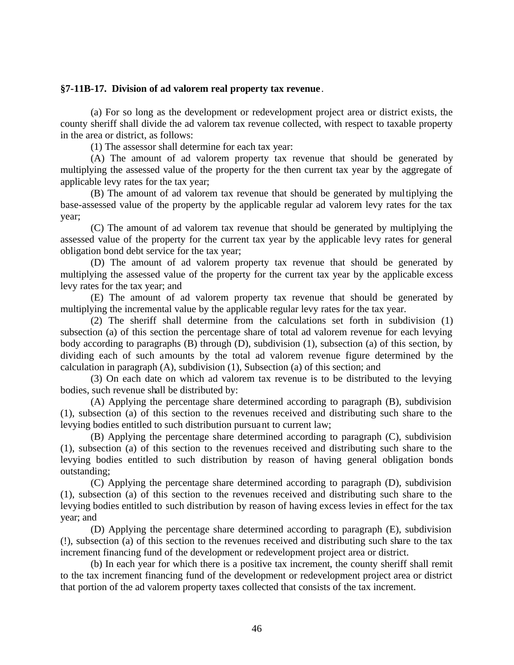#### **§7-11B-17. Division of ad valorem real property tax revenue**.

(a) For so long as the development or redevelopment project area or district exists, the county sheriff shall divide the ad valorem tax revenue collected, with respect to taxable property in the area or district, as follows:

(1) The assessor shall determine for each tax year:

(A) The amount of ad valorem property tax revenue that should be generated by multiplying the assessed value of the property for the then current tax year by the aggregate of applicable levy rates for the tax year;

(B) The amount of ad valorem tax revenue that should be generated by multiplying the base-assessed value of the property by the applicable regular ad valorem levy rates for the tax year;

(C) The amount of ad valorem tax revenue that should be generated by multiplying the assessed value of the property for the current tax year by the applicable levy rates for general obligation bond debt service for the tax year;

(D) The amount of ad valorem property tax revenue that should be generated by multiplying the assessed value of the property for the current tax year by the applicable excess levy rates for the tax year; and

(E) The amount of ad valorem property tax revenue that should be generated by multiplying the incremental value by the applicable regular levy rates for the tax year.

(2) The sheriff shall determine from the calculations set forth in subdivision (1) subsection (a) of this section the percentage share of total ad valorem revenue for each levying body according to paragraphs (B) through (D), subdivision (1), subsection (a) of this section, by dividing each of such amounts by the total ad valorem revenue figure determined by the calculation in paragraph (A), subdivision (1), Subsection (a) of this section; and

(3) On each date on which ad valorem tax revenue is to be distributed to the levying bodies, such revenue shall be distributed by:

(A) Applying the percentage share determined according to paragraph (B), subdivision (1), subsection (a) of this section to the revenues received and distributing such share to the levying bodies entitled to such distribution pursuant to current law;

(B) Applying the percentage share determined according to paragraph (C), subdivision (1), subsection (a) of this section to the revenues received and distributing such share to the levying bodies entitled to such distribution by reason of having general obligation bonds outstanding;

(C) Applying the percentage share determined according to paragraph (D), subdivision (1), subsection (a) of this section to the revenues received and distributing such share to the levying bodies entitled to such distribution by reason of having excess levies in effect for the tax year; and

(D) Applying the percentage share determined according to paragraph (E), subdivision (!), subsection (a) of this section to the revenues received and distributing such share to the tax increment financing fund of the development or redevelopment project area or district.

(b) In each year for which there is a positive tax increment, the county sheriff shall remit to the tax increment financing fund of the development or redevelopment project area or district that portion of the ad valorem property taxes collected that consists of the tax increment.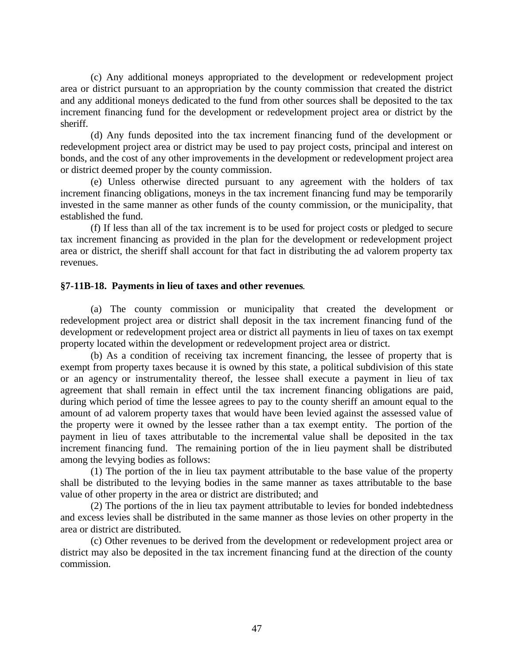(c) Any additional moneys appropriated to the development or redevelopment project area or district pursuant to an appropriation by the county commission that created the district and any additional moneys dedicated to the fund from other sources shall be deposited to the tax increment financing fund for the development or redevelopment project area or district by the sheriff.

(d) Any funds deposited into the tax increment financing fund of the development or redevelopment project area or district may be used to pay project costs, principal and interest on bonds, and the cost of any other improvements in the development or redevelopment project area or district deemed proper by the county commission.

(e) Unless otherwise directed pursuant to any agreement with the holders of tax increment financing obligations, moneys in the tax increment financing fund may be temporarily invested in the same manner as other funds of the county commission, or the municipality, that established the fund.

(f) If less than all of the tax increment is to be used for project costs or pledged to secure tax increment financing as provided in the plan for the development or redevelopment project area or district, the sheriff shall account for that fact in distributing the ad valorem property tax revenues.

#### **§7-11B-18. Payments in lieu of taxes and other revenues**.

(a) The county commission or municipality that created the development or redevelopment project area or district shall deposit in the tax increment financing fund of the development or redevelopment project area or district all payments in lieu of taxes on tax exempt property located within the development or redevelopment project area or district.

(b) As a condition of receiving tax increment financing, the lessee of property that is exempt from property taxes because it is owned by this state, a political subdivision of this state or an agency or instrumentality thereof, the lessee shall execute a payment in lieu of tax agreement that shall remain in effect until the tax increment financing obligations are paid, during which period of time the lessee agrees to pay to the county sheriff an amount equal to the amount of ad valorem property taxes that would have been levied against the assessed value of the property were it owned by the lessee rather than a tax exempt entity. The portion of the payment in lieu of taxes attributable to the incremental value shall be deposited in the tax increment financing fund. The remaining portion of the in lieu payment shall be distributed among the levying bodies as follows:

(1) The portion of the in lieu tax payment attributable to the base value of the property shall be distributed to the levying bodies in the same manner as taxes attributable to the base value of other property in the area or district are distributed; and

(2) The portions of the in lieu tax payment attributable to levies for bonded indebtedness and excess levies shall be distributed in the same manner as those levies on other property in the area or district are distributed.

(c) Other revenues to be derived from the development or redevelopment project area or district may also be deposited in the tax increment financing fund at the direction of the county commission.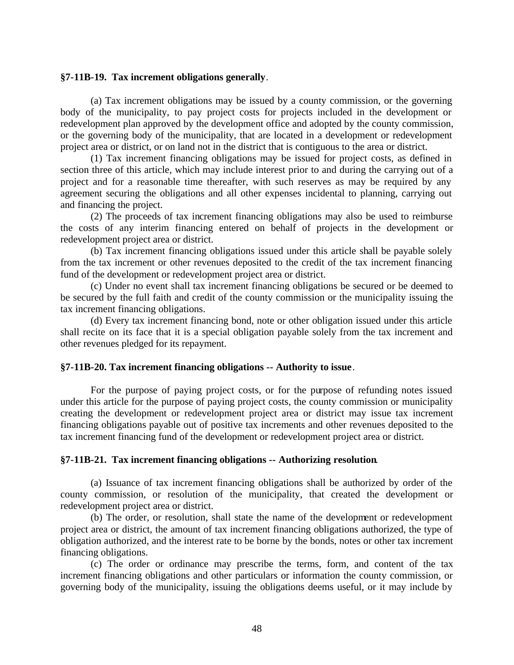#### **§7-11B-19. Tax increment obligations generally**.

(a) Tax increment obligations may be issued by a county commission, or the governing body of the municipality, to pay project costs for projects included in the development or redevelopment plan approved by the development office and adopted by the county commission, or the governing body of the municipality, that are located in a development or redevelopment project area or district, or on land not in the district that is contiguous to the area or district.

(1) Tax increment financing obligations may be issued for project costs, as defined in section three of this article, which may include interest prior to and during the carrying out of a project and for a reasonable time thereafter, with such reserves as may be required by any agreement securing the obligations and all other expenses incidental to planning, carrying out and financing the project.

(2) The proceeds of tax increment financing obligations may also be used to reimburse the costs of any interim financing entered on behalf of projects in the development or redevelopment project area or district.

(b) Tax increment financing obligations issued under this article shall be payable solely from the tax increment or other revenues deposited to the credit of the tax increment financing fund of the development or redevelopment project area or district.

(c) Under no event shall tax increment financing obligations be secured or be deemed to be secured by the full faith and credit of the county commission or the municipality issuing the tax increment financing obligations.

(d) Every tax increment financing bond, note or other obligation issued under this article shall recite on its face that it is a special obligation payable solely from the tax increment and other revenues pledged for its repayment.

#### **§7-11B-20. Tax increment financing obligations -- Authority to issue**.

For the purpose of paying project costs, or for the purpose of refunding notes issued under this article for the purpose of paying project costs, the county commission or municipality creating the development or redevelopment project area or district may issue tax increment financing obligations payable out of positive tax increments and other revenues deposited to the tax increment financing fund of the development or redevelopment project area or district.

#### **§7-11B-21. Tax increment financing obligations -- Authorizing resolution**.

(a) Issuance of tax increment financing obligations shall be authorized by order of the county commission, or resolution of the municipality, that created the development or redevelopment project area or district.

(b) The order, or resolution, shall state the name of the development or redevelopment project area or district, the amount of tax increment financing obligations authorized, the type of obligation authorized, and the interest rate to be borne by the bonds, notes or other tax increment financing obligations.

(c) The order or ordinance may prescribe the terms, form, and content of the tax increment financing obligations and other particulars or information the county commission, or governing body of the municipality, issuing the obligations deems useful, or it may include by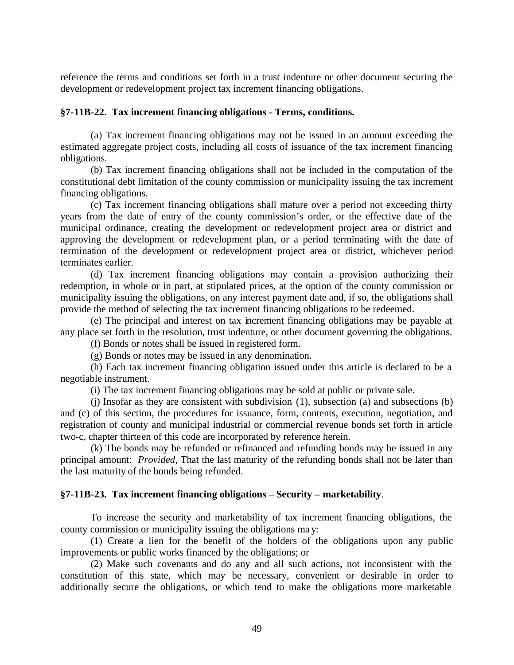reference the terms and conditions set forth in a trust indenture or other document securing the development or redevelopment project tax increment financing obligations.

#### **§7-11B-22. Tax increment financing obligations - Terms, conditions.**

(a) Tax increment financing obligations may not be issued in an amount exceeding the estimated aggregate project costs, including all costs of issuance of the tax increment financing obligations.

(b) Tax increment financing obligations shall not be included in the computation of the constitutional debt limitation of the county commission or municipality issuing the tax increment financing obligations.

(c) Tax increment financing obligations shall mature over a period not exceeding thirty years from the date of entry of the county commission's order, or the effective date of the municipal ordinance, creating the development or redevelopment project area or district and approving the development or redevelopment plan, or a period terminating with the date of termination of the development or redevelopment project area or district, whichever period terminates earlier.

(d) Tax increment financing obligations may contain a provision authorizing their redemption, in whole or in part, at stipulated prices, at the option of the county commission or municipality issuing the obligations, on any interest payment date and, if so, the obligations shall provide the method of selecting the tax increment financing obligations to be redeemed.

(e) The principal and interest on tax increment financing obligations may be payable at any place set forth in the resolution, trust indenture, or other document governing the obligations.

(f) Bonds or notes shall be issued in registered form.

(g) Bonds or notes may be issued in any denomination.

(h) Each tax increment financing obligation issued under this article is declared to be a negotiable instrument.

(i) The tax increment financing obligations may be sold at public or private sale.

(j) Insofar as they are consistent with subdivision (1), subsection (a) and subsections (b) and (c) of this section, the procedures for issuance, form, contents, execution, negotiation, and registration of county and municipal industrial or commercial revenue bonds set forth in article two-c, chapter thirteen of this code are incorporated by reference herein.

(k) The bonds may be refunded or refinanced and refunding bonds may be issued in any principal amount: *Provided*, That the last maturity of the refunding bonds shall not be later than the last maturity of the bonds being refunded.

#### **§7-11B-23. Tax increment financing obligations – Security – marketability**.

To increase the security and marketability of tax increment financing obligations, the county commission or municipality issuing the obligations ma y:

(1) Create a lien for the benefit of the holders of the obligations upon any public improvements or public works financed by the obligations; or

(2) Make such covenants and do any and all such actions, not inconsistent with the constitution of this state, which may be necessary, convenient or desirable in order to additionally secure the obligations, or which tend to make the obligations more marketable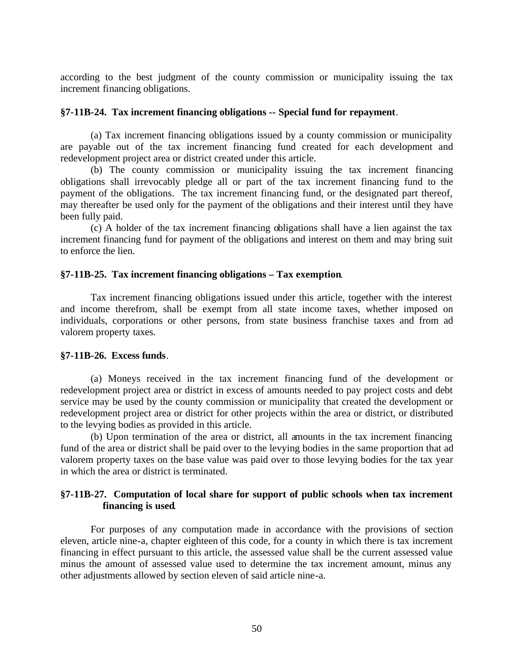according to the best judgment of the county commission or municipality issuing the tax increment financing obligations.

#### **§7-11B-24. Tax increment financing obligations -- Special fund for repayment**.

(a) Tax increment financing obligations issued by a county commission or municipality are payable out of the tax increment financing fund created for each development and redevelopment project area or district created under this article.

(b) The county commission or municipality issuing the tax increment financing obligations shall irrevocably pledge all or part of the tax increment financing fund to the payment of the obligations. The tax increment financing fund, or the designated part thereof, may thereafter be used only for the payment of the obligations and their interest until they have been fully paid.

(c) A holder of the tax increment financing obligations shall have a lien against the tax increment financing fund for payment of the obligations and interest on them and may bring suit to enforce the lien.

#### **§7-11B-25. Tax increment financing obligations – Tax exemption**.

Tax increment financing obligations issued under this article, together with the interest and income therefrom, shall be exempt from all state income taxes, whether imposed on individuals, corporations or other persons, from state business franchise taxes and from ad valorem property taxes.

#### **§7-11B-26. Excess funds**.

(a) Moneys received in the tax increment financing fund of the development or redevelopment project area or district in excess of amounts needed to pay project costs and debt service may be used by the county commission or municipality that created the development or redevelopment project area or district for other projects within the area or district, or distributed to the levying bodies as provided in this article.

(b) Upon termination of the area or district, all amounts in the tax increment financing fund of the area or district shall be paid over to the levying bodies in the same proportion that ad valorem property taxes on the base value was paid over to those levying bodies for the tax year in which the area or district is terminated.

#### **§7-11B-27. Computation of local share for support of public schools when tax increment financing is used**.

For purposes of any computation made in accordance with the provisions of section eleven, article nine-a, chapter eighteen of this code, for a county in which there is tax increment financing in effect pursuant to this article, the assessed value shall be the current assessed value minus the amount of assessed value used to determine the tax increment amount, minus any other adjustments allowed by section eleven of said article nine-a.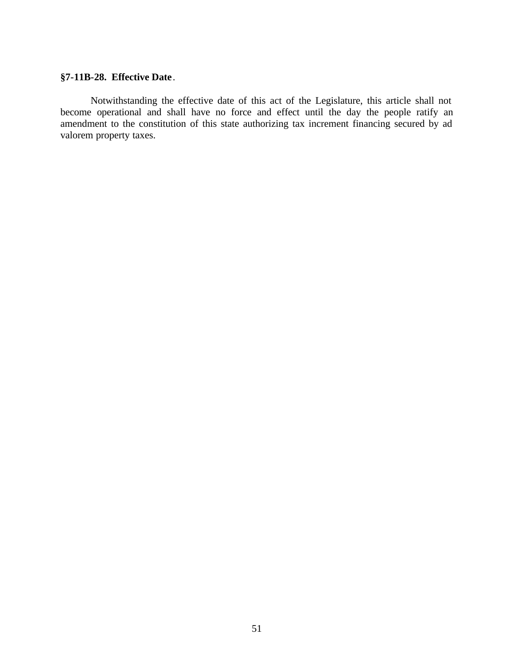### **§7-11B-28. Effective Date**.

Notwithstanding the effective date of this act of the Legislature, this article shall not become operational and shall have no force and effect until the day the people ratify an amendment to the constitution of this state authorizing tax increment financing secured by ad valorem property taxes.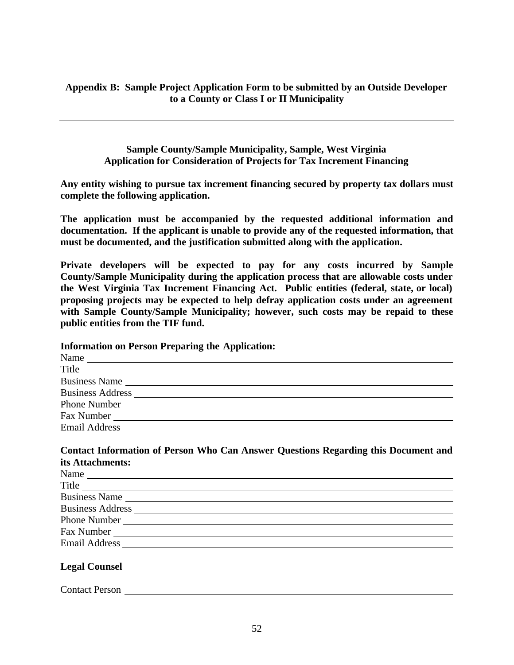#### **Appendix B: Sample Project Application Form to be submitted by an Outside Developer to a County or Class I or II Municipality**

**Sample County/Sample Municipality, Sample, West Virginia Application for Consideration of Projects for Tax Increment Financing**

**Any entity wishing to pursue tax increment financing secured by property tax dollars must complete the following application.** 

**The application must be accompanied by the requested additional information and documentation. If the applicant is unable to provide any of the requested information, that must be documented, and the justification submitted along with the application.** 

**Private developers will be expected to pay for any costs incurred by Sample County/Sample Municipality during the application process that are allowable costs under the West Virginia Tax Increment Financing Act. Public entities (federal, state, or local) proposing projects may be expected to help defray application costs under an agreement with Sample County/Sample Municipality; however, such costs may be repaid to these public entities from the TIF fund.** 

**Information on Person Preparing the Application:**

| Name<br><u> 1980 - Johann John Stone, meister sich an der Stone in der Stone in der Stone in der Stone in der Stone in de</u> |  |
|-------------------------------------------------------------------------------------------------------------------------------|--|
| Title                                                                                                                         |  |
|                                                                                                                               |  |
|                                                                                                                               |  |
| Phone Number                                                                                                                  |  |
| Fax Number                                                                                                                    |  |
| <b>Email Address</b>                                                                                                          |  |

#### **Contact Information of Person Who Can Answer Questions Regarding this Document and its Attachments:**

| Name<br><u> 1989 - John Stein, markin sammen sammen som står startet som startet som startet som startet som s</u> |
|--------------------------------------------------------------------------------------------------------------------|
| Title<br><u> Anglick († 1858)</u>                                                                                  |
| Business Name                                                                                                      |
| <b>Business Address</b><br><u> 1980 - Andrea Andrew Maria (h. 1980).</u><br>1900 - Andrew Maria (h. 1900).         |
|                                                                                                                    |
| Fax Number                                                                                                         |
| <b>Email Address</b>                                                                                               |

#### **Legal Counsel**

Contact Person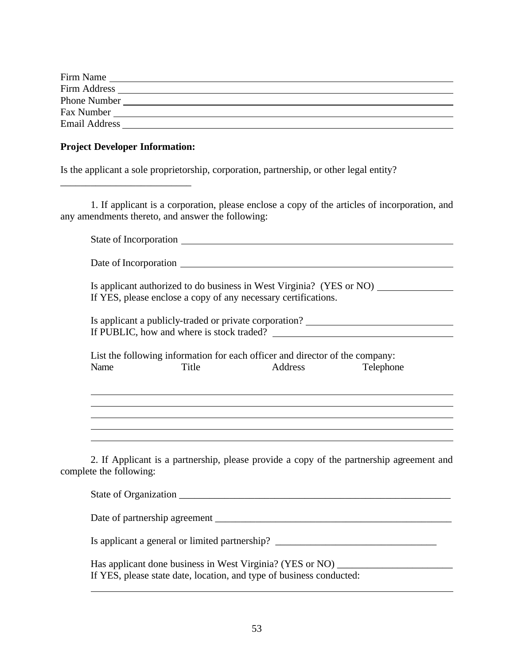| Firm Name            |  |
|----------------------|--|
| Firm Address         |  |
| Phone Number         |  |
| Fax Number           |  |
| <b>Email Address</b> |  |

#### **Project Developer Information:**

\_\_\_\_\_\_\_\_\_\_\_\_\_\_\_\_\_\_\_\_\_\_\_\_\_\_

Is the applicant a sole proprietorship, corporation, partnership, or other legal entity?

1. If applicant is a corporation, please enclose a copy of the articles of incorporation, and any amendments thereto, and answer the following:

|                         |       | If YES, please enclose a copy of any necessary certifications.                          | Is applicant authorized to do business in West Virginia? (YES or NO)                     |
|-------------------------|-------|-----------------------------------------------------------------------------------------|------------------------------------------------------------------------------------------|
|                         |       |                                                                                         | Is applicant a publicly-traded or private corporation? _________________________         |
| Name                    | Title | List the following information for each officer and director of the company:<br>Address | Telephone                                                                                |
|                         |       |                                                                                         |                                                                                          |
|                         |       |                                                                                         |                                                                                          |
|                         |       |                                                                                         |                                                                                          |
| complete the following: |       |                                                                                         | 2. If Applicant is a partnership, please provide a copy of the partnership agreement and |
|                         |       |                                                                                         |                                                                                          |
|                         |       |                                                                                         |                                                                                          |

Is applicant a general or limited partnership? \_\_\_\_\_\_\_\_\_\_\_\_\_\_\_\_\_\_\_\_\_\_\_\_\_\_\_\_\_\_\_\_\_\_

Has applicant done business in West Virginia? (YES or NO) \_\_\_\_\_\_\_\_\_\_\_\_\_\_\_\_\_\_\_\_\_\_ If YES, please state date, location, and type of business conducted:  $\overline{a}$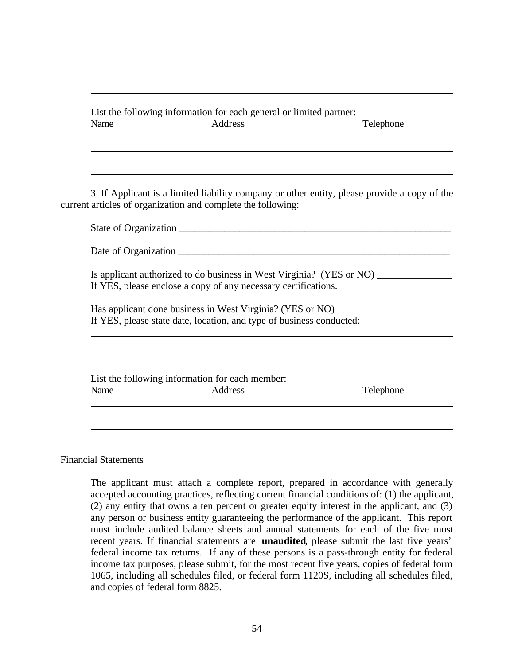List the following information for each general or limited partner: Name Address and Address Telephone  $\overline{a}$ 

3. If Applicant is a limited liability company or other entity, please provide a copy of the current articles of organization and complete the following:

|                      | State of Organization                                                                                                                      |           |
|----------------------|--------------------------------------------------------------------------------------------------------------------------------------------|-----------|
| Date of Organization |                                                                                                                                            |           |
|                      | Is applicant authorized to do business in West Virginia? (YES or NO)<br>If YES, please enclose a copy of any necessary certifications.     |           |
|                      | Has applicant done business in West Virginia? (YES or NO) ________<br>If YES, please state date, location, and type of business conducted: |           |
| Name                 | List the following information for each member:<br>Address                                                                                 | Telephone |
|                      |                                                                                                                                            |           |

Financial Statements

 $\overline{a}$ 

The applicant must attach a complete report, prepared in accordance with generally accepted accounting practices, reflecting current financial conditions of: (1) the applicant, (2) any entity that owns a ten percent or greater equity interest in the applicant, and (3) any person or business entity guaranteeing the performance of the applicant. This report must include audited balance sheets and annual statements for each of the five most recent years. If financial statements are **unaudited**, please submit the last five years' federal income tax returns. If any of these persons is a pass-through entity for federal income tax purposes, please submit, for the most recent five years, copies of federal form 1065, including all schedules filed, or federal form 1120S, including all schedules filed, and copies of federal form 8825.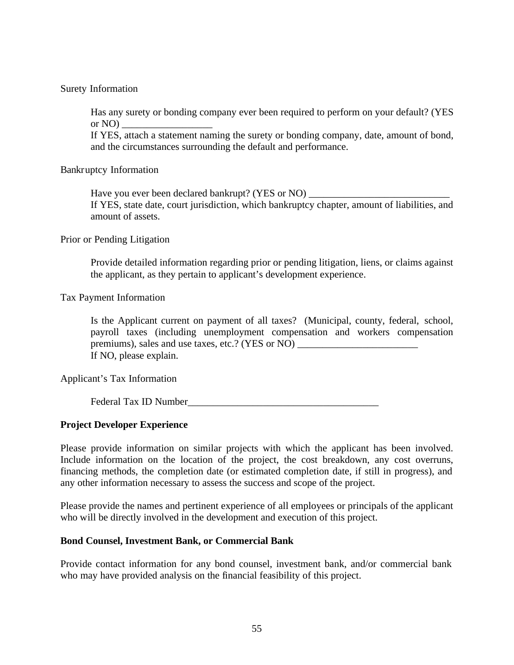#### Surety Information

Has any surety or bonding company ever been required to perform on your default? (YES or  $NO$ )

If YES, attach a statement naming the surety or bonding company, date, amount of bond, and the circumstances surrounding the default and performance.

#### Bankruptcy Information

Have you ever been declared bankrupt? (YES or NO)

If YES, state date, court jurisdiction, which bankruptcy chapter, amount of liabilities, and amount of assets.

#### Prior or Pending Litigation

Provide detailed information regarding prior or pending litigation, liens, or claims against the applicant, as they pertain to applicant's development experience.

#### Tax Payment Information

Is the Applicant current on payment of all taxes? (Municipal, county, federal, school, payroll taxes (including unemployment compensation and workers compensation premiums), sales and use taxes, etc.? (YES or NO) If NO, please explain.

#### Applicant's Tax Information

Federal Tax ID Number

#### **Project Developer Experience**

Please provide information on similar projects with which the applicant has been involved. Include information on the location of the project, the cost breakdown, any cost overruns, financing methods, the completion date (or estimated completion date, if still in progress), and any other information necessary to assess the success and scope of the project.

Please provide the names and pertinent experience of all employees or principals of the applicant who will be directly involved in the development and execution of this project.

#### **Bond Counsel, Investment Bank, or Commercial Bank**

Provide contact information for any bond counsel, investment bank, and/or commercial bank who may have provided analysis on the financial feasibility of this project.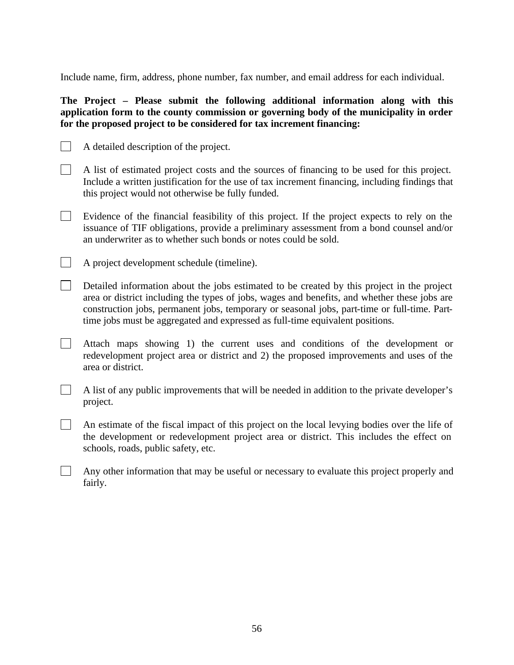Include name, firm, address, phone number, fax number, and email address for each individual.

#### **The Project – Please submit the following additional information along with this application form to the county commission or governing body of the municipality in order for the proposed project to be considered for tax increment financing:**

- $\Box$ A detailed description of the project.
- $\Box$ A list of estimated project costs and the sources of financing to be used for this project. Include a written justification for the use of tax increment financing, including findings that this project would not otherwise be fully funded.
- $\mathbf{L}$ Evidence of the financial feasibility of this project. If the project expects to rely on the issuance of TIF obligations, provide a preliminary assessment from a bond counsel and/or an underwriter as to whether such bonds or notes could be sold.
- $\mathbb{R}^n$ A project development schedule (timeline).
- Detailed information about the jobs estimated to be created by this project in the project area or district including the types of jobs, wages and benefits, and whether these jobs are construction jobs, permanent jobs, temporary or seasonal jobs, part-time or full-time. Parttime jobs must be aggregated and expressed as full-time equivalent positions.
- $\mathbf{1}$ Attach maps showing 1) the current uses and conditions of the development or redevelopment project area or district and 2) the proposed improvements and uses of the area or district.
- $\mathbf{1}$ A list of any public improvements that will be needed in addition to the private developer's project.
- $\Box$ An estimate of the fiscal impact of this project on the local levying bodies over the life of the development or redevelopment project area or district. This includes the effect on schools, roads, public safety, etc.
- $\mathbf{L}$ Any other information that may be useful or necessary to evaluate this project properly and fairly.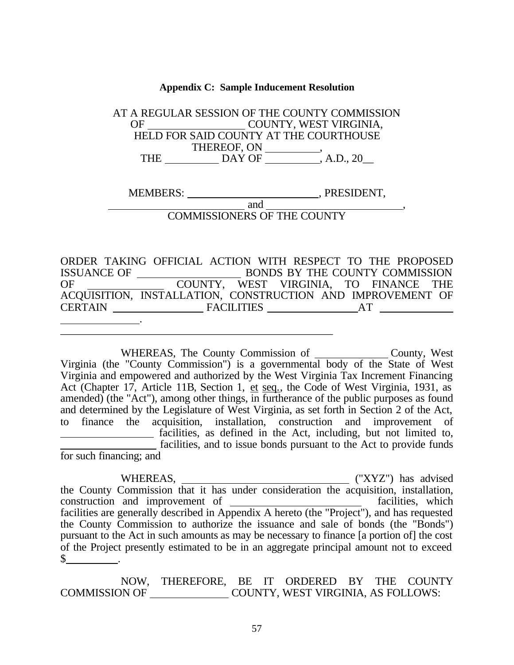#### **Appendix C: Sample Inducement Resolution**

AT A REGULAR SESSION OF THE COUNTY COMMISSION OF COUNTY, WEST VIRGINIA, HELD FOR SAID COUNTY AT THE COURTHOUSE THEREOF, ON \_\_\_\_\_\_\_\_\_\_\_, THE \_\_\_\_\_\_\_\_\_\_\_\_ DAY OF \_\_\_\_\_\_\_\_\_\_\_, A.D., 20\_\_

MEMBERS: \_\_\_\_\_\_\_\_\_\_\_\_\_\_\_\_\_\_\_\_\_\_\_\_\_\_\_\_\_\_\_\_, PRESIDENT, and  $\overline{\phantom{a}}$ 

COMMISSIONERS OF THE COUNTY

ORDER TAKING OFFICIAL ACTION WITH RESPECT TO THE PROPOSED ISSUANCE OF BONDS BY THE COUNTY COMMISSION OF COUNTY, WEST VIRGINIA, TO FINANCE THE ACQUISITION, INSTALLATION, CONSTRUCTION AND IMPROVEMENT OF CERTAIN FACILITIES AT .

 $\frac{1}{2}$  , and the set of the set of the set of the set of the set of the set of the set of the set of the set of the set of the set of the set of the set of the set of the set of the set of the set of the set of the set

WHEREAS, The County Commission of County, West Virginia (the "County Commission") is a governmental body of the State of West Virginia and empowered and authorized by the West Virginia Tax Increment Financing Act (Chapter 17, Article 11B, Section 1, et seq., the Code of West Virginia, 1931, as amended) (the "Act"), among other things, in furtherance of the public purposes as found and determined by the Legislature of West Virginia, as set forth in Section 2 of the Act, to finance the acquisition, installation, construction and improvement of facilities, as defined in the Act, including, but not limited to, facilities, and to issue bonds pursuant to the Act to provide funds for such financing; and

WHEREAS, ("XYZ") has advised the County Commission that it has under consideration the acquisition, installation, construction and improvement of facilities, which facilities are generally described in Appendix A hereto (the "Project"), and has requested the County Commission to authorize the issuance and sale of bonds (the "Bonds") pursuant to the Act in such amounts as may be necessary to finance [a portion of] the cost of the Project presently estimated to be in an aggregate principal amount not to exceed  $\mathbb{S}$  .

NOW, THEREFORE, BE IT ORDERED BY THE COUNTY COMMISSION OF COUNTY, WEST VIRGINIA, AS FOLLOWS: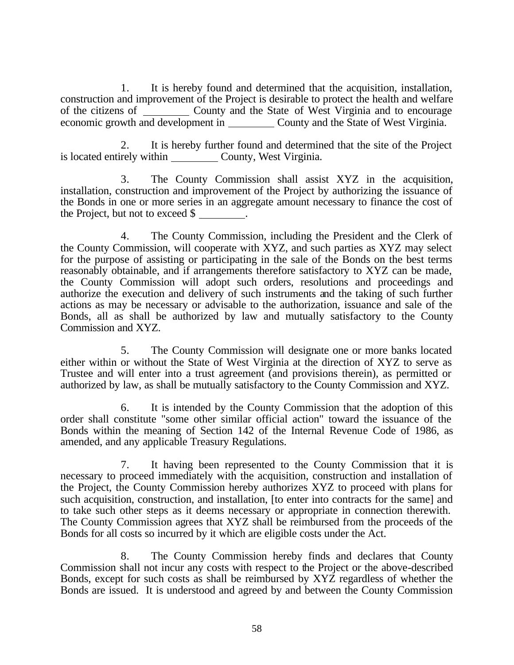1. It is hereby found and determined that the acquisition, installation, construction and improvement of the Project is desirable to protect the health and welfare of the citizens of County and the State of West Virginia and to encourage economic growth and development in County and the State of West Virginia.

2. It is hereby further found and determined that the site of the Project is located entirely within County, West Virginia.

3. The County Commission shall assist XYZ in the acquisition, installation, construction and improvement of the Project by authorizing the issuance of the Bonds in one or more series in an aggregate amount necessary to finance the cost of the Project, but not to exceed \$ .

4. The County Commission, including the President and the Clerk of the County Commission, will cooperate with XYZ, and such parties as XYZ may select for the purpose of assisting or participating in the sale of the Bonds on the best terms reasonably obtainable, and if arrangements therefore satisfactory to XYZ can be made, the County Commission will adopt such orders, resolutions and proceedings and authorize the execution and delivery of such instruments and the taking of such further actions as may be necessary or advisable to the authorization, issuance and sale of the Bonds, all as shall be authorized by law and mutually satisfactory to the County Commission and XYZ.

5. The County Commission will designate one or more banks located either within or without the State of West Virginia at the direction of XYZ to serve as Trustee and will enter into a trust agreement (and provisions therein), as permitted or authorized by law, as shall be mutually satisfactory to the County Commission and XYZ.

6. It is intended by the County Commission that the adoption of this order shall constitute "some other similar official action" toward the issuance of the Bonds within the meaning of Section 142 of the Internal Revenue Code of 1986, as amended, and any applicable Treasury Regulations.

7. It having been represented to the County Commission that it is necessary to proceed immediately with the acquisition, construction and installation of the Project, the County Commission hereby authorizes XYZ to proceed with plans for such acquisition, construction, and installation, [to enter into contracts for the same] and to take such other steps as it deems necessary or appropriate in connection therewith. The County Commission agrees that XYZ shall be reimbursed from the proceeds of the Bonds for all costs so incurred by it which are eligible costs under the Act.

8. The County Commission hereby finds and declares that County Commission shall not incur any costs with respect to the Project or the above-described Bonds, except for such costs as shall be reimbursed by XYZ regardless of whether the Bonds are issued. It is understood and agreed by and between the County Commission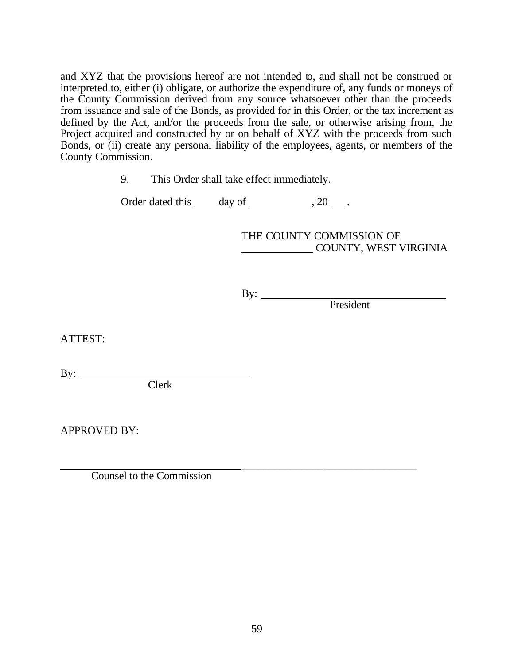and XYZ that the provisions hereof are not intended to, and shall not be construed or interpreted to, either (i) obligate, or authorize the expenditure of, any funds or moneys of the County Commission derived from any source whatsoever other than the proceeds from issuance and sale of the Bonds, as provided for in this Order, or the tax increment as defined by the Act, and/or the proceeds from the sale, or otherwise arising from, the Project acquired and constructed by or on behalf of XYZ with the proceeds from such Bonds, or (ii) create any personal liability of the employees, agents, or members of the County Commission.

9. This Order shall take effect immediately.

Order dated this  $\_\_\_$  day of  $\_\_\_\_\_\$ , 20  $\_\_\_\$ .

THE COUNTY COMMISSION OF **COUNTY, WEST VIRGINIA** 

By:  $\qquad \qquad$ 

President

ATTEST:

By:  $\qquad \qquad$ 

Clerk

APPROVED BY:

 $\overline{\phantom{a}}$  , and the contract of the contract of the contract of the contract of the contract of the contract of the contract of the contract of the contract of the contract of the contract of the contract of the contrac Counsel to the Commission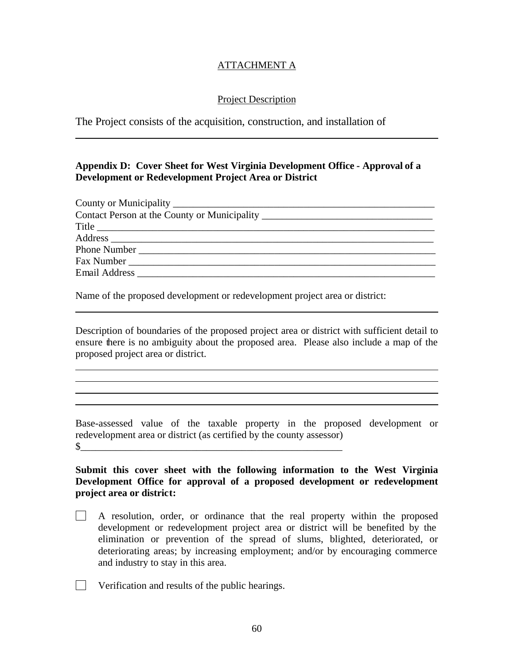### ATTACHMENT A

#### Project Description

The Project consists of the acquisition, construction, and installation of

 $\overline{a}$ 

 $\overline{a}$  $\overline{a}$  $\overline{a}$ l

#### **Appendix D: Cover Sheet for West Virginia Development Office - Approval of a Development or Redevelopment Project Area or District**

| Contact Person at the County or Municipality ___________________________________ |
|----------------------------------------------------------------------------------|
| Title                                                                            |
|                                                                                  |
| Phone Number                                                                     |
| Fax Number                                                                       |
|                                                                                  |
|                                                                                  |

Name of the proposed development or redevelopment project area or district:

Description of boundaries of the proposed project area or district with sufficient detail to ensure there is no ambiguity about the proposed area. Please also include a map of the proposed project area or district.

Base-assessed value of the taxable property in the proposed development or redevelopment area or district (as certified by the county assessor)  $\frac{1}{2}$ 

**Submit this cover sheet with the following information to the West Virginia Development Office for approval of a proposed development or redevelopment project area or district:** 

- $\Box$  A resolution, order, or ordinance that the real property within the proposed development or redevelopment project area or district will be benefited by the elimination or prevention of the spread of slums, blighted, deteriorated, or deteriorating areas; by increasing employment; and/or by encouraging commerce and industry to stay in this area.
- **Verification and results of the public hearings.**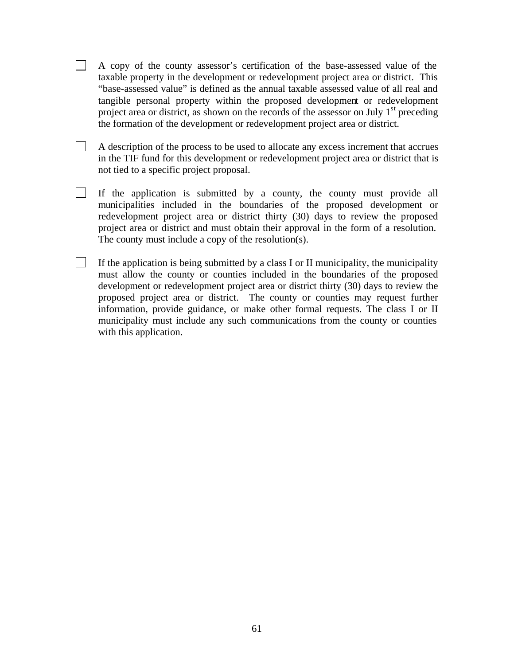- $\Box$ A copy of the county assessor's certification of the base-assessed value of the taxable property in the development or redevelopment project area or district. This "base-assessed value" is defined as the annual taxable assessed value of all real and tangible personal property within the proposed development or redevelopment project area or district, as shown on the records of the assessor on July  $1<sup>st</sup>$  preceding the formation of the development or redevelopment project area or district.
- $\overline{\phantom{a}}$ A description of the process to be used to allocate any excess increment that accrues in the TIF fund for this development or redevelopment project area or district that is not tied to a specific project proposal.
- $\Box$ If the application is submitted by a county, the county must provide all municipalities included in the boundaries of the proposed development or redevelopment project area or district thirty (30) days to review the proposed project area or district and must obtain their approval in the form of a resolution. The county must include a copy of the resolution(s).
- $\Box$ If the application is being submitted by a class I or II municipality, the municipality must allow the county or counties included in the boundaries of the proposed development or redevelopment project area or district thirty (30) days to review the proposed project area or district. The county or counties may request further information, provide guidance, or make other formal requests. The class I or II municipality must include any such communications from the county or counties with this application.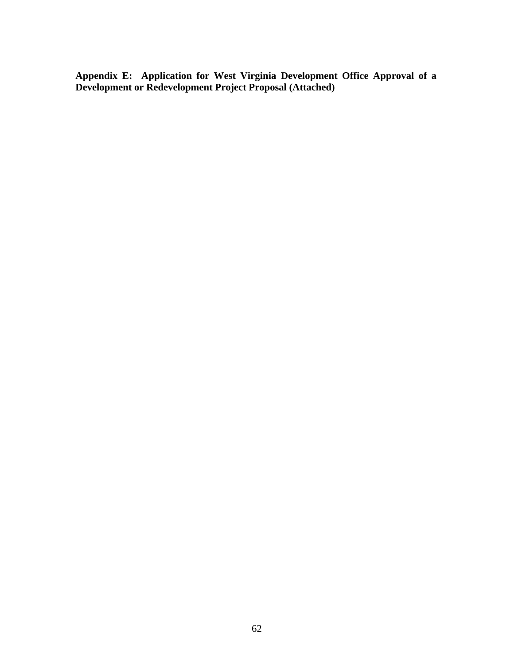**Appendix E: Application for West Virginia Development Office Approval of a Development or Redevelopment Project Proposal (Attached)**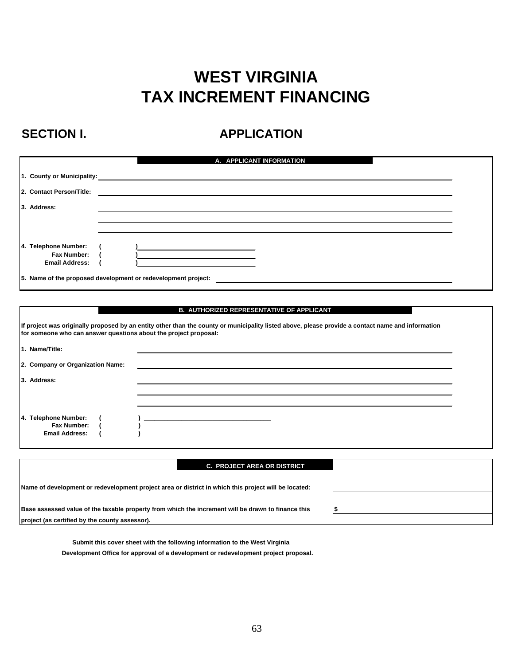# **WEST VIRGINIA TAX INCREMENT FINANCING**

## SECTION I. **APPLICATION**

|                            | A. APPLICANT INFORMATION                                                                                             |  |
|----------------------------|----------------------------------------------------------------------------------------------------------------------|--|
| 1. County or Municipality: | <u> 1989 - Johann John Stone, markin sammen bestemmen og det forskellige og det forskellige og det forskellige o</u> |  |
| 2. Contact Person/Title:   |                                                                                                                      |  |
| 3. Address:                |                                                                                                                      |  |
|                            |                                                                                                                      |  |
|                            |                                                                                                                      |  |
| 4. Telephone Number:       | the control of the control of the control of the control of the control of                                           |  |
| Fax Number:                |                                                                                                                      |  |
| <b>Email Address:</b>      |                                                                                                                      |  |
|                            | 5. Name of the proposed development or redevelopment project:                                                        |  |

#### **B. AUTHORIZED REPRESENTATIVE OF APPLICANT**

| If project was originally proposed by an entity other than the county or municipality listed above, please provide a contact name and information<br>for someone who can answer questions about the project proposal: |                                                                                                                       |  |  |
|-----------------------------------------------------------------------------------------------------------------------------------------------------------------------------------------------------------------------|-----------------------------------------------------------------------------------------------------------------------|--|--|
| 1. Name/Title:                                                                                                                                                                                                        |                                                                                                                       |  |  |
| 2. Company or Organization Name:                                                                                                                                                                                      |                                                                                                                       |  |  |
| 3. Address:                                                                                                                                                                                                           |                                                                                                                       |  |  |
|                                                                                                                                                                                                                       |                                                                                                                       |  |  |
| 4. Telephone Number:<br>Fax Number:<br><b>Email Address:</b>                                                                                                                                                          | <u> 1999 - Johann Harry Harry Harry Harry Harry Harry Harry Harry Harry Harry Harry Harry Harry Harry Harry Harry</u> |  |  |

|                                                                                                      | <b>C. PROJECT AREA OR DISTRICT</b> |  |
|------------------------------------------------------------------------------------------------------|------------------------------------|--|
| Name of development or redevelopment project area or district in which this project will be located: |                                    |  |
| Base assessed value of the taxable property from which the increment will be drawn to finance this   |                                    |  |
| project (as certified by the county assessor).                                                       |                                    |  |
|                                                                                                      |                                    |  |

 **Submit this cover sheet with the following information to the West Virginia Development Office for approval of a development or redevelopment project proposal.**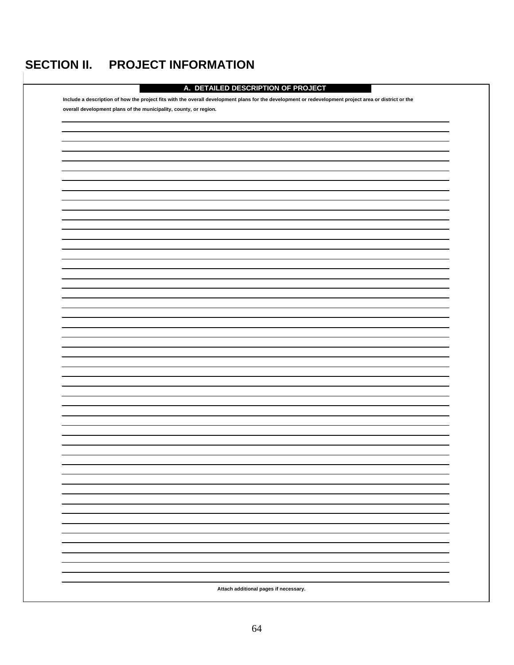# **SECTION II. PROJECT INFORMATION**

| A. DETAILED DESCRIPTION OF PROJECT                                                                                                                    |
|-------------------------------------------------------------------------------------------------------------------------------------------------------|
| Include a description of how the project fits with the overall development plans for the development or redevelopment project area or district or the |
| overall development plans of the municipality, county, or region.                                                                                     |
|                                                                                                                                                       |
|                                                                                                                                                       |
|                                                                                                                                                       |
|                                                                                                                                                       |
|                                                                                                                                                       |
|                                                                                                                                                       |
|                                                                                                                                                       |
|                                                                                                                                                       |
|                                                                                                                                                       |
|                                                                                                                                                       |
|                                                                                                                                                       |
|                                                                                                                                                       |
|                                                                                                                                                       |
|                                                                                                                                                       |
|                                                                                                                                                       |
|                                                                                                                                                       |
|                                                                                                                                                       |
|                                                                                                                                                       |
|                                                                                                                                                       |
|                                                                                                                                                       |
|                                                                                                                                                       |
|                                                                                                                                                       |
|                                                                                                                                                       |
|                                                                                                                                                       |
|                                                                                                                                                       |
|                                                                                                                                                       |
|                                                                                                                                                       |
|                                                                                                                                                       |
|                                                                                                                                                       |
|                                                                                                                                                       |
|                                                                                                                                                       |
|                                                                                                                                                       |
|                                                                                                                                                       |
|                                                                                                                                                       |
|                                                                                                                                                       |
|                                                                                                                                                       |
|                                                                                                                                                       |
|                                                                                                                                                       |
|                                                                                                                                                       |
|                                                                                                                                                       |
|                                                                                                                                                       |
|                                                                                                                                                       |
|                                                                                                                                                       |
|                                                                                                                                                       |
| Attach additional pages if necessary.                                                                                                                 |
|                                                                                                                                                       |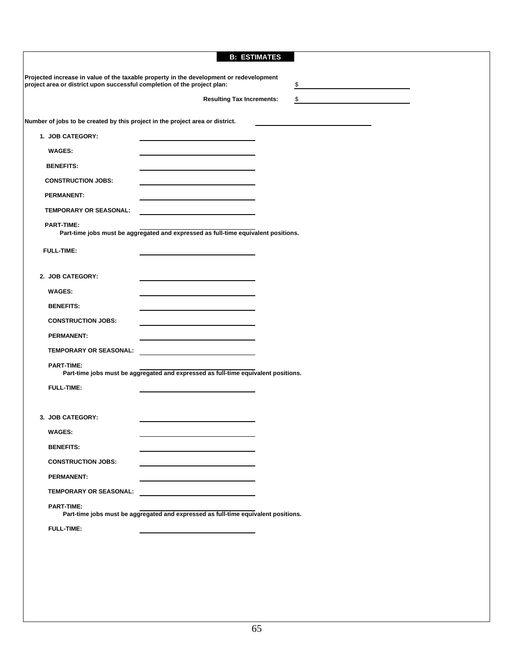|                                                                                                                            | <b>B: ESTIMATES</b>                    |                                                                                                                      |  |
|----------------------------------------------------------------------------------------------------------------------------|----------------------------------------|----------------------------------------------------------------------------------------------------------------------|--|
| Projected increase in value of the taxable property in the development or redevelopment                                    |                                        |                                                                                                                      |  |
| project area or district upon successful completion of the project plan:                                                   | \$                                     |                                                                                                                      |  |
|                                                                                                                            | <b>Resulting Tax Increments:</b><br>\$ | <u> 1980 - Jan Stein Stein Stein Stein Stein Stein Stein Stein Stein Stein Stein Stein Stein Stein Stein Stein S</u> |  |
| Number of jobs to be created by this project in the project area or district.                                              |                                        |                                                                                                                      |  |
| 1. JOB CATEGORY:                                                                                                           |                                        |                                                                                                                      |  |
| <b>WAGES:</b>                                                                                                              |                                        |                                                                                                                      |  |
| <b>BENEFITS:</b>                                                                                                           |                                        |                                                                                                                      |  |
| <b>CONSTRUCTION JOBS:</b>                                                                                                  |                                        |                                                                                                                      |  |
| <b>PERMANENT:</b>                                                                                                          |                                        |                                                                                                                      |  |
| <b>TEMPORARY OR SEASONAL:</b><br>the control of the control of the control of the control of the control of the control of |                                        |                                                                                                                      |  |
| <b>PART-TIME:</b>                                                                                                          |                                        |                                                                                                                      |  |
| Part-time jobs must be aggregated and expressed as full-time equivalent positions.                                         |                                        |                                                                                                                      |  |
| <b>FULL-TIME:</b>                                                                                                          |                                        |                                                                                                                      |  |
|                                                                                                                            |                                        |                                                                                                                      |  |
| 2. JOB CATEGORY:                                                                                                           |                                        |                                                                                                                      |  |
| <b>WAGES:</b>                                                                                                              |                                        |                                                                                                                      |  |
| <b>BENEFITS:</b>                                                                                                           |                                        |                                                                                                                      |  |
| <b>CONSTRUCTION JOBS:</b>                                                                                                  |                                        |                                                                                                                      |  |
| <b>PERMANENT:</b>                                                                                                          |                                        |                                                                                                                      |  |
| TEMPORARY OR SEASONAL:                                                                                                     |                                        |                                                                                                                      |  |
| <b>PART-TIME:</b><br>Part-time jobs must be aggregated and expressed as full-time equivalent positions.                    |                                        |                                                                                                                      |  |
| <b>FULL-TIME:</b>                                                                                                          |                                        |                                                                                                                      |  |
|                                                                                                                            |                                        |                                                                                                                      |  |
| 3. JOB CATEGORY:                                                                                                           |                                        |                                                                                                                      |  |
| <b>WAGES:</b>                                                                                                              |                                        |                                                                                                                      |  |
| <b>BENEFITS:</b>                                                                                                           |                                        |                                                                                                                      |  |
| <b>CONSTRUCTION JOBS:</b>                                                                                                  |                                        |                                                                                                                      |  |
| <b>PERMANENT:</b>                                                                                                          |                                        |                                                                                                                      |  |
| TEMPORARY OR SEASONAL:                                                                                                     |                                        |                                                                                                                      |  |
| <b>PART-TIME:</b><br>Part-time jobs must be aggregated and expressed as full-time equivalent positions.                    |                                        |                                                                                                                      |  |
| <b>FULL-TIME:</b>                                                                                                          |                                        |                                                                                                                      |  |
|                                                                                                                            |                                        |                                                                                                                      |  |
|                                                                                                                            |                                        |                                                                                                                      |  |
|                                                                                                                            |                                        |                                                                                                                      |  |
|                                                                                                                            |                                        |                                                                                                                      |  |
|                                                                                                                            |                                        |                                                                                                                      |  |
|                                                                                                                            |                                        |                                                                                                                      |  |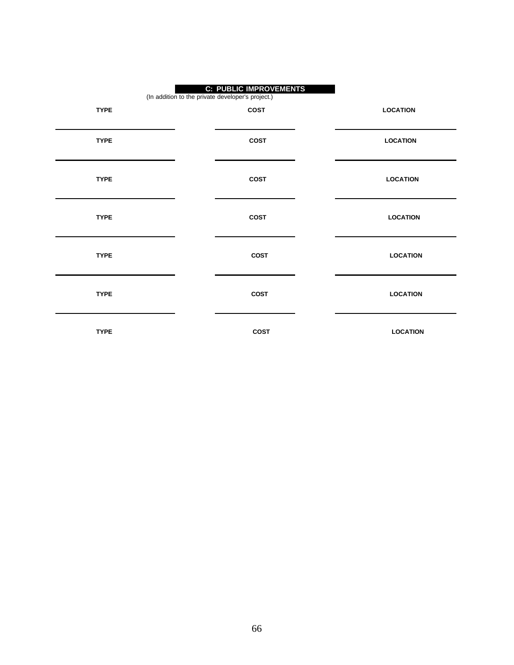| <b>C: PUBLIC IMPROVEMENTS</b><br>(In addition to the private developer's project.) |             |                 |  |
|------------------------------------------------------------------------------------|-------------|-----------------|--|
| <b>TYPE</b>                                                                        | COST        | <b>LOCATION</b> |  |
| <b>TYPE</b>                                                                        | <b>COST</b> | <b>LOCATION</b> |  |
| <b>TYPE</b>                                                                        | <b>COST</b> | <b>LOCATION</b> |  |
| <b>TYPE</b>                                                                        | COST        | <b>LOCATION</b> |  |
| <b>TYPE</b>                                                                        | <b>COST</b> | <b>LOCATION</b> |  |
| <b>TYPE</b>                                                                        | COST        | <b>LOCATION</b> |  |
| <b>TYPE</b>                                                                        | <b>COST</b> | <b>LOCATION</b> |  |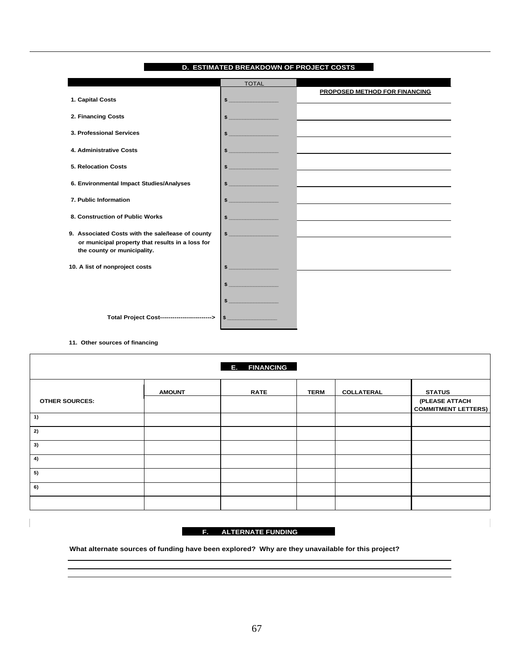|                                                                                                                                      | <b>TOTAL</b>  |                                                                                                                 |
|--------------------------------------------------------------------------------------------------------------------------------------|---------------|-----------------------------------------------------------------------------------------------------------------|
| 1. Capital Costs                                                                                                                     |               | <b>PROPOSED METHOD FOR FINANCING</b>                                                                            |
| 2. Financing Costs                                                                                                                   |               |                                                                                                                 |
| 3. Professional Services                                                                                                             |               | the contract of the contract of the contract of the contract of the contract of the contract of the contract of |
| 4. Administrative Costs                                                                                                              | $\frac{1}{2}$ |                                                                                                                 |
| 5. Relocation Costs                                                                                                                  |               |                                                                                                                 |
| 6. Environmental Impact Studies/Analyses                                                                                             | $\sim$        |                                                                                                                 |
| 7. Public Information                                                                                                                | $\sim$        |                                                                                                                 |
| 8. Construction of Public Works                                                                                                      | $\frac{1}{2}$ | <u> 1989 - Andrea Andrew Maria (h. 1989).</u>                                                                   |
| 9. Associated Costs with the sale/lease of county<br>or municipal property that results in a loss for<br>the county or municipality. | $\sim$        | the contract of the contract of the contract of the contract of the contract of the contract of the contract of |
| 10. A list of nonproject costs                                                                                                       |               |                                                                                                                 |
|                                                                                                                                      |               |                                                                                                                 |
|                                                                                                                                      |               |                                                                                                                 |
| Total Project Cost------------------------>                                                                                          |               |                                                                                                                 |

#### **D. ESTIMATED BREAKDOWN OF PROJECT COSTS**

**11. Other sources of financing**

| <b>E. FINANCING</b>   |               |             |             |                   |                                              |  |  |
|-----------------------|---------------|-------------|-------------|-------------------|----------------------------------------------|--|--|
|                       | <b>AMOUNT</b> | <b>RATE</b> | <b>TERM</b> | <b>COLLATERAL</b> | <b>STATUS</b>                                |  |  |
| <b>OTHER SOURCES:</b> |               |             |             |                   | (PLEASE ATTACH<br><b>COMMITMENT LETTERS)</b> |  |  |
| 1)                    |               |             |             |                   |                                              |  |  |
| 2)                    |               |             |             |                   |                                              |  |  |
| 3)                    |               |             |             |                   |                                              |  |  |
| 4)                    |               |             |             |                   |                                              |  |  |
| 5)                    |               |             |             |                   |                                              |  |  |
| 6)                    |               |             |             |                   |                                              |  |  |
|                       |               |             |             |                   |                                              |  |  |

#### **F. ALTERNATE FUNDING**

**What alternate sources of funding have been explored? Why are they unavailable for this project?**

I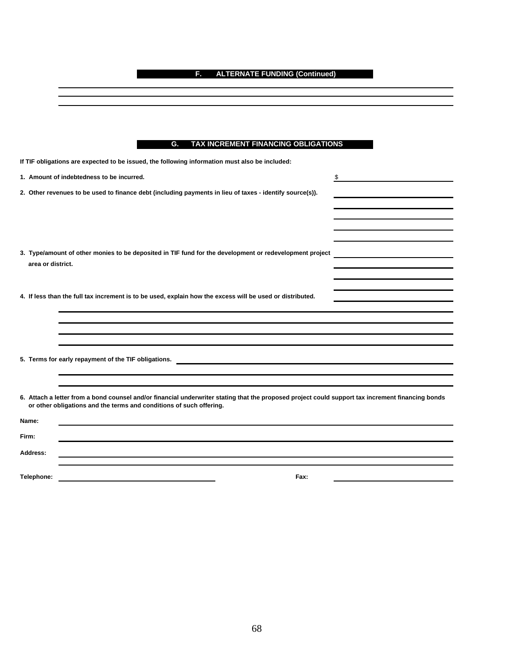**F. ALTERNATE FUNDING (Continued)**

| G. TAX INCREMENT FINANCING OBLIGATIONS |
|----------------------------------------|

| If TIF obligations are expected to be issued, the following information must also be included:                                                                                                                           |    |  |  |  |  |
|--------------------------------------------------------------------------------------------------------------------------------------------------------------------------------------------------------------------------|----|--|--|--|--|
| 1. Amount of indebtedness to be incurred.                                                                                                                                                                                | \$ |  |  |  |  |
| 2. Other revenues to be used to finance debt (including payments in lieu of taxes - identify source(s)).                                                                                                                 |    |  |  |  |  |
|                                                                                                                                                                                                                          |    |  |  |  |  |
|                                                                                                                                                                                                                          |    |  |  |  |  |
|                                                                                                                                                                                                                          |    |  |  |  |  |
| 3. Type/amount of other monies to be deposited in TIF fund for the development or redevelopment project                                                                                                                  |    |  |  |  |  |
| area or district.                                                                                                                                                                                                        |    |  |  |  |  |
|                                                                                                                                                                                                                          |    |  |  |  |  |
| 4. If less than the full tax increment is to be used, explain how the excess will be used or distributed.                                                                                                                |    |  |  |  |  |
|                                                                                                                                                                                                                          |    |  |  |  |  |
|                                                                                                                                                                                                                          |    |  |  |  |  |
|                                                                                                                                                                                                                          |    |  |  |  |  |
|                                                                                                                                                                                                                          |    |  |  |  |  |
| 5. Terms for early repayment of the TIF obligations.                                                                                                                                                                     |    |  |  |  |  |
|                                                                                                                                                                                                                          |    |  |  |  |  |
|                                                                                                                                                                                                                          |    |  |  |  |  |
| 6. Attach a letter from a bond counsel and/or financial underwriter stating that the proposed project could support tax increment financing bonds<br>or other obligations and the terms and conditions of such offering. |    |  |  |  |  |
| Name:                                                                                                                                                                                                                    |    |  |  |  |  |
| Firm:                                                                                                                                                                                                                    |    |  |  |  |  |
| Address:                                                                                                                                                                                                                 |    |  |  |  |  |
|                                                                                                                                                                                                                          |    |  |  |  |  |
| Telephone:<br>Fax:                                                                                                                                                                                                       |    |  |  |  |  |

68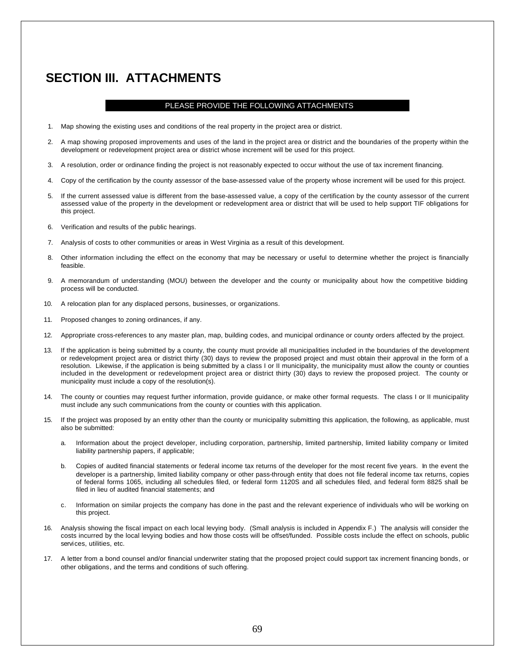## **SECTION III. ATTACHMENTS**

#### PLEASE PROVIDE THE FOLLOWING ATTACHMENTS

- 1. Map showing the existing uses and conditions of the real property in the project area or district.
- 2. A map showing proposed improvements and uses of the land in the project area or district and the boundaries of the property within the development or redevelopment project area or district whose increment will be used for this project.
- 3. A resolution, order or ordinance finding the project is not reasonably expected to occur without the use of tax increment financing.
- 4. Copy of the certification by the county assessor of the base-assessed value of the property whose increment will be used for this project.
- 5. If the current assessed value is different from the base-assessed value, a copy of the certification by the county assessor of the current assessed value of the property in the development or redevelopment area or district that will be used to help support TIF obligations for this project.
- 6. Verification and results of the public hearings.
- 7. Analysis of costs to other communities or areas in West Virginia as a result of this development.
- 8. Other information including the effect on the economy that may be necessary or useful to determine whether the project is financially feasible.
- 9. A memorandum of understanding (MOU) between the developer and the county or municipality about how the competitive bidding process will be conducted.
- 10. A relocation plan for any displaced persons, businesses, or organizations.
- 11. Proposed changes to zoning ordinances, if any.
- 12. Appropriate cross-references to any master plan, map, building codes, and municipal ordinance or county orders affected by the project.
- 13. If the application is being submitted by a county, the county must provide all municipalities included in the boundaries of the development or redevelopment project area or district thirty (30) days to review the proposed project and must obtain their approval in the form of a resolution. Likewise, if the application is being submitted by a class I or II municipality, the municipality must allow the county or counties included in the development or redevelopment project area or district thirty (30) days to review the proposed project. The county or municipality must include a copy of the resolution(s).
- 14. The county or counties may request further information, provide guidance, or make other formal requests. The class I or II municipality must include any such communications from the county or counties with this application.
- 15. If the project was proposed by an entity other than the county or municipality submitting this application, the following, as applicable, must also be submitted:
	- a. Information about the project developer, including corporation, partnership, limited partnership, limited liability company or limited liability partnership papers, if applicable;
	- b. Copies of audited financial statements or federal income tax returns of the developer for the most recent five years. In the event the developer is a partnership, limited liability company or other pass-through entity that does not file federal income tax returns, copies of federal forms 1065, including all schedules filed, or federal form 1120S and all schedules filed, and federal form 8825 shall be filed in lieu of audited financial statements; and
	- c. Information on similar projects the company has done in the past and the relevant experience of individuals who will be working on this project.
- 16. Analysis showing the fiscal impact on each local levying body. (Small analysis is included in Appendix F.) The analysis will consider the costs incurred by the local levying bodies and how those costs will be offset/funded. Possible costs include the effect on schools, public services, utilities, etc.
- 17. A letter from a bond counsel and/or financial underwriter stating that the proposed project could support tax increment financing bonds, or other obligations, and the terms and conditions of such offering.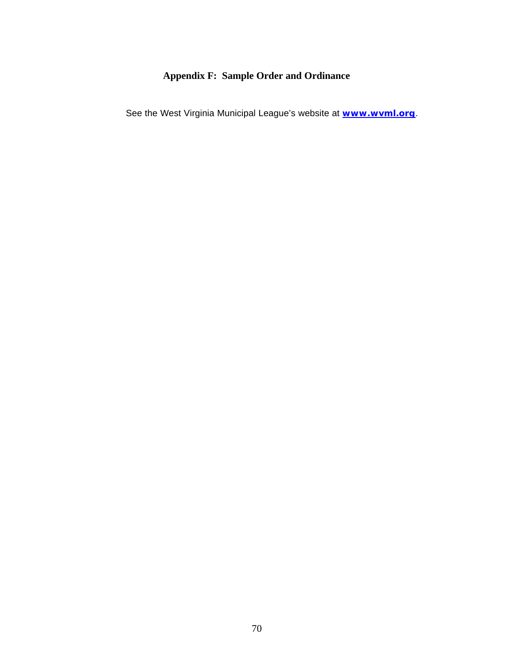## **Appendix F: Sample Order and Ordinance**

See the West Virginia Municipal League's website at **www.wvml.org**.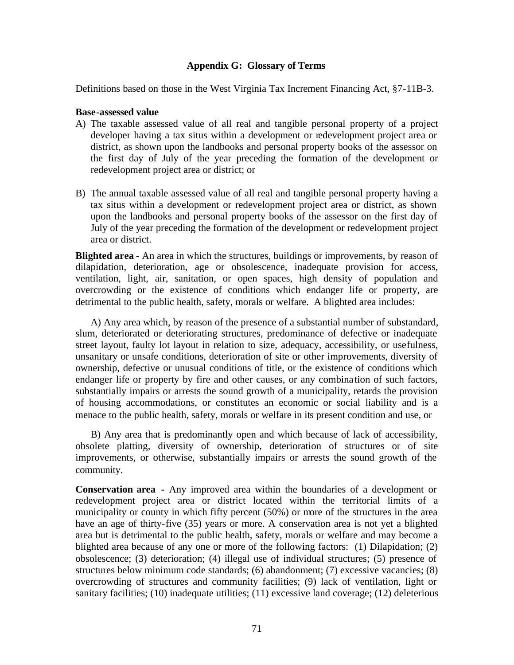## **Appendix G: Glossary of Terms**

Definitions based on those in the West Virginia Tax Increment Financing Act, §7-11B-3.

### **Base-assessed value**

- A) The taxable assessed value of all real and tangible personal property of a project developer having a tax situs within a development or redevelopment project area or district, as shown upon the landbooks and personal property books of the assessor on the first day of July of the year preceding the formation of the development or redevelopment project area or district; or
- B) The annual taxable assessed value of all real and tangible personal property having a tax situs within a development or redevelopment project area or district, as shown upon the landbooks and personal property books of the assessor on the first day of July of the year preceding the formation of the development or redevelopment project area or district.

**Blighted area** - An area in which the structures, buildings or improvements, by reason of dilapidation, deterioration, age or obsolescence, inadequate provision for access, ventilation, light, air, sanitation, or open spaces, high density of population and overcrowding or the existence of conditions which endanger life or property, are detrimental to the public health, safety, morals or welfare. A blighted area includes:

A) Any area which, by reason of the presence of a substantial number of substandard, slum, deteriorated or deteriorating structures, predominance of defective or inadequate street layout, faulty lot layout in relation to size, adequacy, accessibility, or usefulness, unsanitary or unsafe conditions, deterioration of site or other improvements, diversity of ownership, defective or unusual conditions of title, or the existence of conditions which endanger life or property by fire and other causes, or any combination of such factors, substantially impairs or arrests the sound growth of a municipality, retards the provision of housing accommodations, or constitutes an economic or social liability and is a menace to the public health, safety, morals or welfare in its present condition and use, or

B) Any area that is predominantly open and which because of lack of accessibility, obsolete platting, diversity of ownership, deterioration of structures or of site improvements, or otherwise, substantially impairs or arrests the sound growth of the community.

**Conservation area -** Any improved area within the boundaries of a development or redevelopment project area or district located within the territorial limits of a municipality or county in which fifty percent (50%) or more of the structures in the area have an age of thirty-five (35) years or more. A conservation area is not yet a blighted area but is detrimental to the public health, safety, morals or welfare and may become a blighted area because of any one or more of the following factors: (1) Dilapidation; (2) obsolescence; (3) deterioration; (4) illegal use of individual structures; (5) presence of structures below minimum code standards; (6) abandonment; (7) excessive vacancies; (8) overcrowding of structures and community facilities; (9) lack of ventilation, light or sanitary facilities; (10) inadequate utilities; (11) excessive land coverage; (12) deleterious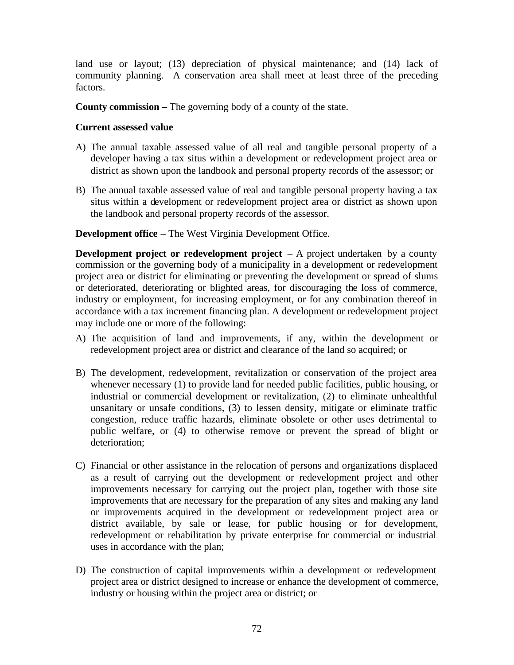land use or layout; (13) depreciation of physical maintenance; and (14) lack of community planning. A conservation area shall meet at least three of the preceding factors.

**County commission –** The governing body of a county of the state.

# **Current assessed value**

- A) The annual taxable assessed value of all real and tangible personal property of a developer having a tax situs within a development or redevelopment project area or district as shown upon the landbook and personal property records of the assessor; or
- B) The annual taxable assessed value of real and tangible personal property having a tax situs within a development or redevelopment project area or district as shown upon the landbook and personal property records of the assessor.

**Development office** – The West Virginia Development Office.

**Development project or redevelopment project** – A project undertaken by a county commission or the governing body of a municipality in a development or redevelopment project area or district for eliminating or preventing the development or spread of slums or deteriorated, deteriorating or blighted areas, for discouraging the loss of commerce, industry or employment, for increasing employment, or for any combination thereof in accordance with a tax increment financing plan. A development or redevelopment project may include one or more of the following:

- A) The acquisition of land and improvements, if any, within the development or redevelopment project area or district and clearance of the land so acquired; or
- B) The development, redevelopment, revitalization or conservation of the project area whenever necessary (1) to provide land for needed public facilities, public housing, or industrial or commercial development or revitalization, (2) to eliminate unhealthful unsanitary or unsafe conditions, (3) to lessen density, mitigate or eliminate traffic congestion, reduce traffic hazards, eliminate obsolete or other uses detrimental to public welfare, or (4) to otherwise remove or prevent the spread of blight or deterioration;
- C) Financial or other assistance in the relocation of persons and organizations displaced as a result of carrying out the development or redevelopment project and other improvements necessary for carrying out the project plan, together with those site improvements that are necessary for the preparation of any sites and making any land or improvements acquired in the development or redevelopment project area or district available, by sale or lease, for public housing or for development, redevelopment or rehabilitation by private enterprise for commercial or industrial uses in accordance with the plan;
- D) The construction of capital improvements within a development or redevelopment project area or district designed to increase or enhance the development of commerce, industry or housing within the project area or district; or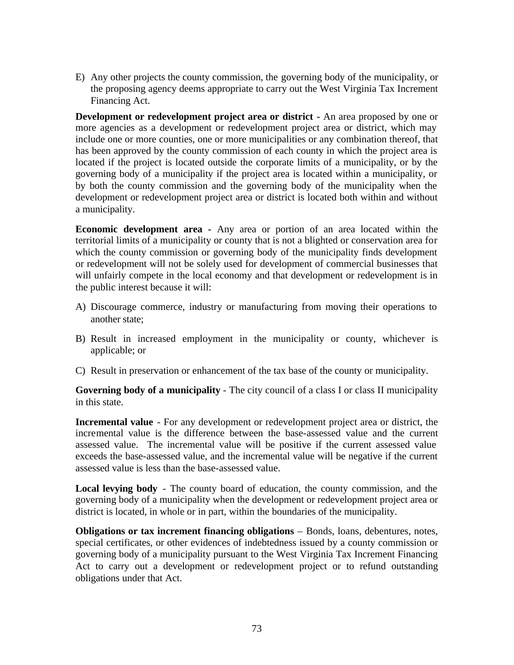E) Any other projects the county commission, the governing body of the municipality, or the proposing agency deems appropriate to carry out the West Virginia Tax Increment Financing Act.

**Development or redevelopment project area or district -** An area proposed by one or more agencies as a development or redevelopment project area or district, which may include one or more counties, one or more municipalities or any combination thereof, that has been approved by the county commission of each county in which the project area is located if the project is located outside the corporate limits of a municipality, or by the governing body of a municipality if the project area is located within a municipality, or by both the county commission and the governing body of the municipality when the development or redevelopment project area or district is located both within and without a municipality.

**Economic development area -** Any area or portion of an area located within the territorial limits of a municipality or county that is not a blighted or conservation area for which the county commission or governing body of the municipality finds development or redevelopment will not be solely used for development of commercial businesses that will unfairly compete in the local economy and that development or redevelopment is in the public interest because it will:

- A) Discourage commerce, industry or manufacturing from moving their operations to another state;
- B) Result in increased employment in the municipality or county, whichever is applicable; or
- C) Result in preservation or enhancement of the tax base of the county or municipality.

**Governing body of a municipality** - The city council of a class I or class II municipality in this state.

**Incremental value** - For any development or redevelopment project area or district, the incremental value is the difference between the base-assessed value and the current assessed value. The incremental value will be positive if the current assessed value exceeds the base-assessed value, and the incremental value will be negative if the current assessed value is less than the base-assessed value.

**Local levying body** - The county board of education, the county commission, and the governing body of a municipality when the development or redevelopment project area or district is located, in whole or in part, within the boundaries of the municipality.

**Obligations or tax increment financing obligations** – Bonds, loans, debentures, notes, special certificates, or other evidences of indebtedness issued by a county commission or governing body of a municipality pursuant to the West Virginia Tax Increment Financing Act to carry out a development or redevelopment project or to refund outstanding obligations under that Act.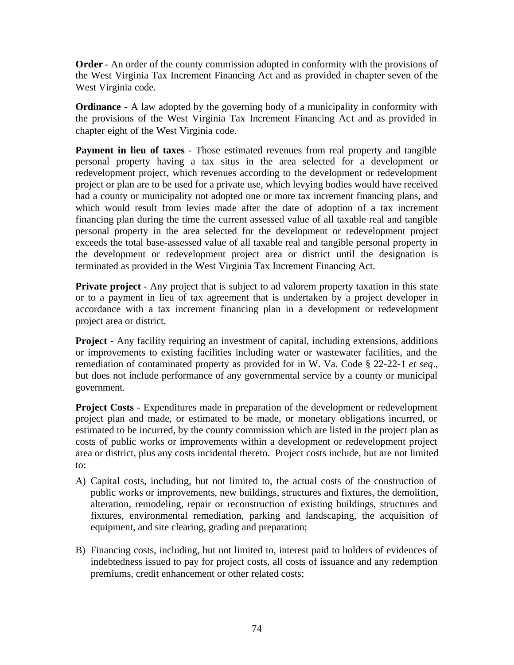**Order** - An order of the county commission adopted in conformity with the provisions of the West Virginia Tax Increment Financing Act and as provided in chapter seven of the West Virginia code.

**Ordinance** - A law adopted by the governing body of a municipality in conformity with the provisions of the West Virginia Tax Increment Financing Act and as provided in chapter eight of the West Virginia code.

**Payment in lieu of taxes** - Those estimated revenues from real property and tangible personal property having a tax situs in the area selected for a development or redevelopment project, which revenues according to the development or redevelopment project or plan are to be used for a private use, which levying bodies would have received had a county or municipality not adopted one or more tax increment financing plans, and which would result from levies made after the date of adoption of a tax increment financing plan during the time the current assessed value of all taxable real and tangible personal property in the area selected for the development or redevelopment project exceeds the total base-assessed value of all taxable real and tangible personal property in the development or redevelopment project area or district until the designation is terminated as provided in the West Virginia Tax Increment Financing Act.

**Private project** - Any project that is subject to ad valorem property taxation in this state or to a payment in lieu of tax agreement that is undertaken by a project developer in accordance with a tax increment financing plan in a development or redevelopment project area or district.

**Project** - Any facility requiring an investment of capital, including extensions, additions or improvements to existing facilities including water or wastewater facilities, and the remediation of contaminated property as provided for in W. Va. Code § 22-22-1 *et seq*., but does not include performance of any governmental service by a county or municipal government.

**Project Costs** - Expenditures made in preparation of the development or redevelopment project plan and made, or estimated to be made, or monetary obligations incurred, or estimated to be incurred, by the county commission which are listed in the project plan as costs of public works or improvements within a development or redevelopment project area or district, plus any costs incidental thereto. Project costs include, but are not limited to:

- A) Capital costs, including, but not limited to, the actual costs of the construction of public works or improvements, new buildings, structures and fixtures, the demolition, alteration, remodeling, repair or reconstruction of existing buildings, structures and fixtures, environmental remediation, parking and landscaping, the acquisition of equipment, and site clearing, grading and preparation;
- B) Financing costs, including, but not limited to, interest paid to holders of evidences of indebtedness issued to pay for project costs, all costs of issuance and any redemption premiums, credit enhancement or other related costs;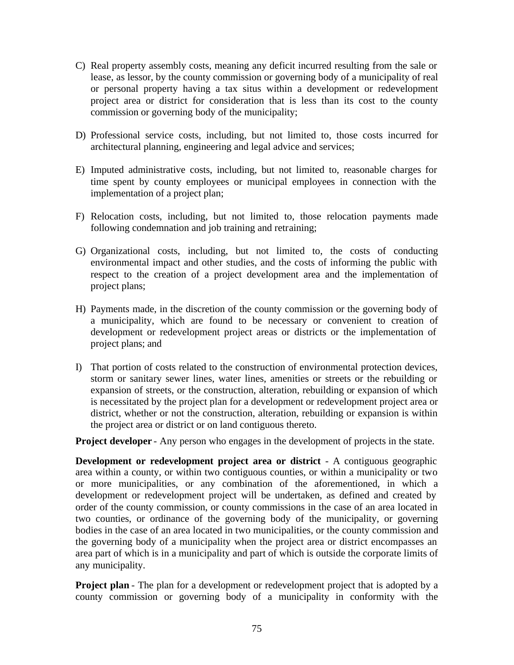- C) Real property assembly costs, meaning any deficit incurred resulting from the sale or lease, as lessor, by the county commission or governing body of a municipality of real or personal property having a tax situs within a development or redevelopment project area or district for consideration that is less than its cost to the county commission or governing body of the municipality;
- D) Professional service costs, including, but not limited to, those costs incurred for architectural planning, engineering and legal advice and services;
- E) Imputed administrative costs, including, but not limited to, reasonable charges for time spent by county employees or municipal employees in connection with the implementation of a project plan;
- F) Relocation costs, including, but not limited to, those relocation payments made following condemnation and job training and retraining;
- G) Organizational costs, including, but not limited to, the costs of conducting environmental impact and other studies, and the costs of informing the public with respect to the creation of a project development area and the implementation of project plans;
- H) Payments made, in the discretion of the county commission or the governing body of a municipality, which are found to be necessary or convenient to creation of development or redevelopment project areas or districts or the implementation of project plans; and
- I) That portion of costs related to the construction of environmental protection devices, storm or sanitary sewer lines, water lines, amenities or streets or the rebuilding or expansion of streets, or the construction, alteration, rebuilding or expansion of which is necessitated by the project plan for a development or redevelopment project area or district, whether or not the construction, alteration, rebuilding or expansion is within the project area or district or on land contiguous thereto.

**Project developer** - Any person who engages in the development of projects in the state.

**Development or redevelopment project area or district** - A contiguous geographic area within a county, or within two contiguous counties, or within a municipality or two or more municipalities, or any combination of the aforementioned, in which a development or redevelopment project will be undertaken, as defined and created by order of the county commission, or county commissions in the case of an area located in two counties, or ordinance of the governing body of the municipality, or governing bodies in the case of an area located in two municipalities, or the county commission and the governing body of a municipality when the project area or district encompasses an area part of which is in a municipality and part of which is outside the corporate limits of any municipality.

**Project plan** - The plan for a development or redevelopment project that is adopted by a county commission or governing body of a municipality in conformity with the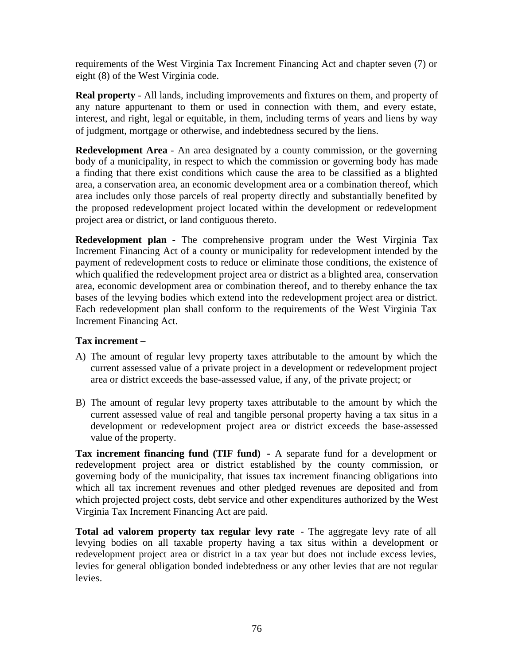requirements of the West Virginia Tax Increment Financing Act and chapter seven (7) or eight (8) of the West Virginia code.

**Real property** - All lands, including improvements and fixtures on them, and property of any nature appurtenant to them or used in connection with them, and every estate, interest, and right, legal or equitable, in them, including terms of years and liens by way of judgment, mortgage or otherwise, and indebtedness secured by the liens.

**Redevelopment Area** - An area designated by a county commission, or the governing body of a municipality, in respect to which the commission or governing body has made a finding that there exist conditions which cause the area to be classified as a blighted area, a conservation area, an economic development area or a combination thereof, which area includes only those parcels of real property directly and substantially benefited by the proposed redevelopment project located within the development or redevelopment project area or district, or land contiguous thereto.

**Redevelopment plan** - The comprehensive program under the West Virginia Tax Increment Financing Act of a county or municipality for redevelopment intended by the payment of redevelopment costs to reduce or eliminate those conditions, the existence of which qualified the redevelopment project area or district as a blighted area, conservation area, economic development area or combination thereof, and to thereby enhance the tax bases of the levying bodies which extend into the redevelopment project area or district. Each redevelopment plan shall conform to the requirements of the West Virginia Tax Increment Financing Act.

# **Tax increment –**

- A) The amount of regular levy property taxes attributable to the amount by which the current assessed value of a private project in a development or redevelopment project area or district exceeds the base-assessed value, if any, of the private project; or
- B) The amount of regular levy property taxes attributable to the amount by which the current assessed value of real and tangible personal property having a tax situs in a development or redevelopment project area or district exceeds the base-assessed value of the property.

**Tax increment financing fund (TIF fund) -** A separate fund for a development or redevelopment project area or district established by the county commission, or governing body of the municipality, that issues tax increment financing obligations into which all tax increment revenues and other pledged revenues are deposited and from which projected project costs, debt service and other expenditures authorized by the West Virginia Tax Increment Financing Act are paid.

**Total ad valorem property tax regular levy rate** - The aggregate levy rate of all levying bodies on all taxable property having a tax situs within a development or redevelopment project area or district in a tax year but does not include excess levies, levies for general obligation bonded indebtedness or any other levies that are not regular levies.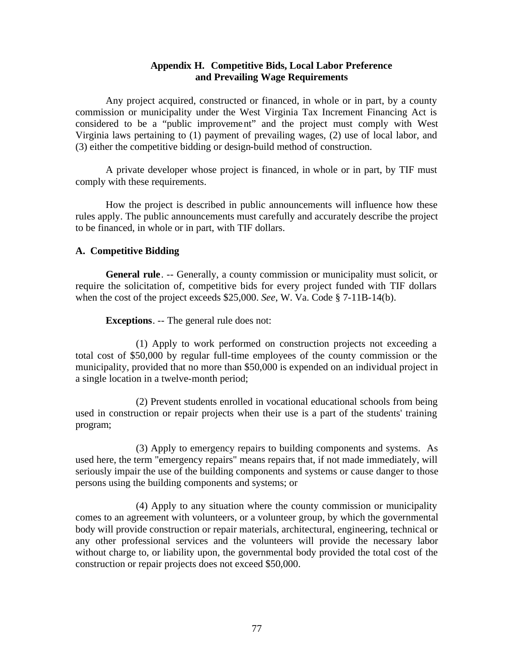# **Appendix H. Competitive Bids, Local Labor Preference and Prevailing Wage Requirements**

Any project acquired, constructed or financed, in whole or in part, by a county commission or municipality under the West Virginia Tax Increment Financing Act is considered to be a "public improvement" and the project must comply with West Virginia laws pertaining to (1) payment of prevailing wages, (2) use of local labor, and (3) either the competitive bidding or design-build method of construction.

A private developer whose project is financed, in whole or in part, by TIF must comply with these requirements.

How the project is described in public announcements will influence how these rules apply. The public announcements must carefully and accurately describe the project to be financed, in whole or in part, with TIF dollars.

# **A. Competitive Bidding**

**General rule**. -- Generally, a county commission or municipality must solicit, or require the solicitation of, competitive bids for every project funded with TIF dollars when the cost of the project exceeds \$25,000. *See*, W. Va. Code § 7-11B-14(b).

**Exceptions**. -- The general rule does not:

(1) Apply to work performed on construction projects not exceeding a total cost of \$50,000 by regular full-time employees of the county commission or the municipality, provided that no more than \$50,000 is expended on an individual project in a single location in a twelve-month period;

(2) Prevent students enrolled in vocational educational schools from being used in construction or repair projects when their use is a part of the students' training program;

(3) Apply to emergency repairs to building components and systems. As used here, the term "emergency repairs" means repairs that, if not made immediately, will seriously impair the use of the building components and systems or cause danger to those persons using the building components and systems; or

(4) Apply to any situation where the county commission or municipality comes to an agreement with volunteers, or a volunteer group, by which the governmental body will provide construction or repair materials, architectural, engineering, technical or any other professional services and the volunteers will provide the necessary labor without charge to, or liability upon, the governmental body provided the total cost of the construction or repair projects does not exceed \$50,000.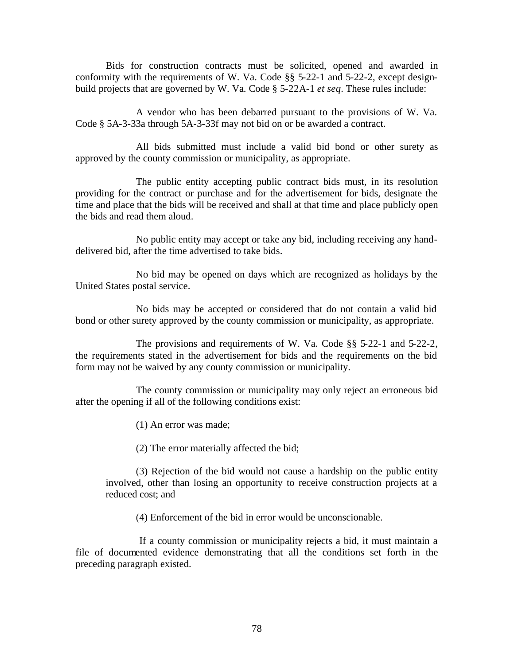Bids for construction contracts must be solicited, opened and awarded in conformity with the requirements of W. Va. Code §§ 5-22-1 and 5-22-2, except designbuild projects that are governed by W. Va. Code § 5-22A-1 *et seq*. These rules include:

 A vendor who has been debarred pursuant to the provisions of W. Va. Code § 5A-3-33a through 5A-3-33f may not bid on or be awarded a contract.

 All bids submitted must include a valid bid bond or other surety as approved by the county commission or municipality, as appropriate.

 The public entity accepting public contract bids must, in its resolution providing for the contract or purchase and for the advertisement for bids, designate the time and place that the bids will be received and shall at that time and place publicly open the bids and read them aloud.

 No public entity may accept or take any bid, including receiving any handdelivered bid, after the time advertised to take bids.

 No bid may be opened on days which are recognized as holidays by the United States postal service.

 No bids may be accepted or considered that do not contain a valid bid bond or other surety approved by the county commission or municipality, as appropriate.

 The provisions and requirements of W. Va. Code §§ 5-22-1 and 5-22-2, the requirements stated in the advertisement for bids and the requirements on the bid form may not be waived by any county commission or municipality.

 The county commission or municipality may only reject an erroneous bid after the opening if all of the following conditions exist:

(1) An error was made;

(2) The error materially affected the bid;

(3) Rejection of the bid would not cause a hardship on the public entity involved, other than losing an opportunity to receive construction projects at a reduced cost; and

(4) Enforcement of the bid in error would be unconscionable.

 If a county commission or municipality rejects a bid, it must maintain a file of documented evidence demonstrating that all the conditions set forth in the preceding paragraph existed.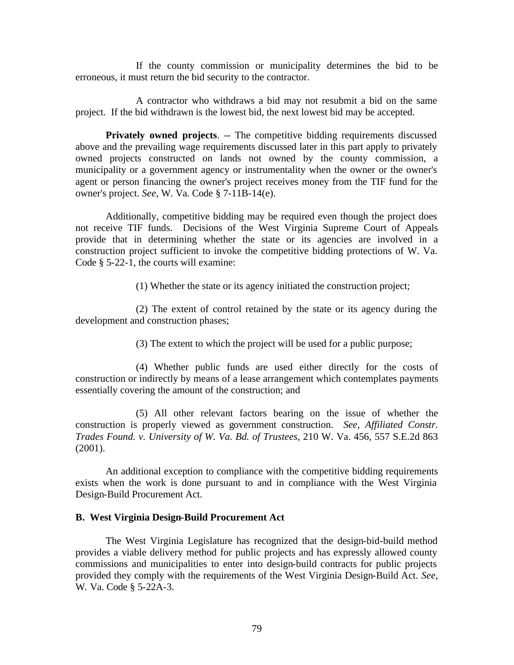If the county commission or municipality determines the bid to be erroneous, it must return the bid security to the contractor.

 A contractor who withdraws a bid may not resubmit a bid on the same project. If the bid withdrawn is the lowest bid, the next lowest bid may be accepted.

**Privately owned projects.** -- The competitive bidding requirements discussed above and the prevailing wage requirements discussed later in this part apply to privately owned projects constructed on lands not owned by the county commission, a municipality or a government agency or instrumentality when the owner or the owner's agent or person financing the owner's project receives money from the TIF fund for the owner's project. *See*, W. Va. Code § 7-11B-14(e).

Additionally, competitive bidding may be required even though the project does not receive TIF funds. Decisions of the West Virginia Supreme Court of Appeals provide that in determining whether the state or its agencies are involved in a construction project sufficient to invoke the competitive bidding protections of W. Va. Code § 5-22-1, the courts will examine:

(1) Whether the state or its agency initiated the construction project;

(2) The extent of control retained by the state or its agency during the development and construction phases;

(3) The extent to which the project will be used for a public purpose;

(4) Whether public funds are used either directly for the costs of construction or indirectly by means of a lease arrangement which contemplates payments essentially covering the amount of the construction; and

(5) All other relevant factors bearing on the issue of whether the construction is properly viewed as government construction. *See, Affiliated Constr. Trades Found. v. University of W. Va. Bd. of Trustees*, 210 W. Va. 456, 557 S.E.2d 863 (2001).

An additional exception to compliance with the competitive bidding requirements exists when the work is done pursuant to and in compliance with the West Virginia Design-Build Procurement Act.

### **B. West Virginia Design-Build Procurement Act**

The West Virginia Legislature has recognized that the design-bid-build method provides a viable delivery method for public projects and has expressly allowed county commissions and municipalities to enter into design-build contracts for public projects provided they comply with the requirements of the West Virginia Design-Build Act. *See*, W. Va. Code § 5-22A-3.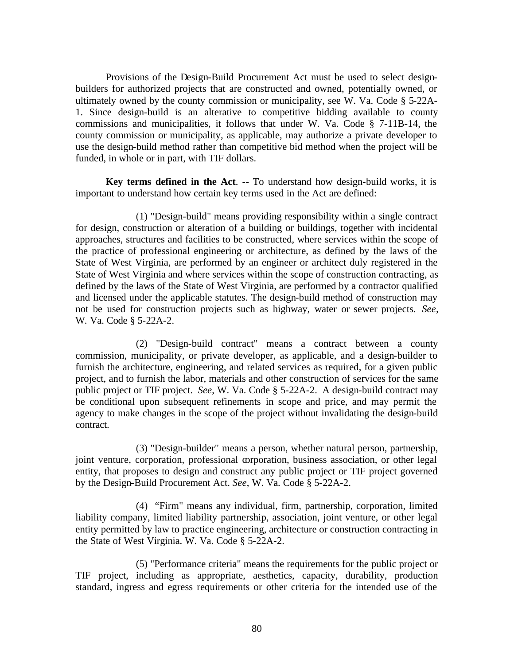Provisions of the Design-Build Procurement Act must be used to select designbuilders for authorized projects that are constructed and owned, potentially owned, or ultimately owned by the county commission or municipality, see W. Va. Code § 5-22A-1. Since design-build is an alterative to competitive bidding available to county commissions and municipalities, it follows that under W. Va. Code § 7-11B-14, the county commission or municipality, as applicable, may authorize a private developer to use the design-build method rather than competitive bid method when the project will be funded, in whole or in part, with TIF dollars.

**Key terms defined in the Act**. -- To understand how design-build works, it is important to understand how certain key terms used in the Act are defined:

(1) "Design-build" means providing responsibility within a single contract for design, construction or alteration of a building or buildings, together with incidental approaches, structures and facilities to be constructed, where services within the scope of the practice of professional engineering or architecture, as defined by the laws of the State of West Virginia, are performed by an engineer or architect duly registered in the State of West Virginia and where services within the scope of construction contracting, as defined by the laws of the State of West Virginia, are performed by a contractor qualified and licensed under the applicable statutes. The design-build method of construction may not be used for construction projects such as highway, water or sewer projects. *See,* W. Va. Code § 5-22A-2.

(2) "Design-build contract" means a contract between a county commission, municipality, or private developer, as applicable, and a design-builder to furnish the architecture, engineering, and related services as required, for a given public project, and to furnish the labor, materials and other construction of services for the same public project or TIF project. *See*, W. Va. Code § 5-22A-2. A design-build contract may be conditional upon subsequent refinements in scope and price, and may permit the agency to make changes in the scope of the project without invalidating the design-build contract.

(3) "Design-builder" means a person, whether natural person, partnership, joint venture, corporation, professional corporation, business association, or other legal entity, that proposes to design and construct any public project or TIF project governed by the Design-Build Procurement Act. *See*, W. Va. Code § 5-22A-2.

(4) "Firm" means any individual, firm, partnership, corporation, limited liability company, limited liability partnership, association, joint venture, or other legal entity permitted by law to practice engineering, architecture or construction contracting in the State of West Virginia. W. Va. Code § 5-22A-2.

(5) "Performance criteria" means the requirements for the public project or TIF project, including as appropriate, aesthetics, capacity, durability, production standard, ingress and egress requirements or other criteria for the intended use of the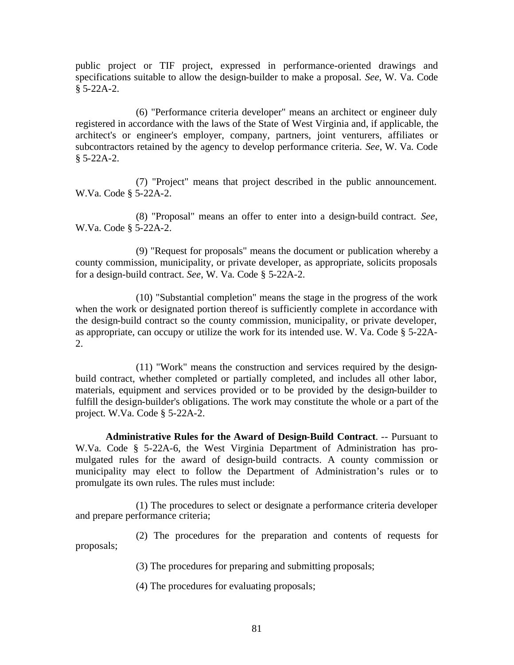public project or TIF project, expressed in performance-oriented drawings and specifications suitable to allow the design-builder to make a proposal. *See*, W. Va. Code § 5-22A-2.

(6) "Performance criteria developer" means an architect or engineer duly registered in accordance with the laws of the State of West Virginia and, if applicable, the architect's or engineer's employer, company, partners, joint venturers, affiliates or subcontractors retained by the agency to develop performance criteria. *See*, W. Va. Code § 5-22A-2.

(7) "Project" means that project described in the public announcement. W.Va. Code § 5-22A-2.

(8) "Proposal" means an offer to enter into a design-build contract. *See*, W.Va. Code § 5-22A-2.

(9) "Request for proposals" means the document or publication whereby a county commission, municipality, or private developer, as appropriate, solicits proposals for a design-build contract. *See*, W. Va. Code § 5-22A-2.

(10) "Substantial completion" means the stage in the progress of the work when the work or designated portion thereof is sufficiently complete in accordance with the design-build contract so the county commission, municipality, or private developer, as appropriate, can occupy or utilize the work for its intended use. W. Va. Code § 5-22A-2.

(11) "Work" means the construction and services required by the designbuild contract, whether completed or partially completed, and includes all other labor, materials, equipment and services provided or to be provided by the design-builder to fulfill the design-builder's obligations. The work may constitute the whole or a part of the project. W.Va. Code § 5-22A-2.

**Administrative Rules for the Award of Design-Build Contract**. -- Pursuant to W.Va. Code § 5-22A-6, the West Virginia Department of Administration has promulgated rules for the award of design-build contracts. A county commission or municipality may elect to follow the Department of Administration's rules or to promulgate its own rules. The rules must include:

(1) The procedures to select or designate a performance criteria developer and prepare performance criteria;

(2) The procedures for the preparation and contents of requests for proposals;

(3) The procedures for preparing and submitting proposals;

(4) The procedures for evaluating proposals;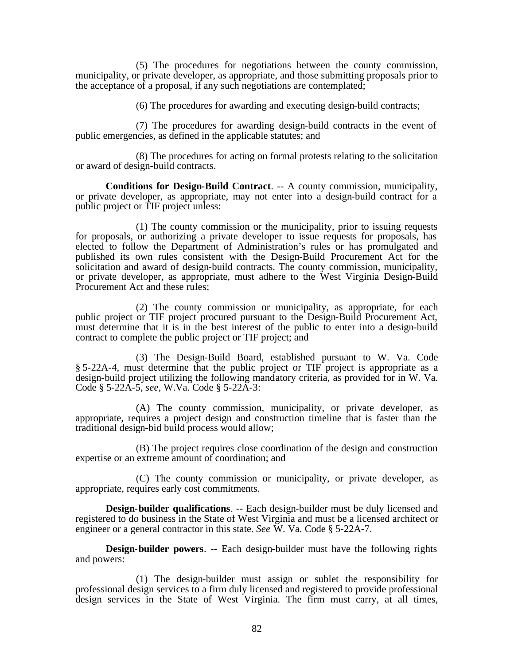(5) The procedures for negotiations between the county commission, municipality, or private developer, as appropriate, and those submitting proposals prior to the acceptance of a proposal, if any such negotiations are contemplated;

(6) The procedures for awarding and executing design-build contracts;

(7) The procedures for awarding design-build contracts in the event of public emergencies, as defined in the applicable statutes; and

(8) The procedures for acting on formal protests relating to the solicitation or award of design-build contracts.

**Conditions for Design-Build Contract**. -- A county commission, municipality, or private developer, as appropriate, may not enter into a design-build contract for a public project or TIF project unless:

(1) The county commission or the municipality, prior to issuing requests for proposals, or authorizing a private developer to issue requests for proposals, has elected to follow the Department of Administration's rules or has promulgated and published its own rules consistent with the Design-Build Procurement Act for the solicitation and award of design-build contracts. The county commission, municipality, or private developer, as appropriate, must adhere to the West Virginia Design-Build Procurement Act and these rules;

(2) The county commission or municipality, as appropriate, for each public project or TIF project procured pursuant to the Design-Build Procurement Act, must determine that it is in the best interest of the public to enter into a design-build contract to complete the public project or TIF project; and

(3) The Design-Build Board, established pursuant to W. Va. Code § 5-22A-4, must determine that the public project or TIF project is appropriate as a design-build project utilizing the following mandatory criteria, as provided for in W. Va. Code § 5-22A-5, *see*, W.Va. Code § 5-22A-3:

(A) The county commission, municipality, or private developer, as appropriate, requires a project design and construction timeline that is faster than the traditional design-bid build process would allow;

(B) The project requires close coordination of the design and construction expertise or an extreme amount of coordination; and

(C) The county commission or municipality, or private developer, as appropriate, requires early cost commitments.

**Design-builder qualifications.** -- Each design-builder must be duly licensed and registered to do business in the State of West Virginia and must be a licensed architect or engineer or a general contractor in this state. *See* W. Va. Code § 5-22A-7.

**Design-builder powers**. -- Each design-builder must have the following rights and powers:

(1) The design-builder must assign or sublet the responsibility for professional design services to a firm duly licensed and registered to provide professional design services in the State of West Virginia. The firm must carry, at all times,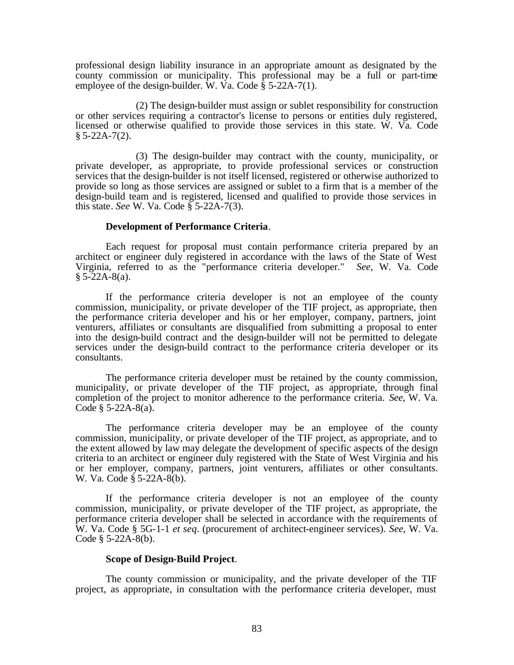professional design liability insurance in an appropriate amount as designated by the county commission or municipality. This professional may be a full or part-time employee of the design-builder. W. Va. Code  $\dot{\S}$  5-22A-7(1).

(2) The design-builder must assign or sublet responsibility for construction or other services requiring a contractor's license to persons or entities duly registered, licensed or otherwise qualified to provide those services in this state. W. Va. Code  $§ 5-22A-7(2).$ 

(3) The design-builder may contract with the county, municipality, or private developer, as appropriate, to provide professional services or construction services that the design-builder is not itself licensed, registered or otherwise authorized to provide so long as those services are assigned or sublet to a firm that is a member of the design-build team and is registered, licensed and qualified to provide those services in this state. *See* W. Va. Code § 5-22A-7(3).

#### **Development of Performance Criteria**.

Each request for proposal must contain performance criteria prepared by an architect or engineer duly registered in accordance with the laws of the State of West Virginia, referred to as the "performance criteria developer." *See*, W. Va. Code  $§ 5-22A-8(a).$ 

If the performance criteria developer is not an employee of the county commission, municipality, or private developer of the TIF project, as appropriate, then the performance criteria developer and his or her employer, company, partners, joint venturers, affiliates or consultants are disqualified from submitting a proposal to enter into the design-build contract and the design-builder will not be permitted to delegate services under the design-build contract to the performance criteria developer or its consultants.

The performance criteria developer must be retained by the county commission, municipality, or private developer of the TIF project, as appropriate, through final completion of the project to monitor adherence to the performance criteria. *See*, W. Va. Code  $§ 5-22A-8(a)$ .

The performance criteria developer may be an employee of the county commission, municipality, or private developer of the TIF project, as appropriate, and to the extent allowed by law may delegate the development of specific aspects of the design criteria to an architect or engineer duly registered with the State of West Virginia and his or her employer, company, partners, joint venturers, affiliates or other consultants. W. Va. Code § 5-22A-8(b).

If the performance criteria developer is not an employee of the county commission, municipality, or private developer of the TIF project, as appropriate, the performance criteria developer shall be selected in accordance with the requirements of W. Va. Code § 5G-1-1 *et seq*. (procurement of architect-engineer services). *See*, W. Va. Code  $§$  5-22A-8(b).

### **Scope of Design-Build Project**.

The county commission or municipality, and the private developer of the TIF project, as appropriate, in consultation with the performance criteria developer, must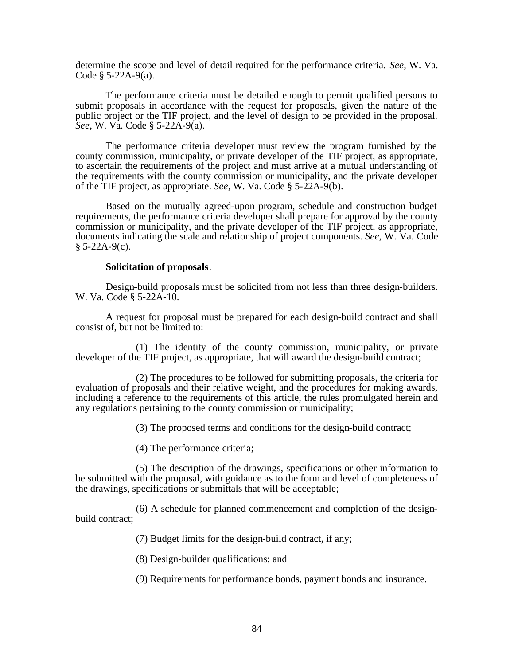determine the scope and level of detail required for the performance criteria. *See*, W. Va. Code  $§ 5-22A-9(a)$ .

The performance criteria must be detailed enough to permit qualified persons to submit proposals in accordance with the request for proposals, given the nature of the public project or the TIF project, and the level of design to be provided in the proposal. *See*, W. Va. Code § 5-22A-9(a).

The performance criteria developer must review the program furnished by the county commission, municipality, or private developer of the TIF project, as appropriate, to ascertain the requirements of the project and must arrive at a mutual understanding of the requirements with the county commission or municipality, and the private developer of the TIF project, as appropriate. *See*, W. Va. Code § 5-22A-9(b).

Based on the mutually agreed-upon program, schedule and construction budget requirements, the performance criteria developer shall prepare for approval by the county commission or municipality, and the private developer of the TIF project, as appropriate, documents indicating the scale and relationship of project components. *See*, W. Va. Code  $§ 5-22A-9(c).$ 

#### **Solicitation of proposals**.

Design-build proposals must be solicited from not less than three design-builders. W. Va. Code § 5-22A-10.

A request for proposal must be prepared for each design-build contract and shall consist of, but not be limited to:

(1) The identity of the county commission, municipality, or private developer of the TIF project, as appropriate, that will award the design-build contract;

(2) The procedures to be followed for submitting proposals, the criteria for evaluation of proposals and their relative weight, and the procedures for making awards, including a reference to the requirements of this article, the rules promulgated herein and any regulations pertaining to the county commission or municipality;

(3) The proposed terms and conditions for the design-build contract;

(4) The performance criteria;

(5) The description of the drawings, specifications or other information to be submitted with the proposal, with guidance as to the form and level of completeness of the drawings, specifications or submittals that will be acceptable;

(6) A schedule for planned commencement and completion of the designbuild contract;

(7) Budget limits for the design-build contract, if any;

(8) Design-builder qualifications; and

(9) Requirements for performance bonds, payment bonds and insurance.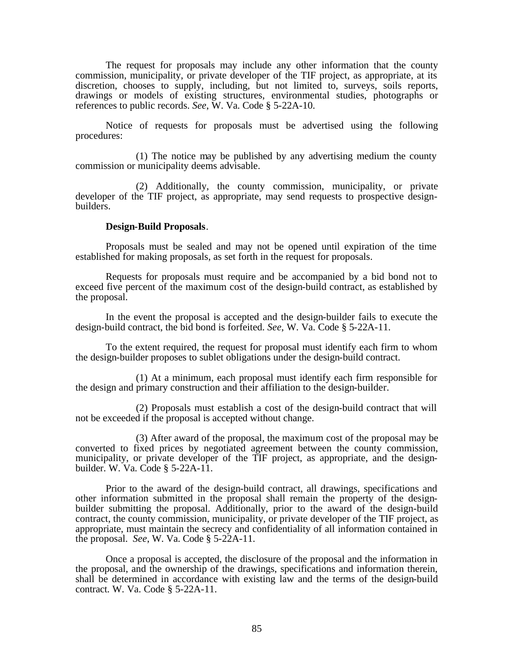The request for proposals may include any other information that the county commission, municipality, or private developer of the TIF project, as appropriate, at its discretion, chooses to supply, including, but not limited to, surveys, soils reports, drawings or models of existing structures, environmental studies, photographs or references to public records. *See*, W. Va. Code § 5-22A-10.

Notice of requests for proposals must be advertised using the following procedures:

(1) The notice may be published by any advertising medium the county commission or municipality deems advisable.

(2) Additionally, the county commission, municipality, or private developer of the TIF project, as appropriate, may send requests to prospective designbuilders.

#### **Design-Build Proposals**.

Proposals must be sealed and may not be opened until expiration of the time established for making proposals, as set forth in the request for proposals.

Requests for proposals must require and be accompanied by a bid bond not to exceed five percent of the maximum cost of the design-build contract, as established by the proposal.

In the event the proposal is accepted and the design-builder fails to execute the design-build contract, the bid bond is forfeited. *See*, W. Va. Code § 5-22A-11.

To the extent required, the request for proposal must identify each firm to whom the design-builder proposes to sublet obligations under the design-build contract.

(1) At a minimum, each proposal must identify each firm responsible for the design and primary construction and their affiliation to the design-builder.

(2) Proposals must establish a cost of the design-build contract that will not be exceeded if the proposal is accepted without change.

(3) After award of the proposal, the maximum cost of the proposal may be converted to fixed prices by negotiated agreement between the county commission, municipality, or private developer of the TIF project, as appropriate, and the designbuilder. W. Va. Code § 5-22A-11.

Prior to the award of the design-build contract, all drawings, specifications and other information submitted in the proposal shall remain the property of the designbuilder submitting the proposal. Additionally, prior to the award of the design-build contract, the county commission, municipality, or private developer of the TIF project, as appropriate, must maintain the secrecy and confidentiality of all information contained in the proposal. *See*, W. Va. Code § 5-22A-11.

Once a proposal is accepted, the disclosure of the proposal and the information in the proposal, and the ownership of the drawings, specifications and information therein, shall be determined in accordance with existing law and the terms of the design-build contract. W. Va. Code § 5-22A-11.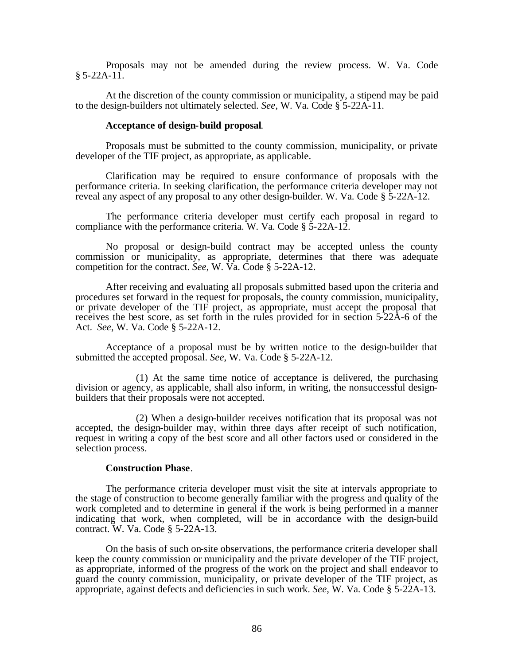Proposals may not be amended during the review process. W. Va. Code  $§ 5-22A-11.$ 

At the discretion of the county commission or municipality, a stipend may be paid to the design-builders not ultimately selected. *See*, W. Va. Code § 5-22A-11.

#### **Acceptance of design-build proposal**.

Proposals must be submitted to the county commission, municipality, or private developer of the TIF project, as appropriate, as applicable.

Clarification may be required to ensure conformance of proposals with the performance criteria. In seeking clarification, the performance criteria developer may not reveal any aspect of any proposal to any other design-builder. W. Va. Code § 5-22A-12.

The performance criteria developer must certify each proposal in regard to compliance with the performance criteria. W. Va. Code § 5-22A-12.

No proposal or design-build contract may be accepted unless the county commission or municipality, as appropriate, determines that there was adequate competition for the contract. *See*, W. Va. Code § 5-22A-12.

After receiving and evaluating all proposals submitted based upon the criteria and procedures set forward in the request for proposals, the county commission, municipality, or private developer of the TIF project, as appropriate, must accept the proposal that receives the best score, as set forth in the rules provided for in section 5-22A-6 of the Act. *See*, W. Va. Code § 5-22A-12.

Acceptance of a proposal must be by written notice to the design-builder that submitted the accepted proposal. *See*, W. Va. Code § 5-22A-12.

(1) At the same time notice of acceptance is delivered, the purchasing division or agency, as applicable, shall also inform, in writing, the nonsuccessful designbuilders that their proposals were not accepted.

(2) When a design-builder receives notification that its proposal was not accepted, the design-builder may, within three days after receipt of such notification, request in writing a copy of the best score and all other factors used or considered in the selection process.

### **Construction Phase**.

The performance criteria developer must visit the site at intervals appropriate to the stage of construction to become generally familiar with the progress and quality of the work completed and to determine in general if the work is being performed in a manner indicating that work, when completed, will be in accordance with the design-build contract. W. Va. Code § 5-22A-13.

On the basis of such on-site observations, the performance criteria developer shall keep the county commission or municipality and the private developer of the TIF project, as appropriate, informed of the progress of the work on the project and shall endeavor to guard the county commission, municipality, or private developer of the TIF project, as appropriate, against defects and deficiencies in such work. *See*, W. Va. Code § 5-22A-13.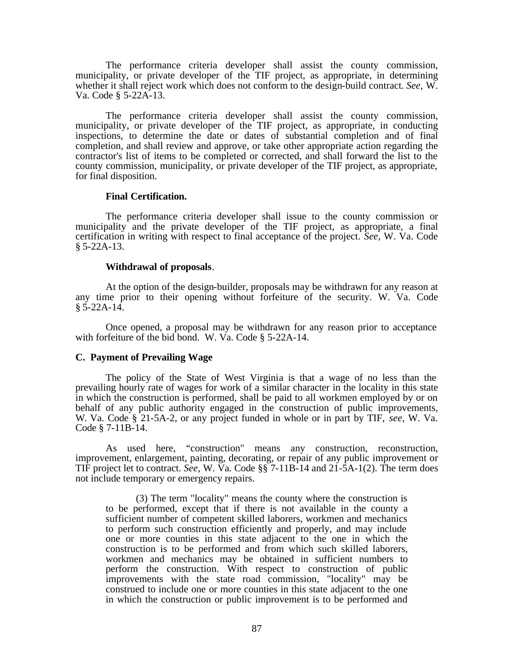The performance criteria developer shall assist the county commission, municipality, or private developer of the TIF project, as appropriate, in determining whether it shall reject work which does not conform to the design-build contract. *See*, W. Va. Code § 5-22A-13.

The performance criteria developer shall assist the county commission, municipality, or private developer of the TIF project, as appropriate, in conducting inspections, to determine the date or dates of substantial completion and of final completion, and shall review and approve, or take other appropriate action regarding the contractor's list of items to be completed or corrected, and shall forward the list to the county commission, municipality, or private developer of the TIF project, as appropriate, for final disposition.

#### **Final Certification.**

The performance criteria developer shall issue to the county commission or municipality and the private developer of the TIF project, as appropriate, a final certification in writing with respect to final acceptance of the project. *See*, W. Va. Code  $§ 5-22A-13.$ 

#### **Withdrawal of proposals**.

At the option of the design-builder, proposals may be withdrawn for any reason at any time prior to their opening without forfeiture of the security. W. Va. Code  $§ 5-22A-14.$ 

Once opened, a proposal may be withdrawn for any reason prior to acceptance with forfeiture of the bid bond. W. Va. Code § 5-22A-14.

## **C. Payment of Prevailing Wage**

The policy of the State of West Virginia is that a wage of no less than the prevailing hourly rate of wages for work of a similar character in the locality in this state in which the construction is performed, shall be paid to all workmen employed by or on behalf of any public authority engaged in the construction of public improvements, W. Va. Code § 21-5A-2, or any project funded in whole or in part by TIF, *see*, W. Va. Code § 7-11B-14.

As used here, "construction" means any construction, reconstruction, improvement, enlargement, painting, decorating, or repair of any public improvement or TIF project let to contract. *See*, W. Va. Code §§ 7-11B-14 and 21-5A-1(2). The term does not include temporary or emergency repairs.

(3) The term "locality" means the county where the construction is to be performed, except that if there is not available in the county a sufficient number of competent skilled laborers, workmen and mechanics to perform such construction efficiently and properly, and may include one or more counties in this state adjacent to the one in which the construction is to be performed and from which such skilled laborers, workmen and mechanics may be obtained in sufficient numbers to perform the construction. With respect to construction of public improvements with the state road commission, "locality" may be construed to include one or more counties in this state adjacent to the one in which the construction or public improvement is to be performed and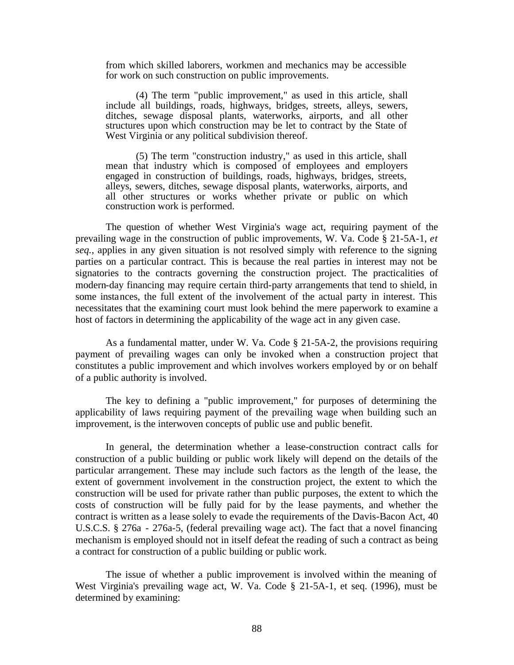from which skilled laborers, workmen and mechanics may be accessible for work on such construction on public improvements.

(4) The term "public improvement," as used in this article, shall include all buildings, roads, highways, bridges, streets, alleys, sewers, ditches, sewage disposal plants, waterworks, airports, and all other structures upon which construction may be let to contract by the State of West Virginia or any political subdivision thereof.

(5) The term "construction industry," as used in this article, shall mean that industry which is composed of employees and employers engaged in construction of buildings, roads, highways, bridges, streets, alleys, sewers, ditches, sewage disposal plants, waterworks, airports, and all other structures or works whether private or public on which construction work is performed.

The question of whether West Virginia's wage act, requiring payment of the prevailing wage in the construction of public improvements, W. Va. Code § 21-5A-1, *et seq.*, applies in any given situation is not resolved simply with reference to the signing parties on a particular contract. This is because the real parties in interest may not be signatories to the contracts governing the construction project. The practicalities of modern-day financing may require certain third-party arrangements that tend to shield, in some instances, the full extent of the involvement of the actual party in interest. This necessitates that the examining court must look behind the mere paperwork to examine a host of factors in determining the applicability of the wage act in any given case.

As a fundamental matter, under W. Va. Code § 21-5A-2, the provisions requiring payment of prevailing wages can only be invoked when a construction project that constitutes a public improvement and which involves workers employed by or on behalf of a public authority is involved.

The key to defining a "public improvement," for purposes of determining the applicability of laws requiring payment of the prevailing wage when building such an improvement, is the interwoven concepts of public use and public benefit.

In general, the determination whether a lease-construction contract calls for construction of a public building or public work likely will depend on the details of the particular arrangement. These may include such factors as the length of the lease, the extent of government involvement in the construction project, the extent to which the construction will be used for private rather than public purposes, the extent to which the costs of construction will be fully paid for by the lease payments, and whether the contract is written as a lease solely to evade the requirements of the Davis-Bacon Act, 40 U.S.C.S. § 276a - 276a-5, (federal prevailing wage act). The fact that a novel financing mechanism is employed should not in itself defeat the reading of such a contract as being a contract for construction of a public building or public work.

The issue of whether a public improvement is involved within the meaning of West Virginia's prevailing wage act, W. Va. Code § 21-5A-1, et seq. (1996), must be determined by examining: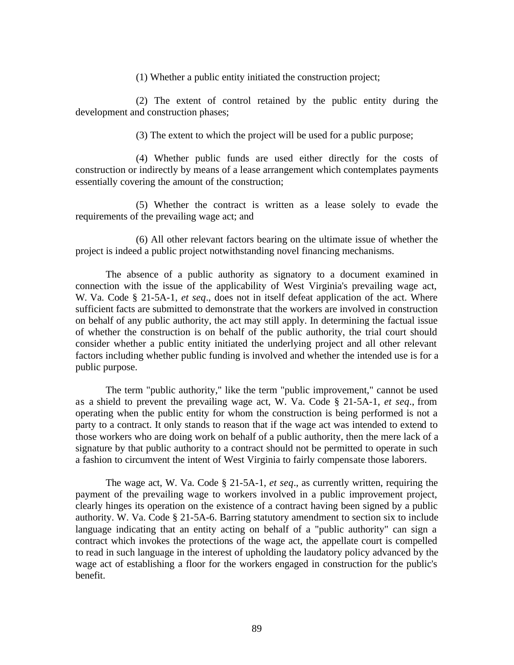(1) Whether a public entity initiated the construction project;

(2) The extent of control retained by the public entity during the development and construction phases;

(3) The extent to which the project will be used for a public purpose;

(4) Whether public funds are used either directly for the costs of construction or indirectly by means of a lease arrangement which contemplates payments essentially covering the amount of the construction;

(5) Whether the contract is written as a lease solely to evade the requirements of the prevailing wage act; and

(6) All other relevant factors bearing on the ultimate issue of whether the project is indeed a public project notwithstanding novel financing mechanisms.

The absence of a public authority as signatory to a document examined in connection with the issue of the applicability of West Virginia's prevailing wage act, W. Va. Code § 21-5A-1, *et seq*., does not in itself defeat application of the act. Where sufficient facts are submitted to demonstrate that the workers are involved in construction on behalf of any public authority, the act may still apply. In determining the factual issue of whether the construction is on behalf of the public authority, the trial court should consider whether a public entity initiated the underlying project and all other relevant factors including whether public funding is involved and whether the intended use is for a public purpose.

The term "public authority," like the term "public improvement," cannot be used as a shield to prevent the prevailing wage act, W. Va. Code § 21-5A-1, *et seq*., from operating when the public entity for whom the construction is being performed is not a party to a contract. It only stands to reason that if the wage act was intended to extend to those workers who are doing work on behalf of a public authority, then the mere lack of a signature by that public authority to a contract should not be permitted to operate in such a fashion to circumvent the intent of West Virginia to fairly compensate those laborers.

The wage act, W. Va. Code § 21-5A-1, *et seq*., as currently written, requiring the payment of the prevailing wage to workers involved in a public improvement project, clearly hinges its operation on the existence of a contract having been signed by a public authority. W. Va. Code § 21-5A-6. Barring statutory amendment to section six to include language indicating that an entity acting on behalf of a "public authority" can sign a contract which invokes the protections of the wage act, the appellate court is compelled to read in such language in the interest of upholding the laudatory policy advanced by the wage act of establishing a floor for the workers engaged in construction for the public's benefit.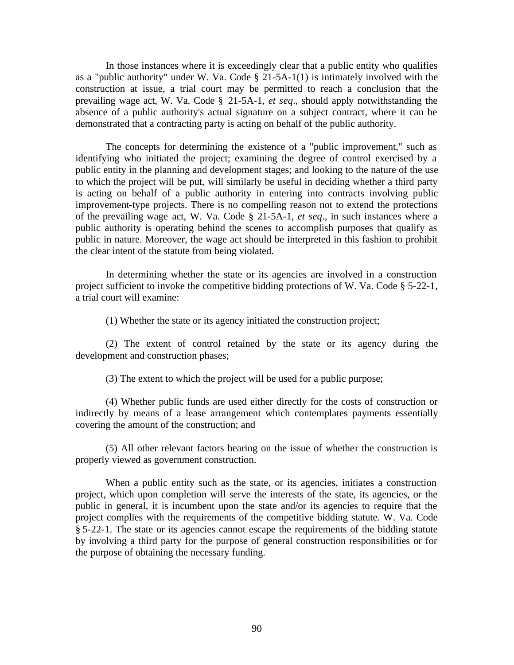In those instances where it is exceedingly clear that a public entity who qualifies as a "public authority" under W. Va. Code  $\S$  21-5A-1(1) is intimately involved with the construction at issue, a trial court may be permitted to reach a conclusion that the prevailing wage act, W. Va. Code § 21-5A-1, *et seq*., should apply notwithstanding the absence of a public authority's actual signature on a subject contract, where it can be demonstrated that a contracting party is acting on behalf of the public authority.

The concepts for determining the existence of a "public improvement," such as identifying who initiated the project; examining the degree of control exercised by a public entity in the planning and development stages; and looking to the nature of the use to which the project will be put, will similarly be useful in deciding whether a third party is acting on behalf of a public authority in entering into contracts involving public improvement-type projects. There is no compelling reason not to extend the protections of the prevailing wage act, W. Va. Code § 21-5A-1, *et seq*., in such instances where a public authority is operating behind the scenes to accomplish purposes that qualify as public in nature. Moreover, the wage act should be interpreted in this fashion to prohibit the clear intent of the statute from being violated.

In determining whether the state or its agencies are involved in a construction project sufficient to invoke the competitive bidding protections of W. Va. Code § 5-22-1, a trial court will examine:

(1) Whether the state or its agency initiated the construction project;

(2) The extent of control retained by the state or its agency during the development and construction phases;

(3) The extent to which the project will be used for a public purpose;

(4) Whether public funds are used either directly for the costs of construction or indirectly by means of a lease arrangement which contemplates payments essentially covering the amount of the construction; and

(5) All other relevant factors bearing on the issue of whether the construction is properly viewed as government construction.

When a public entity such as the state, or its agencies, initiates a construction project, which upon completion will serve the interests of the state, its agencies, or the public in general, it is incumbent upon the state and/or its agencies to require that the project complies with the requirements of the competitive bidding statute. W. Va. Code § 5-22-1. The state or its agencies cannot escape the requirements of the bidding statute by involving a third party for the purpose of general construction responsibilities or for the purpose of obtaining the necessary funding.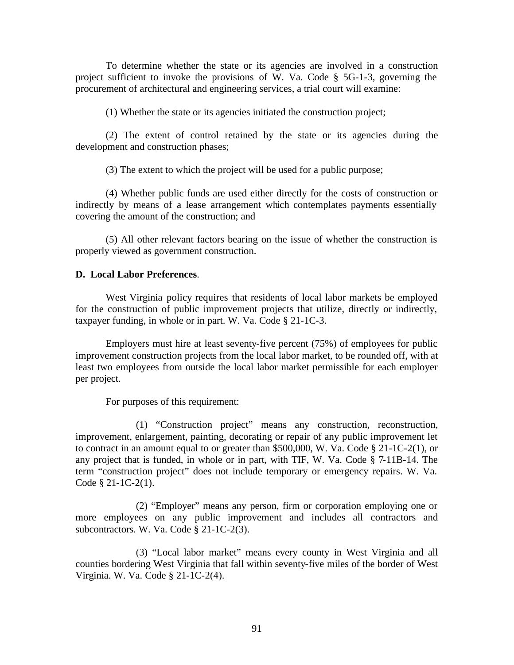To determine whether the state or its agencies are involved in a construction project sufficient to invoke the provisions of W. Va. Code § 5G-1-3, governing the procurement of architectural and engineering services, a trial court will examine:

(1) Whether the state or its agencies initiated the construction project;

(2) The extent of control retained by the state or its agencies during the development and construction phases;

(3) The extent to which the project will be used for a public purpose;

(4) Whether public funds are used either directly for the costs of construction or indirectly by means of a lease arrangement which contemplates payments essentially covering the amount of the construction; and

(5) All other relevant factors bearing on the issue of whether the construction is properly viewed as government construction.

## **D. Local Labor Preferences**.

West Virginia policy requires that residents of local labor markets be employed for the construction of public improvement projects that utilize, directly or indirectly, taxpayer funding, in whole or in part. W. Va. Code § 21-1C-3.

Employers must hire at least seventy-five percent (75%) of employees for public improvement construction projects from the local labor market, to be rounded off, with at least two employees from outside the local labor market permissible for each employer per project.

For purposes of this requirement:

(1) "Construction project" means any construction, reconstruction, improvement, enlargement, painting, decorating or repair of any public improvement let to contract in an amount equal to or greater than \$500,000, W. Va. Code § 21-1C-2(1), or any project that is funded, in whole or in part, with TIF, W. Va. Code § 7-11B-14. The term "construction project" does not include temporary or emergency repairs. W. Va. Code § 21-1C-2(1).

(2) "Employer" means any person, firm or corporation employing one or more employees on any public improvement and includes all contractors and subcontractors. W. Va. Code § 21-1C-2(3).

(3) "Local labor market" means every county in West Virginia and all counties bordering West Virginia that fall within seventy-five miles of the border of West Virginia. W. Va. Code § 21-1C-2(4).